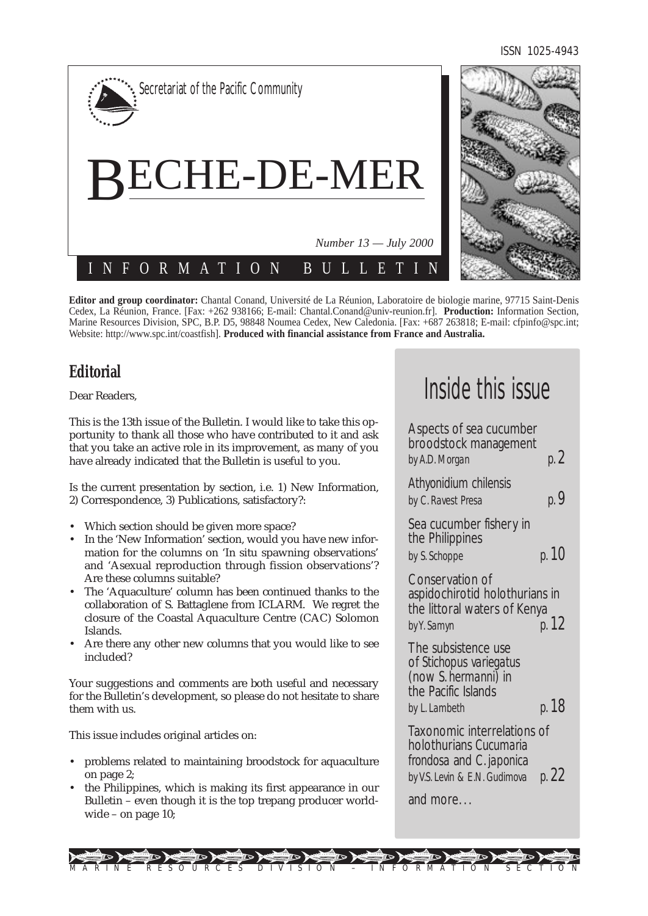ISSN 1025-4943



**Editor and group coordinator:** Chantal Conand, Université de La Réunion, Laboratoire de biologie marine, 97715 Saint-Denis Cedex, La Réunion, France. [Fax: +262 938166; E-mail: Chantal.Conand@univ-reunion.fr]. **Production:** Information Section, Marine Resources Division, SPC, B.P. D5, 98848 Noumea Cedex, New Caledonia. [Fax: +687 263818; E-mail: cfpinfo@spc.int; Website: http://www.spc.int/coastfish]. **Produced with financial assistance from France and Australia.**

# **Editorial**

Dear Readers,

This is the 13th issue of the Bulletin. I would like to take this opportunity to thank all those who have contributed to it and ask that you take an active role in its improvement, as many of you have already indicated that the Bulletin is useful to you.

Is the current presentation by section, i.e. 1) New Information, 2) Correspondence, 3) Publications, satisfactory?:

- Which section should be given more space?
- In the 'New Information' section, would you have new information for the columns on 'In situ spawning observations' and 'Asexual reproduction through fission observations'? Are these columns suitable?
- The 'Aquaculture' column has been continued thanks to the collaboration of S. Battaglene from ICLARM. We regret the closure of the Coastal Aquaculture Centre (CAC) Solomon Islands.
- Are there any other new columns that you would like to see included?

Your suggestions and comments are both useful and necessary for the Bulletin's development, so please do not hesitate to share them with us.

This issue includes original articles on:

- problems related to maintaining broodstock for aquaculture on page 2;
- the Philippines, which is making its first appearance in our Bulletin – even though it is the top trepang producer worldwide – on page 10;

# Inside this issue

| Aspects of sea cucumber<br>broodstock management<br>by A.D. Morgan                                                 | p. 2  |
|--------------------------------------------------------------------------------------------------------------------|-------|
| Athyonidium chilensis<br>by C. Ravest Presa                                                                        | p. 9  |
| Sea cucumber fishery in<br>the Philippines<br>by S. Schoppe                                                        | p. 10 |
| Conservation of<br>aspidochirotid holothurians in<br>the littoral waters of Kenya<br>by Y. Samyn                   | p. 12 |
| The subsistence use<br>of Stichopus variegatus<br>(now S. hermanni) in<br>the Pacific Islands<br>by L. Lambeth     | p. 18 |
| Taxonomic interrelations of<br>holothurians Cucumaria<br>frondosa and C. japonica<br>by V.S. Levin & E.N. Gudimova | p. 22 |
| and more                                                                                                           |       |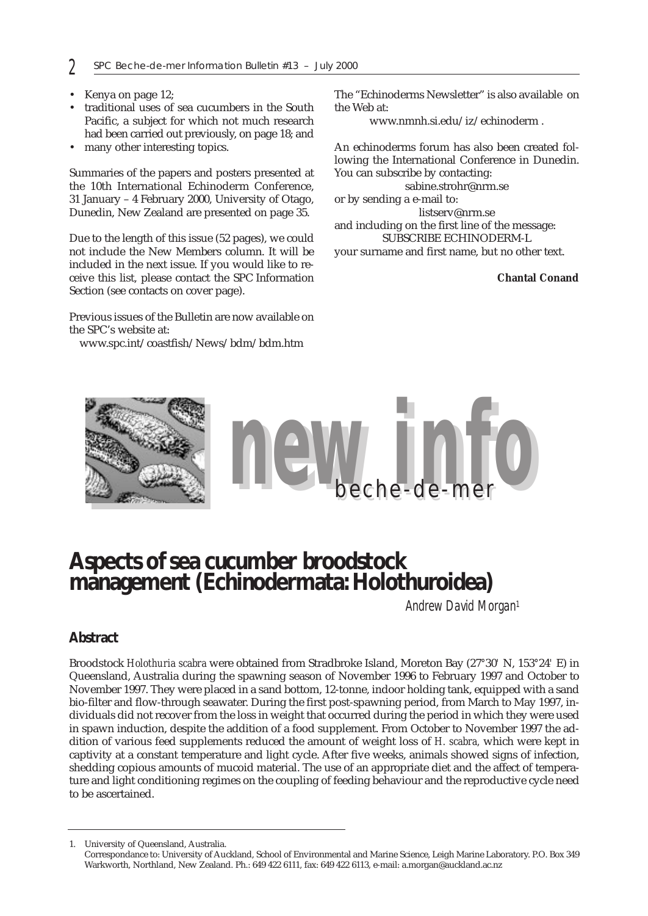- Kenya on page 12;
- traditional uses of sea cucumbers in the South Pacific, a subject for which not much research had been carried out previously, on page 18; and
- many other interesting topics.

Summaries of the papers and posters presented at the 10th International Echinoderm Conference, 31 January – 4 February 2000, University of Otago, Dunedin, New Zealand are presented on page 35.

Due to the length of this issue (52 pages), we could not include the New Members column. It will be included in the next issue. If you would like to receive this list, please contact the SPC Information Section (see contacts on cover page).

Previous issues of the Bulletin are now available on the SPC's website at:

www.spc.int/coastfish/News/bdm/bdm.htm

The "Echinoderms Newsletter" is also available on the Web at:

www.nmnh.si.edu/iz/echinoderm .

An echinoderms forum has also been created following the International Conference in Dunedin. You can subscribe by contacting:

sabine.strohr@nrm.se

or by sending a e-mail to:

listserv@nrm.se and including on the first line of the message:

SUBSCRIBE ECHINODERM-L your surname and first name, but no other text.

**Chantal Conand**



# **Aspects of sea cucumber broodstock management (Echinodermata: Holothuroidea)**

*Andrew David Morgan1*

## **Abstract**

Broodstock *Holothuria scabra* were obtained from Stradbroke Island, Moreton Bay (27*°*30*'* N, 153*°*24*'* E) in Queensland, Australia during the spawning season of November 1996 to February 1997 and October to November 1997. They were placed in a sand bottom, 12-tonne, indoor holding tank, equipped with a sand bio-filter and flow-through seawater. During the first post-spawning period, from March to May 1997, individuals did not recover from the loss in weight that occurred during the period in which they were used in spawn induction, despite the addition of a food supplement. From October to November 1997 the addition of various feed supplements reduced the amount of weight loss of *H. scabra,* which were kept in captivity at a constant temperature and light cycle. After five weeks, animals showed signs of infection, shedding copious amounts of mucoid material. The use of an appropriate diet and the affect of temperature and light conditioning regimes on the coupling of feeding behaviour and the reproductive cycle need to be ascertained.

1. University of Queensland, Australia.

Correspondance to: University of Auckland, School of Environmental and Marine Science, Leigh Marine Laboratory. P.O. Box 349 Warkworth, Northland, New Zealand. Ph.: 649 422 6111, fax: 649 422 6113, e-mail: a.morgan@auckland.ac.nz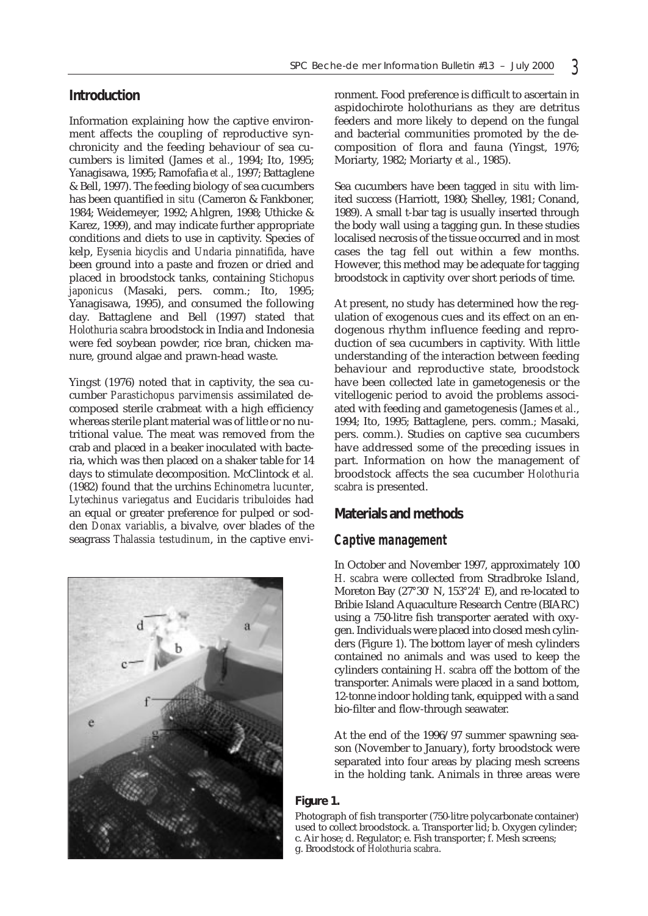## **Introduction**

Information explaining how the captive environment affects the coupling of reproductive synchronicity and the feeding behaviour of sea cucumbers is limited (James *et al.*, 1994; Ito, 1995; Yanagisawa, 1995; Ramofafia *et al.,* 1997; Battaglene & Bell, 1997). The feeding biology of sea cucumbers has been quantified *in situ* (Cameron & Fankboner, 1984; Weidemeyer, 1992; Ahlgren, 1998; Uthicke & Karez, 1999), and may indicate further appropriate conditions and diets to use in captivity. Species of kelp, *Eysenia bicyclis* and *Undaria pinnatifida*, have been ground into a paste and frozen or dried and placed in broodstock tanks, containing *Stichopus japonicus* (Masaki, pers. comm.; Ito, 1995; Yanagisawa, 1995), and consumed the following day. Battaglene and Bell (1997) stated that *Holothuria scabra* broodstock in India and Indonesia were fed soybean powder, rice bran, chicken manure, ground algae and prawn-head waste.

Yingst (1976) noted that in captivity, the sea cucumber *Parastichopus parvimensis* assimilated decomposed sterile crabmeat with a high efficiency whereas sterile plant material was of little or no nutritional value. The meat was removed from the crab and placed in a beaker inoculated with bacteria, which was then placed on a shaker table for 14 days to stimulate decomposition. McClintock *et al.* (1982) found that the urchins *Echinometra lucunter*, *Lytechinus variegatus* and *Eucidaris tribuloides* had an equal or greater preference for pulped or sodden *Donax variablis*, a bivalve, over blades of the seagrass *Thalassia testudinum*, in the captive envi-



ronment. Food preference is difficult to ascertain in aspidochirote holothurians as they are detritus feeders and more likely to depend on the fungal and bacterial communities promoted by the decomposition of flora and fauna (Yingst, 1976; Moriarty, 1982; Moriarty *et al.*, 1985).

Sea cucumbers have been tagged *in situ* with limited success (Harriott, 1980; Shelley, 1981; Conand, 1989). A small t-bar tag is usually inserted through the body wall using a tagging gun. In these studies localised necrosis of the tissue occurred and in most cases the tag fell out within a few months. However, this method may be adequate for tagging broodstock in captivity over short periods of time.

At present, no study has determined how the regulation of exogenous cues and its effect on an endogenous rhythm influence feeding and reproduction of sea cucumbers in captivity. With little understanding of the interaction between feeding behaviour and reproductive state, broodstock have been collected late in gametogenesis or the vitellogenic period to avoid the problems associated with feeding and gametogenesis (James *et al.*, 1994; Ito, 1995; Battaglene, pers. comm.; Masaki, pers. comm.). Studies on captive sea cucumbers have addressed some of the preceding issues in part. Information on how the management of broodstock affects the sea cucumber *Holothuria scabra* is presented.

## **Materials and methods**

## *Captive management*

In October and November 1997, approximately 100 *H. scabra* were collected from Stradbroke Island, Moreton Bay (27*°*30*'* N, 153*°*24*'* E), and re-located to Bribie Island Aquaculture Research Centre (BIARC) using a 750-litre fish transporter aerated with oxygen. Individuals were placed into closed mesh cylinders (Figure 1). The bottom layer of mesh cylinders contained no animals and was used to keep the cylinders containing *H. scabra* off the bottom of the transporter. Animals were placed in a sand bottom, 12-tonne indoor holding tank, equipped with a sand bio-filter and flow-through seawater.

At the end of the 1996/97 summer spawning season (November to January), forty broodstock were separated into four areas by placing mesh screens in the holding tank. Animals in three areas were

#### **Figure 1.**

Photograph of fish transporter (750-litre polycarbonate container) used to collect broodstock. a. Transporter lid; b. Oxygen cylinder; c. Air hose; d. Regulator; e. Fish transporter; f. Mesh screens; g. Broodstock of *Holothuria scabra*.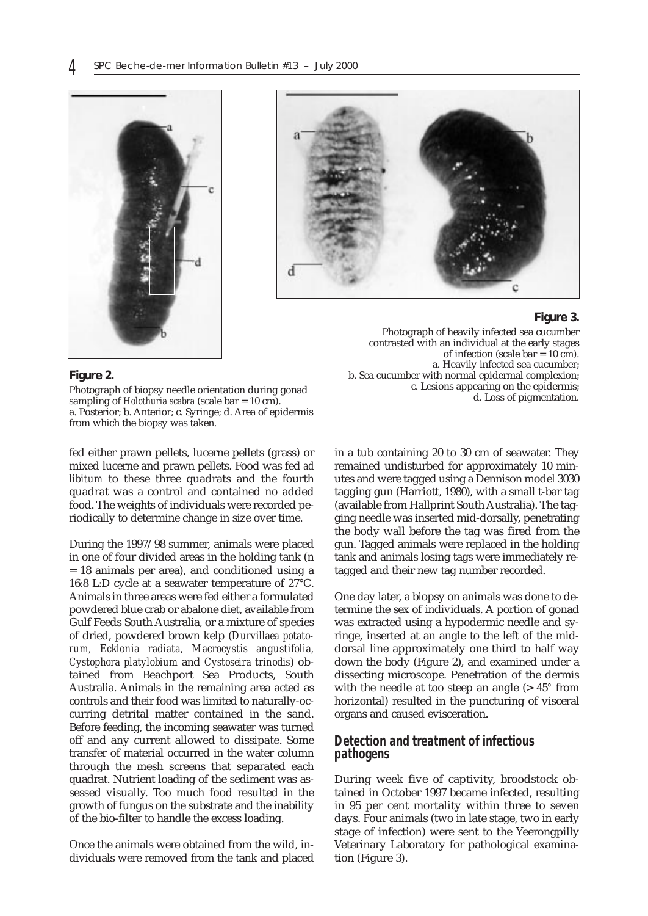



#### **Figure 3.**

Photograph of heavily infected sea cucumber contrasted with an individual at the early stages of infection (scale bar = 10 cm). a. Heavily infected sea cucumber; b. Sea cucumber with normal epidermal complexion; c. Lesions appearing on the epidermis; d. Loss of pigmentation.

**Figure 2.**

Photograph of biopsy needle orientation during gonad sampling of *Holothuria scabra* (scale bar = 10 cm). a. Posterior; b. Anterior; c. Syringe; d. Area of epidermis from which the biopsy was taken.

fed either prawn pellets, lucerne pellets (grass) or mixed lucerne and prawn pellets. Food was fed *ad libitum* to these three quadrats and the fourth quadrat was a control and contained no added food. The weights of individuals were recorded periodically to determine change in size over time.

During the 1997/98 summer, animals were placed in one of four divided areas in the holding tank (n = 18 animals per area), and conditioned using a 16:8 L:D cycle at a seawater temperature of 27°C. Animals in three areas were fed either a formulated powdered blue crab or abalone diet, available from Gulf Feeds South Australia, or a mixture of species of dried, powdered brown kelp (*Durvillaea potatorum, Ecklonia radiata, Macrocystis angustifolia, Cystophora platylobium* and *Cystoseira trinodis*) obtained from Beachport Sea Products, South Australia. Animals in the remaining area acted as controls and their food was limited to naturally-occurring detrital matter contained in the sand. Before feeding, the incoming seawater was turned off and any current allowed to dissipate. Some transfer of material occurred in the water column through the mesh screens that separated each quadrat. Nutrient loading of the sediment was assessed visually. Too much food resulted in the growth of fungus on the substrate and the inability of the bio-filter to handle the excess loading.

Once the animals were obtained from the wild, individuals were removed from the tank and placed in a tub containing 20 to 30 cm of seawater. They remained undisturbed for approximately 10 minutes and were tagged using a Dennison model 3030 tagging gun (Harriott, 1980), with a small t-bar tag (available from Hallprint South Australia). The tagging needle was inserted mid-dorsally, penetrating the body wall before the tag was fired from the gun. Tagged animals were replaced in the holding tank and animals losing tags were immediately retagged and their new tag number recorded.

One day later, a biopsy on animals was done to determine the sex of individuals. A portion of gonad was extracted using a hypodermic needle and syringe, inserted at an angle to the left of the middorsal line approximately one third to half way down the body (Figure 2), and examined under a dissecting microscope. Penetration of the dermis with the needle at too steep an angle (> 45*°* from horizontal) resulted in the puncturing of visceral organs and caused evisceration.

#### *Detection and treatment of infectious pathogens*

During week five of captivity, broodstock obtained in October 1997 became infected, resulting in 95 per cent mortality within three to seven days. Four animals (two in late stage, two in early stage of infection) were sent to the Yeerongpilly Veterinary Laboratory for pathological examination (Figure 3).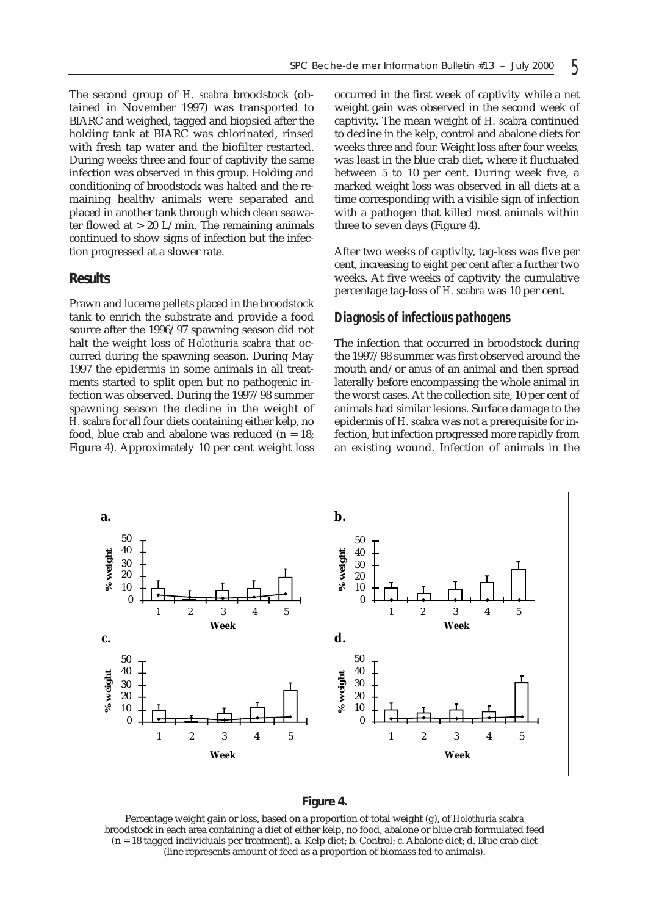The second group of *H. scabra* broodstock (obtained in November 1997) was transported to BIARC and weighed, tagged and biopsied after the holding tank at BIARC was chlorinated, rinsed with fresh tap water and the biofilter restarted. During weeks three and four of captivity the same infection was observed in this group. Holding and conditioning of broodstock was halted and the remaining healthy animals were separated and placed in another tank through which clean seawater flowed at  $> 20$  L/min. The remaining animals continued to show signs of infection but the infection progressed at a slower rate.

#### **Results**

Prawn and lucerne pellets placed in the broodstock tank to enrich the substrate and provide a food source after the 1996/97 spawning season did not halt the weight loss of *Holothuria scabra* that occurred during the spawning season. During May 1997 the epidermis in some animals in all treatments started to split open but no pathogenic infection was observed. During the 1997/98 summer spawning season the decline in the weight of *H. scabra* for all four diets containing either kelp, no food, blue crab and abalone was reduced  $(n = 18)$ ; Figure 4). Approximately 10 per cent weight loss

occurred in the first week of captivity while a net weight gain was observed in the second week of captivity. The mean weight of *H. scabra* continued to decline in the kelp, control and abalone diets for weeks three and four. Weight loss after four weeks, was least in the blue crab diet, where it fluctuated between 5 to 10 per cent. During week five, a marked weight loss was observed in all diets at a time corresponding with a visible sign of infection with a pathogen that killed most animals within three to seven days (Figure 4).

After two weeks of captivity, tag-loss was five per cent, increasing to eight per cent after a further two weeks. At five weeks of captivity the cumulative percentage tag-loss of *H. scabra* was 10 per cent.

#### *Diagnosis of infectious pathogens*

The infection that occurred in broodstock during the 1997/98 summer was first observed around the mouth and/or anus of an animal and then spread laterally before encompassing the whole animal in the worst cases. At the collection site, 10 per cent of animals had similar lesions. Surface damage to the epidermis of *H. scabra* was not a prerequisite for infection, but infection progressed more rapidly from an existing wound. Infection of animals in the



#### **Figure 4.**

Percentage weight gain or loss, based on a proportion of total weight (g), of *Holothuria scabra* broodstock in each area containing a diet of either kelp, no food, abalone or blue crab formulated feed (n = 18 tagged individuals per treatment). a. Kelp diet; b. Control; c. Abalone diet; d. Blue crab diet (line represents amount of feed as a proportion of biomass fed to animals).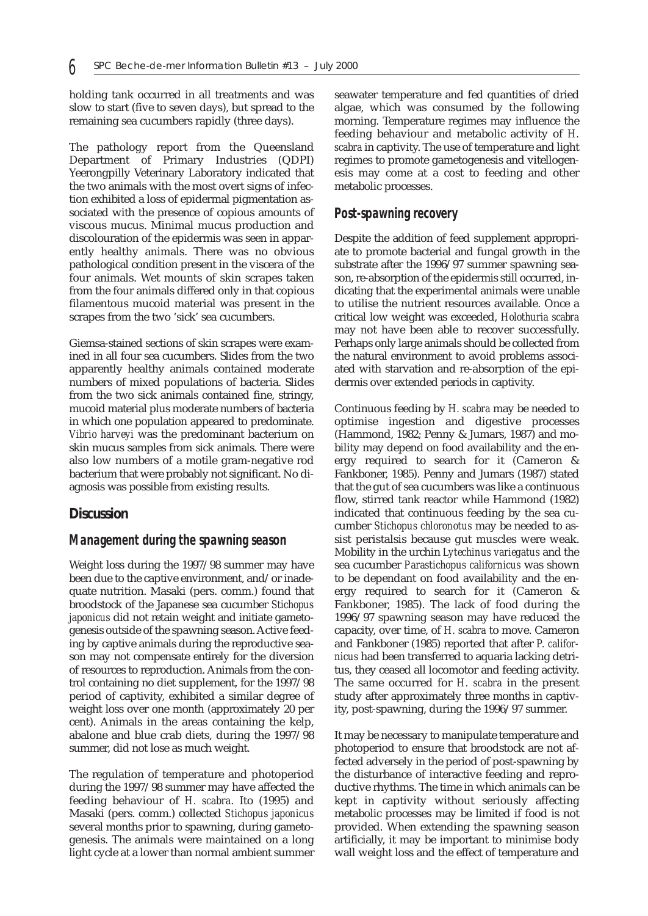holding tank occurred in all treatments and was slow to start (five to seven days), but spread to the remaining sea cucumbers rapidly (three days).

The pathology report from the Queensland Department of Primary Industries (QDPI) Yeerongpilly Veterinary Laboratory indicated that the two animals with the most overt signs of infection exhibited a loss of epidermal pigmentation associated with the presence of copious amounts of viscous mucus. Minimal mucus production and discolouration of the epidermis was seen in apparently healthy animals. There was no obvious pathological condition present in the viscera of the four animals. Wet mounts of skin scrapes taken from the four animals differed only in that copious filamentous mucoid material was present in the scrapes from the two 'sick' sea cucumbers.

Giemsa-stained sections of skin scrapes were examined in all four sea cucumbers. Slides from the two apparently healthy animals contained moderate numbers of mixed populations of bacteria. Slides from the two sick animals contained fine, stringy, mucoid material plus moderate numbers of bacteria in which one population appeared to predominate. *Vibrio harveyi* was the predominant bacterium on skin mucus samples from sick animals. There were also low numbers of a motile gram-negative rod bacterium that were probably not significant. No diagnosis was possible from existing results.

#### **Discussion**

#### *Management during the spawning season*

Weight loss during the 1997/98 summer may have been due to the captive environment, and/or inadequate nutrition. Masaki (pers. comm.) found that broodstock of the Japanese sea cucumber *Stichopus japonicus* did not retain weight and initiate gametogenesis outside of the spawning season. Active feeding by captive animals during the reproductive season may not compensate entirely for the diversion of resources to reproduction. Animals from the control containing no diet supplement, for the 1997/98 period of captivity, exhibited a similar degree of weight loss over one month (approximately 20 per cent). Animals in the areas containing the kelp, abalone and blue crab diets, during the 1997/98 summer, did not lose as much weight.

The regulation of temperature and photoperiod during the 1997/98 summer may have affected the feeding behaviour of *H. scabra*. Ito (1995) and Masaki (pers. comm.) collected *Stichopus japonicus* several months prior to spawning, during gametogenesis. The animals were maintained on a long light cycle at a lower than normal ambient summer

seawater temperature and fed quantities of dried algae, which was consumed by the following morning. Temperature regimes may influence the feeding behaviour and metabolic activity of *H. scabra* in captivity. The use of temperature and light regimes to promote gametogenesis and vitellogenesis may come at a cost to feeding and other metabolic processes.

### *Post-spawning recovery*

Despite the addition of feed supplement appropriate to promote bacterial and fungal growth in the substrate after the 1996/97 summer spawning season, re-absorption of the epidermis still occurred, indicating that the experimental animals were unable to utilise the nutrient resources available. Once a critical low weight was exceeded, *Holothuria scabra* may not have been able to recover successfully. Perhaps only large animals should be collected from the natural environment to avoid problems associated with starvation and re-absorption of the epidermis over extended periods in captivity.

Continuous feeding by *H. scabra* may be needed to optimise ingestion and digestive processes (Hammond, 1982; Penny & Jumars, 1987) and mobility may depend on food availability and the energy required to search for it (Cameron & Fankboner, 1985). Penny and Jumars (1987) stated that the gut of sea cucumbers was like a continuous flow, stirred tank reactor while Hammond (1982) indicated that continuous feeding by the sea cucumber *Stichopus chloronotus* may be needed to assist peristalsis because gut muscles were weak. Mobility in the urchin *Lytechinus variegatus* and the sea cucumber *Parastichopus californicus* was shown to be dependant on food availability and the energy required to search for it (Cameron & Fankboner, 1985). The lack of food during the 1996/97 spawning season may have reduced the capacity, over time, of *H. scabra* to move. Cameron and Fankboner (1985) reported that after *P. californicus* had been transferred to aquaria lacking detritus, they ceased all locomotor and feeding activity. The same occurred for *H. scabra* in the present study after approximately three months in captivity, post-spawning, during the 1996/97 summer.

It may be necessary to manipulate temperature and photoperiod to ensure that broodstock are not affected adversely in the period of post-spawning by the disturbance of interactive feeding and reproductive rhythms. The time in which animals can be kept in captivity without seriously affecting metabolic processes may be limited if food is not provided. When extending the spawning season artificially, it may be important to minimise body wall weight loss and the effect of temperature and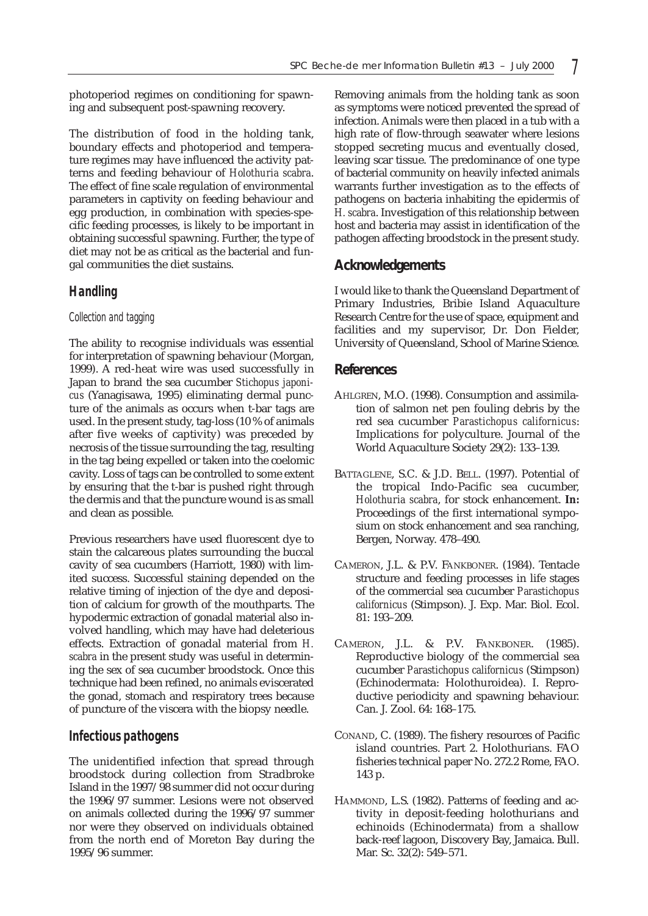photoperiod regimes on conditioning for spawning and subsequent post-spawning recovery.

The distribution of food in the holding tank, boundary effects and photoperiod and temperature regimes may have influenced the activity patterns and feeding behaviour of *Holothuria scabra*. The effect of fine scale regulation of environmental parameters in captivity on feeding behaviour and egg production, in combination with species-specific feeding processes, is likely to be important in obtaining successful spawning. Further, the type of diet may not be as critical as the bacterial and fungal communities the diet sustains.

# *Handling*

#### *Collection and tagging*

The ability to recognise individuals was essential for interpretation of spawning behaviour (Morgan, 1999). A red-heat wire was used successfully in Japan to brand the sea cucumber *Stichopus japonicus* (Yanagisawa, 1995) eliminating dermal puncture of the animals as occurs when t-bar tags are used. In the present study, tag-loss (10 % of animals after five weeks of captivity) was preceded by necrosis of the tissue surrounding the tag, resulting in the tag being expelled or taken into the coelomic cavity. Loss of tags can be controlled to some extent by ensuring that the t-bar is pushed right through the dermis and that the puncture wound is as small and clean as possible.

Previous researchers have used fluorescent dye to stain the calcareous plates surrounding the buccal cavity of sea cucumbers (Harriott, 1980) with limited success. Successful staining depended on the relative timing of injection of the dye and deposition of calcium for growth of the mouthparts. The hypodermic extraction of gonadal material also involved handling, which may have had deleterious effects. Extraction of gonadal material from *H. scabra* in the present study was useful in determining the sex of sea cucumber broodstock. Once this technique had been refined, no animals eviscerated the gonad, stomach and respiratory trees because of puncture of the viscera with the biopsy needle.

#### *Infectious pathogens*

The unidentified infection that spread through broodstock during collection from Stradbroke Island in the 1997/98 summer did not occur during the 1996/97 summer. Lesions were not observed on animals collected during the 1996/97 summer nor were they observed on individuals obtained from the north end of Moreton Bay during the 1995/96 summer.

Removing animals from the holding tank as soon as symptoms were noticed prevented the spread of infection. Animals were then placed in a tub with a high rate of flow-through seawater where lesions stopped secreting mucus and eventually closed, leaving scar tissue. The predominance of one type of bacterial community on heavily infected animals warrants further investigation as to the effects of pathogens on bacteria inhabiting the epidermis of *H. scabra*. Investigation of this relationship between host and bacteria may assist in identification of the pathogen affecting broodstock in the present study.

# **Acknowledgements**

I would like to thank the Queensland Department of Primary Industries, Bribie Island Aquaculture Research Centre for the use of space, equipment and facilities and my supervisor, Dr. Don Fielder, University of Queensland, School of Marine Science.

## **References**

- AHLGREN, M.O. (1998). Consumption and assimilation of salmon net pen fouling debris by the red sea cucumber *Parastichopus californicus*: Implications for polyculture. Journal of the World Aquaculture Society 29(2): 133–139.
- BATTAGLENE, S.C. & J.D. BELL. (1997). Potential of the tropical Indo-Pacific sea cucumber, *Holothuria scabra*, for stock enhancement. **In:** Proceedings of the first international symposium on stock enhancement and sea ranching, Bergen, Norway. 478–490.
- CAMERON, J.L. & P.V. FANKBONER. (1984). Tentacle structure and feeding processes in life stages of the commercial sea cucumber *Parastichopus californicus* (Stimpson). J. Exp. Mar. Biol. Ecol. 81: 193–209.
- CAMERON, J.L. & P.V. FANKBONER. (1985). Reproductive biology of the commercial sea cucumber *Parastichopus californicus* (Stimpson) (Echinodermata: Holothuroidea). I. Reproductive periodicity and spawning behaviour. Can. J. Zool. 64: 168–175.
- CONAND, C. (1989). The fishery resources of Pacific island countries. Part 2. Holothurians. FAO fisheries technical paper No. 272.2 Rome, FAO. 143 p.
- HAMMOND, L.S. (1982). Patterns of feeding and activity in deposit-feeding holothurians and echinoids (Echinodermata) from a shallow back-reef lagoon, Discovery Bay, Jamaica. Bull. Mar. Sc. 32(2): 549–571.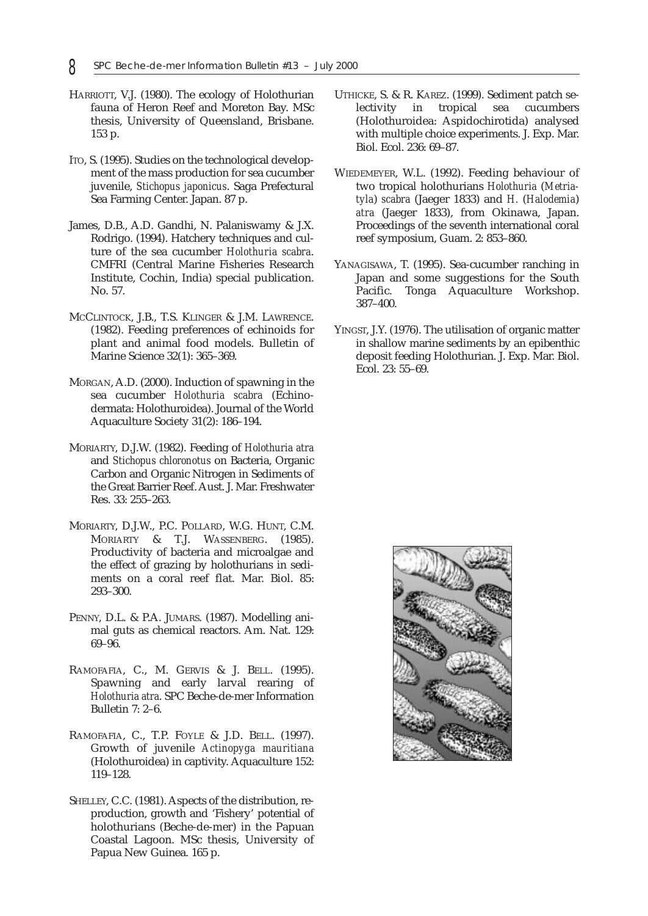- HARRIOTT, V.J. (1980). The ecology of Holothurian fauna of Heron Reef and Moreton Bay. MSc thesis, University of Queensland, Brisbane. 153 p.
- ITO, S. (1995). Studies on the technological development of the mass production for sea cucumber juvenile, *Stichopus japonicus*. Saga Prefectural Sea Farming Center. Japan. 87 p.
- James, D.B., A.D. Gandhi, N. Palaniswamy & J.X. Rodrigo. (1994). Hatchery techniques and culture of the sea cucumber *Holothuria scabra*. CMFRI (Central Marine Fisheries Research Institute, Cochin, India) special publication. No. 57.
- MCCLINTOCK, J.B., T.S. KLINGER & J.M. LAWRENCE. (1982). Feeding preferences of echinoids for plant and animal food models. Bulletin of Marine Science 32(1): 365–369.
- MORGAN, A.D. (2000). Induction of spawning in the sea cucumber *Holothuria scabra* (Echinodermata: Holothuroidea). Journal of the World Aquaculture Society 31(2): 186–194.
- MORIARTY, D.J.W. (1982). Feeding of *Holothuria atra* and *Stichopus chloronotus* on Bacteria, Organic Carbon and Organic Nitrogen in Sediments of the Great Barrier Reef. Aust. J. Mar. Freshwater Res. 33: 255–263.
- MORIARTY, D.J.W., P.C. POLLARD, W.G. HUNT, C.M. MORIARTY & T.J. WASSENBERG. (1985). Productivity of bacteria and microalgae and the effect of grazing by holothurians in sediments on a coral reef flat. Mar. Biol. 85: 293–300.
- PENNY, D.L. & P.A. JUMARS. (1987). Modelling animal guts as chemical reactors. Am. Nat. 129: 69–96.
- RAMOFAFIA, C., M. GERVIS & J. BELL. (1995). Spawning and early larval rearing of *Holothuria atra*. SPC Beche-de-mer Information Bulletin 7: 2–6.
- RAMOFAFIA, C., T.P. FOYLE & J.D. BELL. (1997). Growth of juvenile *Actinopyga mauritiana* (Holothuroidea) in captivity. Aquaculture 152: 119–128.
- SHELLEY, C.C. (1981). Aspects of the distribution, reproduction, growth and 'Fishery' potential of holothurians (Beche-de-mer) in the Papuan Coastal Lagoon. MSc thesis, University of Papua New Guinea. 165 p.
- UTHICKE, S. & R. KAREZ. (1999). Sediment patch selectivity in tropical sea cucumbers (Holothuroidea: Aspidochirotida) analysed with multiple choice experiments. J. Exp. Mar. Biol. Ecol. 236: 69–87.
- WIEDEMEYER, W.L. (1992). Feeding behaviour of two tropical holothurians *Holothuria* (*Metriatyla*) *scabra* (Jaeger 1833) and *H.* (*Halodemia*) *atra* (Jaeger 1833), from Okinawa, Japan. Proceedings of the seventh international coral reef symposium, Guam. 2: 853–860.
- YANAGISAWA, T. (1995). Sea-cucumber ranching in Japan and some suggestions for the South Pacific. Tonga Aquaculture Workshop. 387–400.
- YINGST, J.Y. (1976). The utilisation of organic matter in shallow marine sediments by an epibenthic deposit feeding Holothurian. J. Exp. Mar. Biol. Ecol. 23: 55–69.

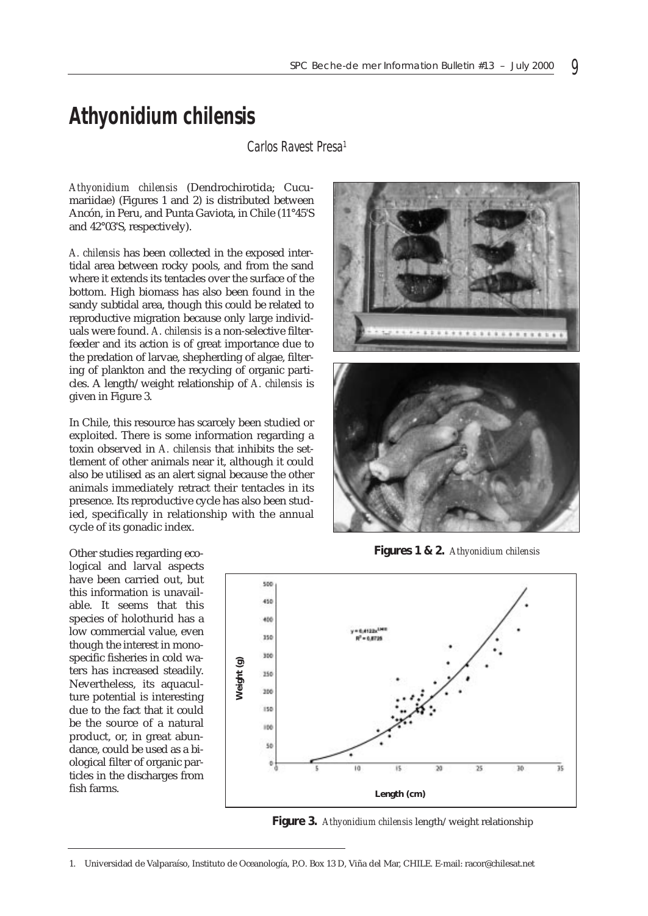# *Athyonidium chilensis*

*Carlos Ravest Presa1*

*Athyonidium chilensis* (Dendrochirotida; Cucumariidae) (Figures 1 and 2) is distributed between Ancón, in Peru, and Punta Gaviota, in Chile (11°45'S and 42°03'S, respectively).

*A. chilensis* has been collected in the exposed intertidal area between rocky pools, and from the sand where it extends its tentacles over the surface of the bottom. High biomass has also been found in the sandy subtidal area, though this could be related to reproductive migration because only large individuals were found. *A. chilensis* is a non-selective filterfeeder and its action is of great importance due to the predation of larvae, shepherding of algae, filtering of plankton and the recycling of organic particles. A length/weight relationship of *A. chilensis* is given in Figure 3.

In Chile, this resource has scarcely been studied or exploited. There is some information regarding a toxin observed in *A. chilensis* that inhibits the settlement of other animals near it, although it could also be utilised as an alert signal because the other animals immediately retract their tentacles in its presence. Its reproductive cycle has also been studied, specifically in relationship with the annual cycle of its gonadic index.

. . . . . . . . . . . . . . . . . . . .

**Figures 1 & 2.** *Athyonidium chilensis*



**Figure 3.** *Athyonidium chilensis* length/weight relationship

Other studies regarding ecological and larval aspects have been carried out, but this information is unavailable. It seems that this species of holothurid has a low commercial value, even though the interest in monospecific fisheries in cold waters has increased steadily. Nevertheless, its aquaculture potential is interesting due to the fact that it could be the source of a natural product, or, in great abundance, could be used as a biological filter of organic particles in the discharges from fish farms.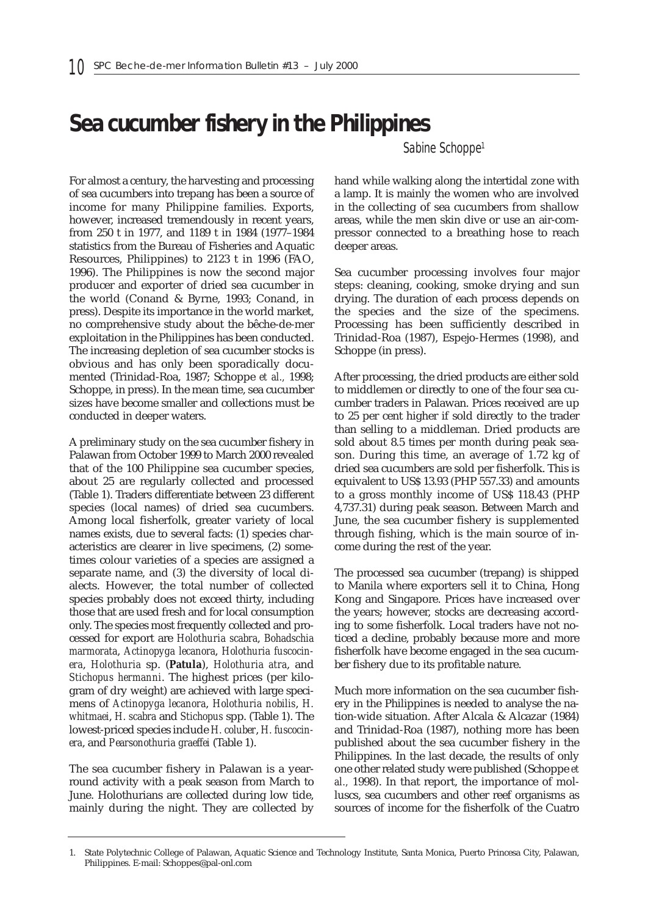# **Sea cucumber fishery in the Philippines**

*Sabine Schoppe1*

For almost a century, the harvesting and processing of sea cucumbers into trepang has been a source of income for many Philippine families. Exports, however, increased tremendously in recent years, from 250 t in 1977, and 1189 t in 1984 (1977–1984 statistics from the Bureau of Fisheries and Aquatic Resources, Philippines) to 2123 t in 1996 (FAO, 1996). The Philippines is now the second major producer and exporter of dried sea cucumber in the world (Conand & Byrne, 1993; Conand, in press). Despite its importance in the world market, no comprehensive study about the bêche-de-mer exploitation in the Philippines has been conducted. The increasing depletion of sea cucumber stocks is obvious and has only been sporadically documented (Trinidad-Roa, 1987; Schoppe *et al.,* 1998; Schoppe, in press). In the mean time, sea cucumber sizes have become smaller and collections must be conducted in deeper waters.

A preliminary study on the sea cucumber fishery in Palawan from October 1999 to March 2000 revealed that of the 100 Philippine sea cucumber species, about 25 are regularly collected and processed (Table 1). Traders differentiate between 23 different species (local names) of dried sea cucumbers. Among local fisherfolk, greater variety of local names exists, due to several facts: (1) species characteristics are clearer in live specimens, (2) sometimes colour varieties of a species are assigned a separate name, and (3) the diversity of local dialects. However, the total number of collected species probably does not exceed thirty, including those that are used fresh and for local consumption only. The species most frequently collected and processed for export are *Holothuria scabra*, *Bohadschia marmorata*, *Actinopyga lecanora*, *Holothuria fuscocinera*, *Holothuria* sp. (**Patula**), *Holothuria atra*, and *Stichopus hermanni*. The highest prices (per kilogram of dry weight) are achieved with large specimens of *Actinopyga lecanora*, *Holothuria nobilis*, *H. whitmaei*, *H. scabra* and *Stichopus* spp. (Table 1). The lowest-priced species include *H. coluber*, *H. fuscocinera*, and *Pearsonothuria graeffei* (Table 1).

The sea cucumber fishery in Palawan is a yearround activity with a peak season from March to June. Holothurians are collected during low tide, mainly during the night. They are collected by hand while walking along the intertidal zone with a lamp. It is mainly the women who are involved in the collecting of sea cucumbers from shallow areas, while the men skin dive or use an air-compressor connected to a breathing hose to reach deeper areas.

Sea cucumber processing involves four major steps: cleaning, cooking, smoke drying and sun drying. The duration of each process depends on the species and the size of the specimens. Processing has been sufficiently described in Trinidad-Roa (1987), Espejo-Hermes (1998), and Schoppe (in press).

After processing, the dried products are either sold to middlemen or directly to one of the four sea cucumber traders in Palawan. Prices received are up to 25 per cent higher if sold directly to the trader than selling to a middleman. Dried products are sold about 8.5 times per month during peak season. During this time, an average of 1.72 kg of dried sea cucumbers are sold per fisherfolk. This is equivalent to US\$ 13.93 (PHP 557.33) and amounts to a gross monthly income of US\$ 118.43 (PHP 4,737.31) during peak season. Between March and June, the sea cucumber fishery is supplemented through fishing, which is the main source of income during the rest of the year.

The processed sea cucumber (trepang) is shipped to Manila where exporters sell it to China, Hong Kong and Singapore. Prices have increased over the years; however, stocks are decreasing according to some fisherfolk. Local traders have not noticed a decline, probably because more and more fisherfolk have become engaged in the sea cucumber fishery due to its profitable nature.

Much more information on the sea cucumber fishery in the Philippines is needed to analyse the nation-wide situation. After Alcala & Alcazar (1984) and Trinidad-Roa (1987), nothing more has been published about the sea cucumber fishery in the Philippines. In the last decade, the results of only one other related study were published (Schoppe *et al.,* 1998). In that report, the importance of molluscs, sea cucumbers and other reef organisms as sources of income for the fisherfolk of the Cuatro

<sup>1.</sup> State Polytechnic College of Palawan, Aquatic Science and Technology Institute, Santa Monica, Puerto Princesa City, Palawan, Philippines. E-mail: Schoppes@pal-onl.com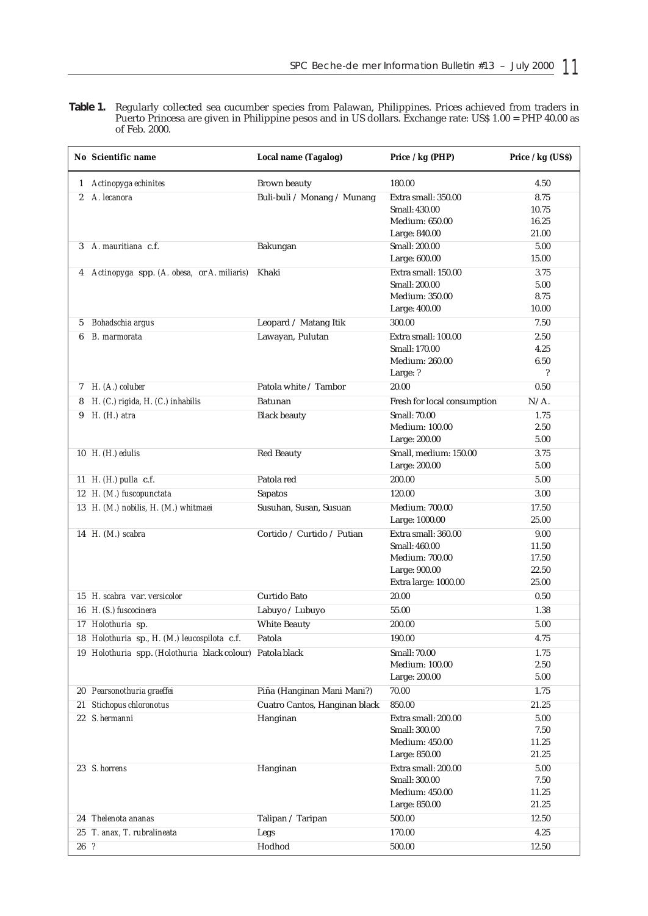**Table 1.** Regularly collected sea cucumber species from Palawan, Philippines. Prices achieved from traders in Puerto Princesa are given in Philippine pesos and in US dollars. Exchange rate: US\$ 1.00 = PHP 40.00 as of Feb. 2000.

|                  | No Scientific name                                        | Local name (Tagalog)          | Price / kg (PHP)            | Price / kg (US\$)        |
|------------------|-----------------------------------------------------------|-------------------------------|-----------------------------|--------------------------|
|                  | 1 Actinopyga echinites                                    | <b>Brown beauty</b>           | 180.00                      | 4.50                     |
| $\boldsymbol{2}$ | A. lecanora                                               | Buli-buli / Monang / Munang   | Extra small: 350.00         | 8.75                     |
|                  |                                                           |                               | Small: 430.00               | 10.75                    |
|                  |                                                           |                               | <b>Medium: 650.00</b>       | 16.25                    |
|                  |                                                           |                               | Large: 840.00               | 21.00                    |
| 3                | A. mauritiana c.f.                                        | Bakungan                      | Small: 200.00               | 5.00                     |
|                  |                                                           |                               | Large: 600.00               | 15.00                    |
| 4                | Actinopyga spp. (A. obesa, or A. miliaris)                | Khaki                         | Extra small: 150.00         | 3.75                     |
|                  |                                                           |                               | Small: 200.00               | 5.00                     |
|                  |                                                           |                               | Medium: 350.00              | 8.75                     |
|                  |                                                           |                               | Large: 400.00               | 10.00                    |
| 5                | Bohadschia argus                                          | Leopard / Matang Itik         | 300.00                      | 7.50                     |
| 6                | B. marmorata                                              | Lawayan, Pulutan              | Extra small: 100.00         | 2.50                     |
|                  |                                                           |                               | Small: 170.00               | 4.25                     |
|                  |                                                           |                               | <b>Medium: 260.00</b>       | 6.50                     |
|                  |                                                           |                               | Large: ?                    | $\overline{\phantom{a}}$ |
|                  | 7 H. (A.) coluber                                         | Patola white / Tambor         | 20.00                       | 0.50                     |
| 8                | H. (C.) rigida, H. (C.) inhabilis                         | Batunan                       | Fresh for local consumption | $N/A$ .                  |
| 9                | $H.$ ( $H.$ ) atra                                        | <b>Black beauty</b>           | <b>Small: 70.00</b>         | 1.75                     |
|                  |                                                           |                               | Medium: 100.00              | 2.50                     |
|                  |                                                           |                               | Large: 200.00               | 5.00                     |
|                  | 10 $H. (H.)$ edulis                                       | <b>Red Beauty</b>             | Small, medium: 150.00       | 3.75                     |
|                  |                                                           |                               | Large: 200.00               | 5.00                     |
|                  | 11 H. (H.) pulla c.f.                                     | Patola red                    | 200.00                      | 5.00                     |
|                  |                                                           |                               | 120.00                      |                          |
|                  | 12 H. (M.) fuscopunctata                                  | Sapatos                       |                             | $3.00\,$                 |
|                  | 13 H. (M.) nobilis, H. (M.) whitmaei                      | Susuhan, Susan, Susuan        | Medium: 700.00              | 17.50<br>25.00           |
|                  |                                                           |                               | Large: 1000.00              |                          |
|                  | 14 H. (M.) scabra                                         | Cortido / Curtido / Putian    | Extra small: 360.00         | 9.00                     |
|                  |                                                           |                               | Small: 460.00               | 11.50                    |
|                  |                                                           |                               | Medium: 700.00              | 17.50                    |
|                  |                                                           |                               | Large: 900.00               | 22.50<br>25.00           |
|                  |                                                           |                               | Extra large: 1000.00        |                          |
|                  | 15 H. scabra var. versicolor                              | Curtido Bato                  | 20.00                       | 0.50                     |
|                  | 16 H. (S.) fuscocinera                                    | Labuyo / Lubuyo               | 55.00                       | 1.38                     |
|                  | 17 Holothuria sp.                                         | White Beauty                  | 200.00                      | 5.00                     |
|                  | 18 Holothuria sp., H. (M.) leucospilota c.f.              | Patola                        | 190.00                      | 4.75                     |
|                  | 19 Holothuria spp. (Holothuria black colour) Patola black |                               | Small: 70.00                | 1.75                     |
|                  |                                                           |                               | <b>Medium: 100.00</b>       | 2.50                     |
|                  |                                                           |                               | Large: 200.00               | 5.00                     |
|                  | 20 Pearsonothuria graeffei                                | Piña (Hanginan Mani Mani?)    | 70.00                       | 1.75                     |
| 21               | Stichopus chloronotus                                     | Cuatro Cantos, Hanginan black | 850.00                      | 21.25                    |
|                  | 22 S. hermanni                                            | Hanginan                      | Extra small: 200.00         | 5.00                     |
|                  |                                                           |                               | Small: 300.00               | 7.50                     |
|                  |                                                           |                               | Medium: 450.00              | 11.25                    |
|                  |                                                           |                               | Large: 850.00               | 21.25                    |
|                  | 23 S. horrens                                             | Hanginan                      | Extra small: 200.00         | 5.00                     |
|                  |                                                           |                               | Small: 300.00               | 7.50                     |
|                  |                                                           |                               | <b>Medium: 450.00</b>       | 11.25                    |
|                  |                                                           |                               | Large: 850.00               | 21.25                    |
| 24               | Thelenota ananas                                          | Talipan / Taripan             | 500.00                      | 12.50                    |
| 25               | T. anax, T. rubralineata                                  | Legs                          | 170.00                      | 4.25                     |
| $26\overline{?}$ |                                                           | Hodhod                        | 500.00                      | 12.50                    |
|                  |                                                           |                               |                             |                          |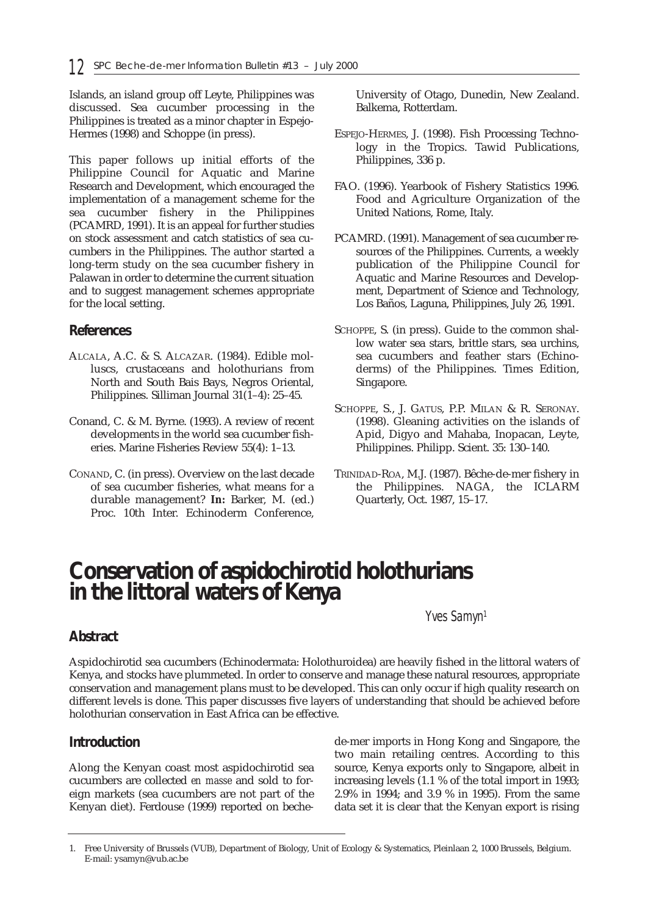Islands, an island group off Leyte, Philippines was discussed. Sea cucumber processing in the Philippines is treated as a minor chapter in Espejo-Hermes (1998) and Schoppe (in press).

This paper follows up initial efforts of the Philippine Council for Aquatic and Marine Research and Development, which encouraged the implementation of a management scheme for the sea cucumber fishery in the Philippines (PCAMRD, 1991). It is an appeal for further studies on stock assessment and catch statistics of sea cucumbers in the Philippines. The author started a long-term study on the sea cucumber fishery in Palawan in order to determine the current situation and to suggest management schemes appropriate for the local setting.

## **References**

- ALCALA, A.C. & S. ALCAZAR. (1984). Edible molluscs, crustaceans and holothurians from North and South Bais Bays, Negros Oriental, Philippines. Silliman Journal 31(1–4): 25–45.
- Conand, C. & M. Byrne. (1993). A review of recent developments in the world sea cucumber fisheries. Marine Fisheries Review 55(4): 1–13.
- CONAND, C. (in press). Overview on the last decade of sea cucumber fisheries, what means for a durable management? **In:** Barker, M. (ed.) Proc. 10th Inter. Echinoderm Conference,

University of Otago, Dunedin, New Zealand. Balkema, Rotterdam.

- ESPEJO-HERMES, J. (1998). Fish Processing Technology in the Tropics. Tawid Publications, Philippines, 336 p.
- FAO. (1996). Yearbook of Fishery Statistics 1996. Food and Agriculture Organization of the United Nations, Rome, Italy.
- PCAMRD. (1991). Management of sea cucumber resources of the Philippines. Currents, a weekly publication of the Philippine Council for Aquatic and Marine Resources and Development, Department of Science and Technology, Los Baños, Laguna, Philippines, July 26, 1991.
- SCHOPPE, S. (in press). Guide to the common shallow water sea stars, brittle stars, sea urchins, sea cucumbers and feather stars (Echinoderms) of the Philippines. Times Edition, Singapore.
- SCHOPPE, S., J. GATUS, P.P. MILAN & R. SERONAY. (1998). Gleaning activities on the islands of Apid, Digyo and Mahaba, Inopacan, Leyte, Philippines. Philipp. Scient. 35: 130–140.
- TRINIDAD-ROA, M.J. (1987). Bêche-de-mer fishery in the Philippines. NAGA, the ICLARM Quarterly, Oct. 1987, 15–17.

# **Conservation of aspidochirotid holothurians in the littoral waters of Kenya**

*Yves Samyn1*

# **Abstract**

Aspidochirotid sea cucumbers (Echinodermata: Holothuroidea) are heavily fished in the littoral waters of Kenya, and stocks have plummeted. In order to conserve and manage these natural resources, appropriate conservation and management plans must to be developed. This can only occur if high quality research on different levels is done. This paper discusses five layers of understanding that should be achieved before holothurian conservation in East Africa can be effective.

## **Introduction**

Along the Kenyan coast most aspidochirotid sea cucumbers are collected *en masse* and sold to foreign markets (sea cucumbers are not part of the Kenyan diet). Ferdouse (1999) reported on bechede-mer imports in Hong Kong and Singapore, the two main retailing centres. According to this source, Kenya exports only to Singapore, albeit in increasing levels (1.1 % of the total import in 1993; 2.9% in 1994; and 3.9 % in 1995). From the same data set it is clear that the Kenyan export is rising

<sup>1.</sup> Free University of Brussels (VUB), Department of Biology, Unit of Ecology & Systematics, Pleinlaan 2, 1000 Brussels, Belgium. E-mail: ysamyn@vub.ac.be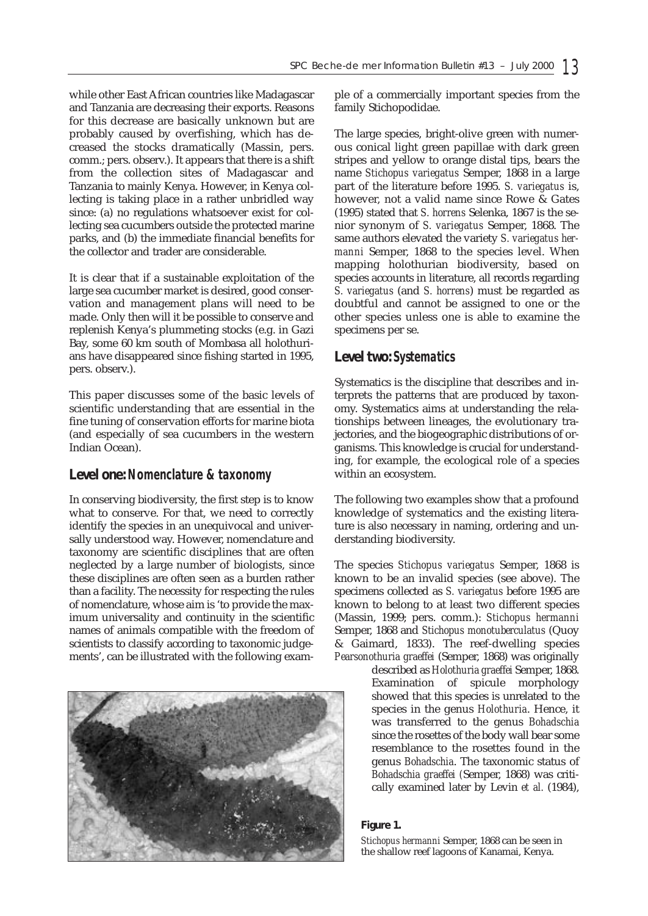while other East African countries like Madagascar and Tanzania are decreasing their exports. Reasons for this decrease are basically unknown but are probably caused by overfishing, which has decreased the stocks dramatically (Massin, pers. comm.; pers. observ.). It appears that there is a shift from the collection sites of Madagascar and Tanzania to mainly Kenya. However, in Kenya collecting is taking place in a rather unbridled way since: (a) no regulations whatsoever exist for collecting sea cucumbers outside the protected marine parks, and (b) the immediate financial benefits for the collector and trader are considerable.

It is clear that if a sustainable exploitation of the large sea cucumber market is desired, good conservation and management plans will need to be made. Only then will it be possible to conserve and replenish Kenya's plummeting stocks (e.g. in Gazi Bay, some 60 km south of Mombasa all holothurians have disappeared since fishing started in 1995, pers. observ.).

This paper discusses some of the basic levels of scientific understanding that are essential in the fine tuning of conservation efforts for marine biota (and especially of sea cucumbers in the western Indian Ocean).

## **Level one:** *Nomenclature & taxonomy*

In conserving biodiversity, the first step is to know what to conserve. For that, we need to correctly identify the species in an unequivocal and universally understood way. However, nomenclature and taxonomy are scientific disciplines that are often neglected by a large number of biologists, since these disciplines are often seen as a burden rather than a facility. The necessity for respecting the rules of nomenclature, whose aim is 'to provide the maximum universality and continuity in the scientific names of animals compatible with the freedom of scientists to classify according to taxonomic judgements', can be illustrated with the following exam-



ple of a commercially important species from the family Stichopodidae.

The large species, bright-olive green with numerous conical light green papillae with dark green stripes and yellow to orange distal tips, bears the name *Stichopus variegatus* Semper, 1868 in a large part of the literature before 1995. *S. variegatus* is, however, not a valid name since Rowe & Gates (1995) stated that *S. horrens* Selenka, 1867 is the senior synonym of *S. variegatus* Semper, 1868. The same authors elevated the variety *S. variegatus hermanni* Semper, 1868 to the species level. When mapping holothurian biodiversity, based on species accounts in literature, all records regarding *S. variegatus* (and *S. horrens*) must be regarded as doubtful and cannot be assigned to one or the other species unless one is able to examine the specimens per se.

# **Level two:** *Systematics*

Systematics is the discipline that describes and interprets the patterns that are produced by taxonomy. Systematics aims at understanding the relationships between lineages, the evolutionary trajectories, and the biogeographic distributions of organisms. This knowledge is crucial for understanding, for example, the ecological role of a species within an ecosystem.

The following two examples show that a profound knowledge of systematics and the existing literature is also necessary in naming, ordering and understanding biodiversity.

The species *Stichopus variegatus* Semper, 1868 is known to be an invalid species (see above). The specimens collected as *S. variegatus* before 1995 are known to belong to at least two different species (Massin, 1999; pers. comm.): *Stichopus hermanni* Semper, 1868 and *Stichopus monotuberculatus* (Quoy & Gaimard, 1833). The reef-dwelling species *Pearsonothuria graeffei* (Semper, 1868) was originally

described as *Holothuria graeffei* Semper, 1868. Examination of spicule morphology showed that this species is unrelated to the species in the genus *Holothuria*. Hence, it was transferred to the genus *Bohadschia* since the rosettes of the body wall bear some resemblance to the rosettes found in the genus *Bohadschia*. The taxonomic status of *Bohadschia graeffei (*Semper, 1868) was critically examined later by Levin *et al.* (1984),

#### **Figure 1.**

*Stichopus hermanni* Semper, 1868 can be seen in the shallow reef lagoons of Kanamai, Kenya.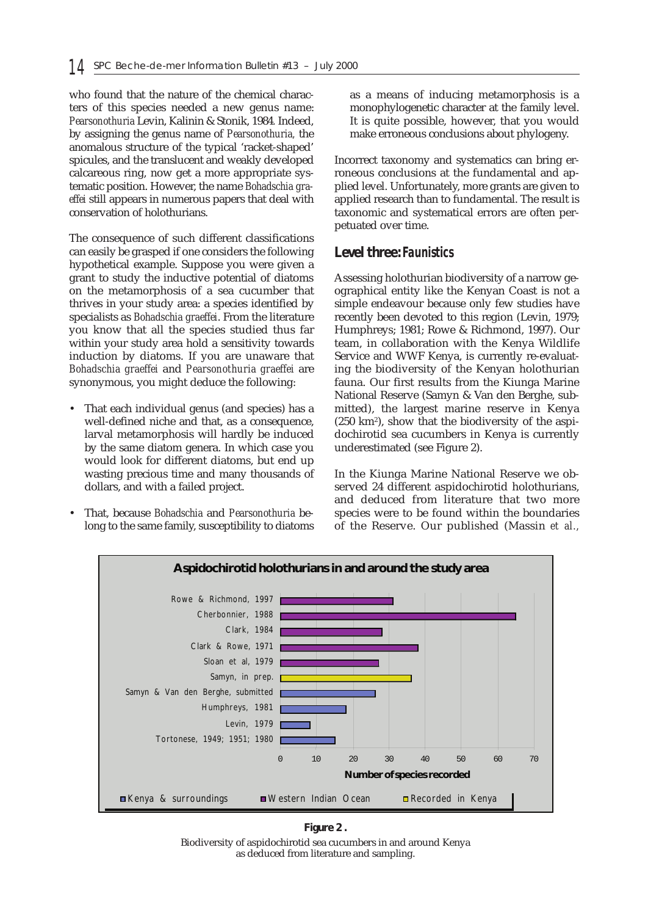who found that the nature of the chemical characters of this species needed a new genus name: *Pearsonothuria* Levin, Kalinin & Stonik, 1984*.* Indeed, by assigning the genus name of *Pearsonothuria,* the anomalous structure of the typical 'racket-shaped' spicules, and the translucent and weakly developed calcareous ring, now get a more appropriate systematic position. However, the name *Bohadschia graeffei* still appears in numerous papers that deal with conservation of holothurians.

The consequence of such different classifications can easily be grasped if one considers the following hypothetical example. Suppose you were given a grant to study the inductive potential of diatoms on the metamorphosis of a sea cucumber that thrives in your study area: a species identified by specialists as *Bohadschia graeffei*. From the literature you know that all the species studied thus far within your study area hold a sensitivity towards induction by diatoms. If you are unaware that *Bohadschia graeffei* and *Pearsonothuria graeffei* are synonymous, you might deduce the following:

- That each individual genus (and species) has a well-defined niche and that, as a consequence, larval metamorphosis will hardly be induced by the same diatom genera. In which case you would look for different diatoms, but end up wasting precious time and many thousands of dollars, and with a failed project.
- That, because *Bohadschia* and *Pearsonothuria* belong to the same family, susceptibility to diatoms

as a means of inducing metamorphosis is a monophylogenetic character at the family level. It is quite possible, however, that you would make erroneous conclusions about phylogeny.

Incorrect taxonomy and systematics can bring erroneous conclusions at the fundamental and applied level. Unfortunately, more grants are given to applied research than to fundamental. The result is taxonomic and systematical errors are often perpetuated over time.

### **Level three:** *Faunistics*

Assessing holothurian biodiversity of a narrow geographical entity like the Kenyan Coast is not a simple endeavour because only few studies have recently been devoted to this region (Levin, 1979; Humphreys; 1981; Rowe & Richmond, 1997). Our team, in collaboration with the Kenya Wildlife Service and WWF Kenya, is currently re-evaluating the biodiversity of the Kenyan holothurian fauna. Our first results from the Kiunga Marine National Reserve (Samyn & Van den Berghe, submitted), the largest marine reserve in Kenya (250 km2), show that the biodiversity of the aspidochirotid sea cucumbers in Kenya is currently underestimated (see Figure 2).

In the Kiunga Marine National Reserve we observed 24 different aspidochirotid holothurians, and deduced from literature that two more species were to be found within the boundaries of the Reserve. Our published (Massin *et al.,*



**Figure 2 .**

Biodiversity of aspidochirotid sea cucumbers in and around Kenya as deduced from literature and sampling.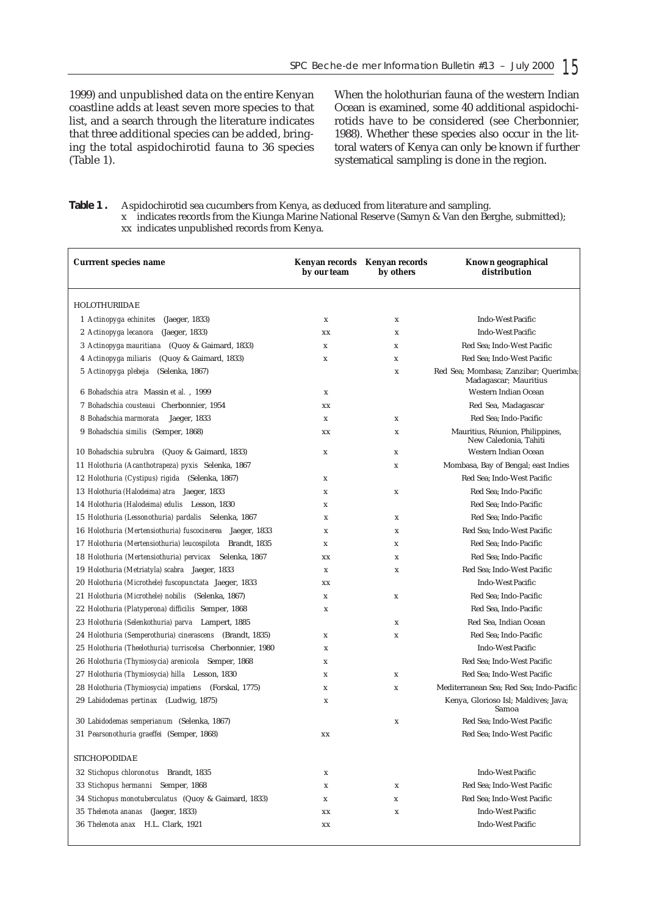1999) and unpublished data on the entire Kenyan coastline adds at least seven more species to that list, and a search through the literature indicates that three additional species can be added, bringing the total aspidochirotid fauna to 36 species (Table 1).

When the holothurian fauna of the western Indian Ocean is examined, some 40 additional aspidochirotids have to be considered (see Cherbonnier, 1988). Whether these species also occur in the littoral waters of Kenya can only be known if further systematical sampling is done in the region.

**Table 1 .** Aspidochirotid sea cucumbers from Kenya, as deduced from literature and sampling. x indicates records from the Kiunga Marine National Reserve (Samyn & Van den Berghe, submitted); xx indicates unpublished records from Kenya.

| <b>Currrent species name</b>                               | Kenyan records Kenyan records<br>by our team | by others   | Known geographical<br>distribution                             |
|------------------------------------------------------------|----------------------------------------------|-------------|----------------------------------------------------------------|
| HOLOTHURIIDAE                                              |                                              |             |                                                                |
| 1 Actinopyga echinites<br>(Jaeger, 1833)                   | x                                            | x           | <b>Indo-West Pacific</b>                                       |
| 2 Actinopyga lecanora<br>(Jaeger, 1833)                    | XX                                           | x           | <b>Indo-West Pacific</b>                                       |
| 3 Actinopyga mauritiana (Quoy & Gaimard, 1833)             | $\mathbf x$                                  | X           | Red Sea: Indo-West Pacific                                     |
| (Quoy & Gaimard, 1833)<br>4 Actinopyga miliaris            | x                                            | X           | Red Sea; Indo-West Pacific                                     |
| (Selenka, 1867)<br>5 Actinopyga plebeja                    |                                              | $\mathbf x$ | Red Sea; Mombasa; Zanzibar; Querimba;<br>Madagascar; Mauritius |
| 6 Bohadschia atra Massin et al., 1999                      | $\mathbf x$                                  |             | Western Indian Ocean                                           |
| 7 Bohadschia cousteaui Cherbonnier, 1954                   | xх                                           |             | Red Sea, Madagascar                                            |
| 8 Bohadschia marmorata<br>Jaeger, 1833                     | x                                            | X           | Red Sea; Indo-Pacific                                          |
| 9 Bohadschia similis (Semper, 1868)                        | $\mathbf{X}\mathbf{X}$                       | x           | Mauritius, Réunion, Philippines,<br>New Caledonia, Tahiti      |
| 10 <i>Bohadschia subrubra</i> (Quoy & Gaimard, 1833)       | X                                            | x           | Western Indian Ocean                                           |
| 11 Holothuria (Acanthotrapeza) pyxis Selenka, 1867         |                                              | x           | Mombasa, Bay of Bengal; east Indies                            |
| 12 Holothuria (Cystipus) rigida (Selenka, 1867)            | X                                            |             | Red Sea; Indo-West Pacific                                     |
| 13 Holothuria (Halodeima) atra Jaeger, 1833                | X                                            | x           | Red Sea; Indo-Pacific                                          |
| 14 Holothuria (Halodeima) edulis Lesson, 1830              | x                                            |             | Red Sea; Indo-Pacific                                          |
| 15 Holothuria (Lessonothuria) pardalis Selenka, 1867       | x                                            | X           | Red Sea; Indo-Pacific                                          |
| 16 Holothuria (Mertensiothuria) fuscocinerea Jaeger, 1833  | x                                            | X           | Red Sea; Indo-West Pacific                                     |
| 17 Holothuria (Mertensiothuria) leucospilota Brandt, 1835  | x                                            | x           | Red Sea; Indo-Pacific                                          |
| 18 Holothuria (Mertensiothuria) pervicax Selenka, 1867     | XX                                           | X           | Red Sea; Indo-Pacific                                          |
| 19 Holothuria (Metriatyla) scabra Jaeger, 1833             | x                                            | X           | Red Sea; Indo-West Pacific                                     |
| 20 Holothuria (Microthele) fuscopunctata Jaeger, 1833      | $\mathbf{X}\mathbf{X}$                       |             | <b>Indo-West Pacific</b>                                       |
| 21 Holothuria (Microthele) nobilis (Selenka, 1867)         | $\mathbf x$                                  | x           | Red Sea; Indo-Pacific                                          |
| 22 Holothuria (Platyperona) difficilis Semper, 1868        | x                                            |             | Red Sea, Indo-Pacific                                          |
| 23 Holothuria (Selenkothuria) parva Lampert, 1885          |                                              | X           | Red Sea, Indian Ocean                                          |
| 24 Holothuria (Semperothuria) cinerascens (Brandt, 1835)   | x                                            | x           | Red Sea; Indo-Pacific                                          |
| 25 Holothuria (Theelothuria) turriscelsa Cherbonnier, 1980 | $\mathbf x$                                  |             | <b>Indo-West Pacific</b>                                       |
| 26 Holothuria (Thymiosycia) arenicola Semper, 1868         | x                                            |             | Red Sea; Indo-West Pacific                                     |
| 27 Holothuria (Thymiosycia) hilla Lesson, 1830             | X                                            | x           | Red Sea; Indo-West Pacific                                     |
| 28 Holothuria (Thymiosycia) impatiens (Forskal, 1775)      | $\mathbf x$                                  | $\mathbf x$ | Mediterranean Sea; Red Sea; Indo-Pacific                       |
| 29 Labidodemas pertinax (Ludwig, 1875)                     | $\mathbf x$                                  |             | Kenya, Glorioso Isl; Maldives; Java;<br>Samoa                  |
| 30 Labidodemas semperianum (Selenka, 1867)                 |                                              | $\mathbf x$ | Red Sea; Indo-West Pacific                                     |
| 31 Pearsonothuria graeffei (Semper, 1868)                  | XX                                           |             | Red Sea; Indo-West Pacific                                     |
| <b>STICHOPODIDAE</b>                                       |                                              |             |                                                                |
| 32 Stichopus chloronotus Brandt, 1835                      | $\mathbf x$                                  |             | <b>Indo-West Pacific</b>                                       |
| 33 Stichopus hermanni Semper, 1868                         | x                                            | X           | Red Sea; Indo-West Pacific                                     |
| 34 Stichopus monotuberculatus (Quoy & Gaimard, 1833)       | X                                            | $\mathbf x$ | Red Sea; Indo-West Pacific                                     |
| 35 Thelenota ananas (Jaeger, 1833)                         | XX                                           | X           | <b>Indo-West Pacific</b>                                       |
| 36 Thelenota anax H.L. Clark, 1921                         | $\mathbf{X}\mathbf{X}$                       |             | <b>Indo-West Pacific</b>                                       |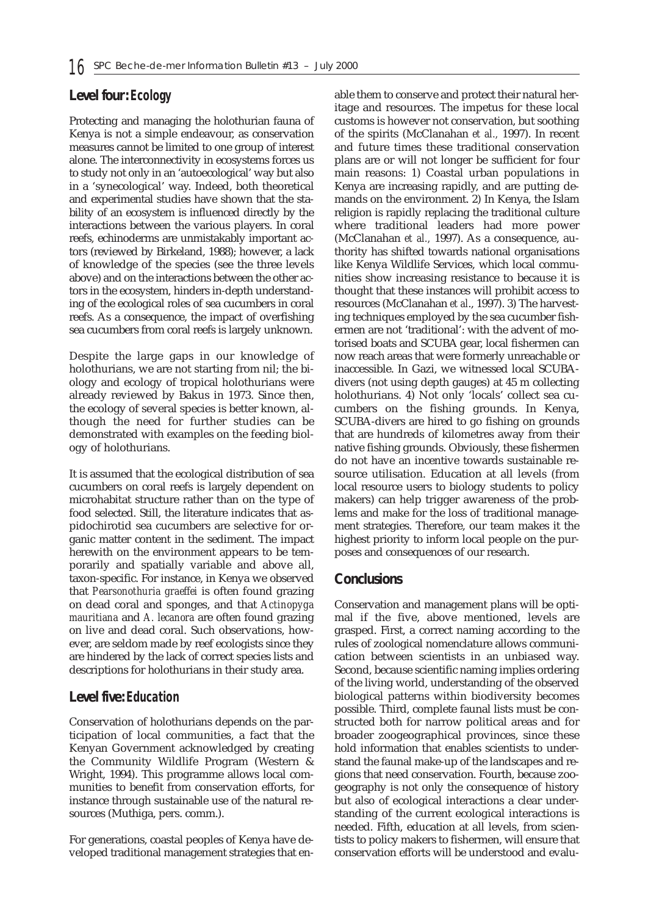# **Level four:** *Ecology*

Protecting and managing the holothurian fauna of Kenya is not a simple endeavour, as conservation measures cannot be limited to one group of interest alone. The interconnectivity in ecosystems forces us to study not only in an 'autoecological' way but also in a 'synecological' way. Indeed, both theoretical and experimental studies have shown that the stability of an ecosystem is influenced directly by the interactions between the various players. In coral reefs, echinoderms are unmistakably important actors (reviewed by Birkeland, 1988); however, a lack of knowledge of the species (see the three levels above) and on the interactions between the other actors in the ecosystem, hinders in-depth understanding of the ecological roles of sea cucumbers in coral reefs. As a consequence, the impact of overfishing sea cucumbers from coral reefs is largely unknown.

Despite the large gaps in our knowledge of holothurians, we are not starting from nil; the biology and ecology of tropical holothurians were already reviewed by Bakus in 1973. Since then, the ecology of several species is better known, although the need for further studies can be demonstrated with examples on the feeding biology of holothurians.

It is assumed that the ecological distribution of sea cucumbers on coral reefs is largely dependent on microhabitat structure rather than on the type of food selected. Still, the literature indicates that aspidochirotid sea cucumbers are selective for organic matter content in the sediment. The impact herewith on the environment appears to be temporarily and spatially variable and above all, taxon-specific. For instance, in Kenya we observed that *Pearsonothuria graeffei* is often found grazing on dead coral and sponges, and that *Actinopyga mauritiana* and *A. lecanora* are often found grazing on live and dead coral. Such observations, however, are seldom made by reef ecologists since they are hindered by the lack of correct species lists and descriptions for holothurians in their study area.

## **Level five:** *Education*

Conservation of holothurians depends on the participation of local communities, a fact that the Kenyan Government acknowledged by creating the Community Wildlife Program (Western & Wright, 1994). This programme allows local communities to benefit from conservation efforts, for instance through sustainable use of the natural resources (Muthiga, pers. comm.).

For generations, coastal peoples of Kenya have developed traditional management strategies that enable them to conserve and protect their natural heritage and resources. The impetus for these local customs is however not conservation, but soothing of the spirits (McClanahan *et al.,* 1997). In recent and future times these traditional conservation plans are or will not longer be sufficient for four main reasons: 1) Coastal urban populations in Kenya are increasing rapidly, and are putting demands on the environment. 2) In Kenya, the Islam religion is rapidly replacing the traditional culture where traditional leaders had more power (McClanahan *et al.,* 1997). As a consequence, authority has shifted towards national organisations like Kenya Wildlife Services, which local communities show increasing resistance to because it is thought that these instances will prohibit access to resources (McClanahan *et al*., 1997). 3) The harvesting techniques employed by the sea cucumber fishermen are not 'traditional': with the advent of motorised boats and SCUBA gear, local fishermen can now reach areas that were formerly unreachable or inaccessible. In Gazi, we witnessed local SCUBAdivers (not using depth gauges) at 45 m collecting holothurians. 4) Not only 'locals' collect sea cucumbers on the fishing grounds. In Kenya, SCUBA-divers are hired to go fishing on grounds that are hundreds of kilometres away from their native fishing grounds. Obviously, these fishermen do not have an incentive towards sustainable resource utilisation. Education at all levels (from local resource users to biology students to policy makers) can help trigger awareness of the problems and make for the loss of traditional management strategies. Therefore, our team makes it the highest priority to inform local people on the purposes and consequences of our research.

## **Conclusions**

Conservation and management plans will be optimal if the five, above mentioned, levels are grasped. First, a correct naming according to the rules of zoological nomenclature allows communication between scientists in an unbiased way. Second, because scientific naming implies ordering of the living world, understanding of the observed biological patterns within biodiversity becomes possible. Third, complete faunal lists must be constructed both for narrow political areas and for broader zoogeographical provinces, since these hold information that enables scientists to understand the faunal make-up of the landscapes and regions that need conservation. Fourth, because zoogeography is not only the consequence of history but also of ecological interactions a clear understanding of the current ecological interactions is needed. Fifth, education at all levels, from scientists to policy makers to fishermen, will ensure that conservation efforts will be understood and evalu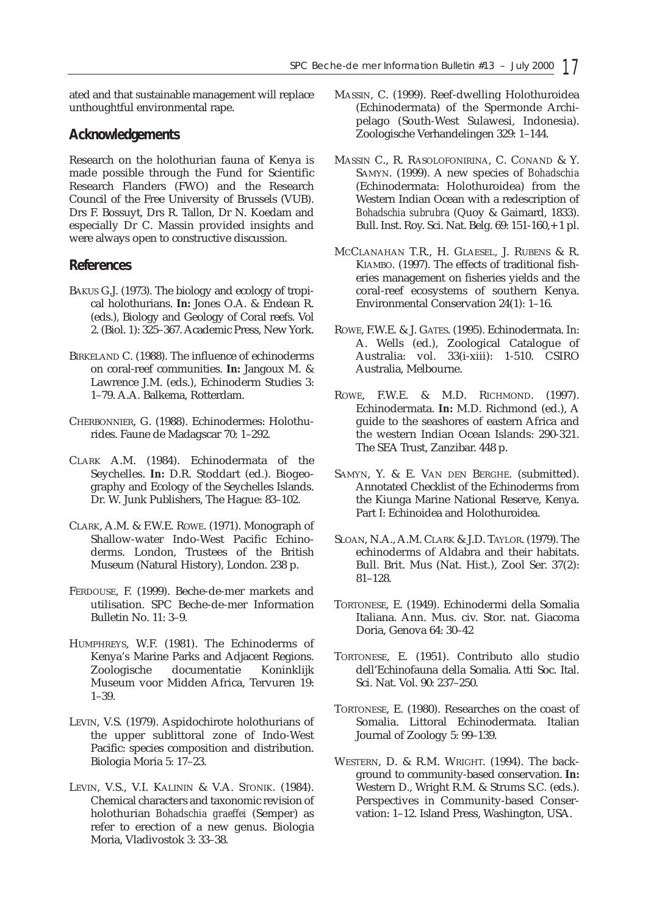ated and that sustainable management will replace unthoughtful environmental rape.

### **Acknowledgements**

Research on the holothurian fauna of Kenya is made possible through the Fund for Scientific Research Flanders (FWO) and the Research Council of the Free University of Brussels (VUB). Drs F. Bossuyt, Drs R. Tallon, Dr N. Koedam and especially Dr C. Massin provided insights and were always open to constructive discussion.

### **References**

- BAKUS G.J. (1973). The biology and ecology of tropical holothurians. **In:** Jones O.A. & Endean R. (eds.), Biology and Geology of Coral reefs. Vol 2. (Biol. 1): 325–367. Academic Press, New York.
- BIRKELAND C. (1988). The influence of echinoderms on coral-reef communities. **In:** Jangoux M. & Lawrence J.M. (eds.), Echinoderm Studies 3: 1–79. A.A. Balkema, Rotterdam.
- CHERBONNIER, G. (1988). Echinodermes: Holothurides. Faune de Madagscar 70: 1–292.
- CLARK A.M. (1984). Echinodermata of the Seychelles. **In:** D.R. Stoddart (ed.). Biogeography and Ecology of the Seychelles Islands. Dr. W. Junk Publishers, The Hague: 83–102.
- CLARK, A.M. & F.W.E. ROWE. (1971). Monograph of Shallow-water Indo-West Pacific Echinoderms. London, Trustees of the British Museum (Natural History), London. 238 p.
- FERDOUSE, F. (1999). Beche-de-mer markets and utilisation. SPC Beche-de-mer Information Bulletin No. 11: 3–9.
- HUMPHREYS, W.F. (1981). The Echinoderms of Kenya's Marine Parks and Adjacent Regions. Zoologische documentatie Koninklijk Museum voor Midden Africa, Tervuren 19: 1–39.
- LEVIN, V.S. (1979). Aspidochirote holothurians of the upper sublittoral zone of Indo-West Pacific: species composition and distribution. Biologia Moria 5: 17–23.
- LEVIN, V.S., V.I. KALININ & V.A. STONIK. (1984). Chemical characters and taxonomic revision of holothurian *Bohadschia graeffei* (Semper) as refer to erection of a new genus. Biologia Moria, Vladivostok 3: 33–38.
- MASSIN, C. (1999). Reef-dwelling Holothuroidea (Echinodermata) of the Spermonde Archipelago (South-West Sulawesi, Indonesia). Zoologische Verhandelingen 329: 1–144.
- MASSIN C., R. RASOLOFONIRINA, C. CONAND & Y. SAMYN. (1999). A new species of *Bohadschia* (Echinodermata: Holothuroidea) from the Western Indian Ocean with a redescription of *Bohadschia subrubra* (Quoy & Gaimard, 1833). Bull. Inst. Roy. Sci. Nat. Belg. 69: 151-160,+ 1 pl.
- MCCLANAHAN T.R., H. GLAESEL, J. RUBENS & R. KIAMBO. (1997). The effects of traditional fisheries management on fisheries yields and the coral-reef ecosystems of southern Kenya. Environmental Conservation 24(1): 1–16.
- ROWE, F.W.E. & J. GATES. (1995). Echinodermata. In: A. Wells (ed.), Zoological Catalogue of Australia: vol. 33(i-xiii): 1-510. CSIRO Australia, Melbourne.
- ROWE, F.W.E. & M.D. RICHMOND. (1997). Echinodermata. **In:** M.D. Richmond (ed.), A guide to the seashores of eastern Africa and the western Indian Ocean Islands: 290-321. The SEA Trust, Zanzibar. 448 p.
- SAMYN, Y. & E. VAN DEN BERGHE. (submitted). Annotated Checklist of the Echinoderms from the Kiunga Marine National Reserve, Kenya. Part I: Echinoidea and Holothuroidea.
- SLOAN, N.A., A.M. CLARK & J.D. TAYLOR. (1979). The echinoderms of Aldabra and their habitats. Bull. Brit. Mus (Nat. Hist.), Zool Ser. 37(2): 81–128.
- TORTONESE, E. (1949). Echinodermi della Somalia Italiana. Ann. Mus. civ. Stor. nat. Giacoma Doria, Genova 64: 30–42
- TORTONESE, E. (1951). Contributo allo studio dell'Echinofauna della Somalia. Atti Soc. Ital. Sci. Nat. Vol. 90: 237–250.
- TORTONESE, E. (1980). Researches on the coast of Somalia. Littoral Echinodermata. Italian Journal of Zoology 5: 99–139.
- WESTERN, D. & R.M. WRIGHT. (1994). The background to community-based conservation. **In:** Western D., Wright R.M. & Strums S.C. (eds.). Perspectives in Community-based Conservation: 1–12. Island Press, Washington, USA.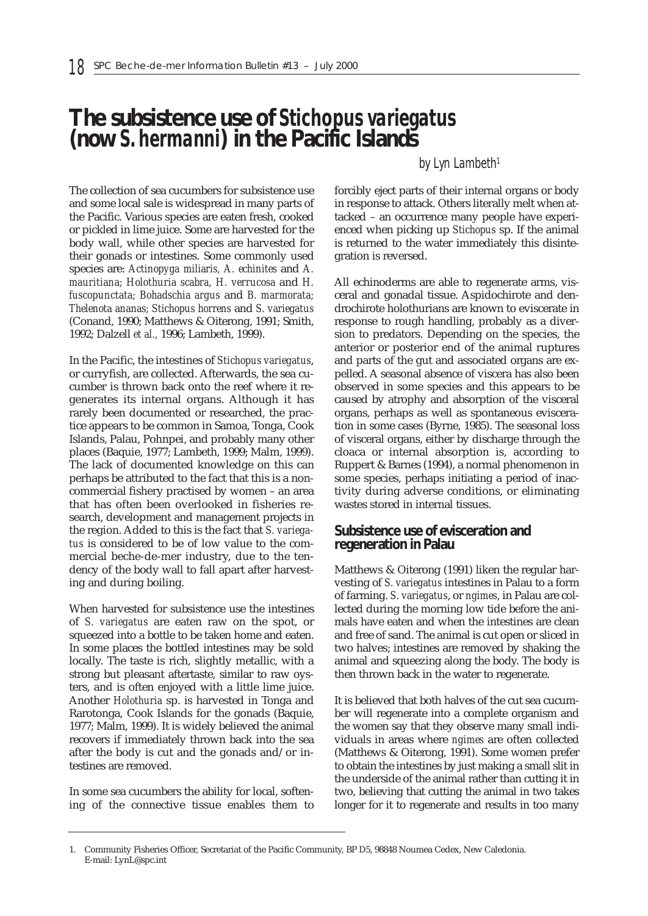# **The subsistence use of** *Stichopus variegatus* **(now** *S. hermanni***) in the Pacific Islands**

#### *by Lyn Lambeth1*

The collection of sea cucumbers for subsistence use and some local sale is widespread in many parts of the Pacific. Various species are eaten fresh, cooked or pickled in lime juice. Some are harvested for the body wall, while other species are harvested for their gonads or intestines. Some commonly used species are: *Actinopyga miliaris, A. echinites* and *A. mauritiana; Holothuria scabra, H. verrucosa* and *H. fuscopunctata; Bohadschia argus* and *B. marmorata; Thelenota ananas; Stichopus horrens* and *S. variegatus* (Conand, 1990; Matthews & Oiterong, 1991; Smith, 1992; Dalzell *et al.,* 1996; Lambeth, 1999).

In the Pacific, the intestines of *Stichopus variegatus*, or curryfish, are collected. Afterwards, the sea cucumber is thrown back onto the reef where it regenerates its internal organs. Although it has rarely been documented or researched, the practice appears to be common in Samoa, Tonga, Cook Islands, Palau, Pohnpei, and probably many other places (Baquie, 1977; Lambeth, 1999; Malm, 1999). The lack of documented knowledge on this can perhaps be attributed to the fact that this is a noncommercial fishery practised by women – an area that has often been overlooked in fisheries research, development and management projects in the region. Added to this is the fact that *S. variegatus* is considered to be of low value to the commercial beche-de-mer industry, due to the tendency of the body wall to fall apart after harvesting and during boiling.

When harvested for subsistence use the intestines of *S. variegatus* are eaten raw on the spot, or squeezed into a bottle to be taken home and eaten. In some places the bottled intestines may be sold locally. The taste is rich, slightly metallic, with a strong but pleasant aftertaste, similar to raw oysters, and is often enjoyed with a little lime juice. Another *Holothuria* sp. is harvested in Tonga and Rarotonga, Cook Islands for the gonads (Baquie, 1977; Malm, 1999). It is widely believed the animal recovers if immediately thrown back into the sea after the body is cut and the gonads and/or intestines are removed.

In some sea cucumbers the ability for local, softening of the connective tissue enables them to forcibly eject parts of their internal organs or body in response to attack. Others literally melt when attacked – an occurrence many people have experienced when picking up *Stichopus* sp. If the animal is returned to the water immediately this disintegration is reversed.

All echinoderms are able to regenerate arms, visceral and gonadal tissue. Aspidochirote and dendrochirote holothurians are known to eviscerate in response to rough handling, probably as a diversion to predators. Depending on the species, the anterior or posterior end of the animal ruptures and parts of the gut and associated organs are expelled. A seasonal absence of viscera has also been observed in some species and this appears to be caused by atrophy and absorption of the visceral organs, perhaps as well as spontaneous evisceration in some cases (Byrne, 1985). The seasonal loss of visceral organs, either by discharge through the cloaca or internal absorption is, according to Ruppert & Barnes (1994), a normal phenomenon in some species, perhaps initiating a period of inactivity during adverse conditions, or eliminating wastes stored in internal tissues.

#### **Subsistence use of evisceration and regeneration in Palau**

Matthews & Oiterong (1991) liken the regular harvesting of *S. variegatus* intestines in Palau to a form of farming. *S. variegatus*, or *ngimes*, in Palau are collected during the morning low tide before the animals have eaten and when the intestines are clean and free of sand. The animal is cut open or sliced in two halves; intestines are removed by shaking the animal and squeezing along the body. The body is then thrown back in the water to regenerate.

It is believed that both halves of the cut sea cucumber will regenerate into a complete organism and the women say that they observe many small individuals in areas where *ngimes* are often collected (Matthews & Oiterong, 1991). Some women prefer to obtain the intestines by just making a small slit in the underside of the animal rather than cutting it in two, believing that cutting the animal in two takes longer for it to regenerate and results in too many

<sup>1.</sup> Community Fisheries Officer, Secretariat of the Pacific Community, BP D5, 98848 Noumea Cedex, New Caledonia. E-mail: LynL@spc.int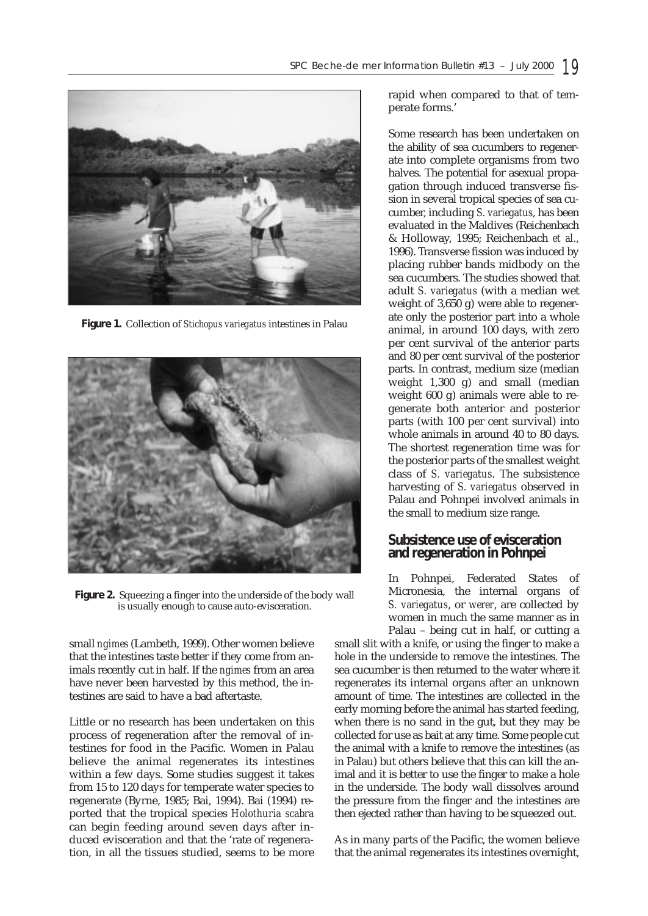

**Figure 1.** Collection of *Stichopus variegatus* intestines in Palau



**Figure 2.** Squeezing a finger into the underside of the body wall is usually enough to cause auto-evisceration.

small *ngimes* (Lambeth, 1999). Other women believe that the intestines taste better if they come from animals recently cut in half. If the *ngimes* from an area have never been harvested by this method, the intestines are said to have a bad aftertaste.

Little or no research has been undertaken on this process of regeneration after the removal of intestines for food in the Pacific. Women in Palau believe the animal regenerates its intestines within a few days. Some studies suggest it takes from 15 to 120 days for temperate water species to regenerate (Byrne, 1985; Bai, 1994). Bai (1994) reported that the tropical species *Holothuria scabra* can begin feeding around seven days after induced evisceration and that the 'rate of regeneration, in all the tissues studied, seems to be more

rapid when compared to that of temperate forms.'

Some research has been undertaken on the ability of sea cucumbers to regenerate into complete organisms from two halves. The potential for asexual propagation through induced transverse fission in several tropical species of sea cucumber, including *S. variegatus*, has been evaluated in the Maldives (Reichenbach & Holloway, 1995; Reichenbach *et al.,* 1996). Transverse fission was induced by placing rubber bands midbody on the sea cucumbers. The studies showed that adult *S. variegatus* (with a median wet weight of 3,650 g) were able to regenerate only the posterior part into a whole animal, in around 100 days, with zero per cent survival of the anterior parts and 80 per cent survival of the posterior parts. In contrast, medium size (median weight 1,300 g) and small (median weight 600 g) animals were able to regenerate both anterior and posterior parts (with 100 per cent survival) into whole animals in around 40 to 80 days. The shortest regeneration time was for the posterior parts of the smallest weight class of *S. variegatus*. The subsistence harvesting of *S. variegatus* observed in Palau and Pohnpei involved animals in the small to medium size range.

#### **Subsistence use of evisceration and regeneration in Pohnpei**

In Pohnpei, Federated States of Micronesia, the internal organs of *S. variegatus*, or *werer*, are collected by women in much the same manner as in Palau – being cut in half, or cutting a

small slit with a knife, or using the finger to make a hole in the underside to remove the intestines. The sea cucumber is then returned to the water where it regenerates its internal organs after an unknown amount of time. The intestines are collected in the early morning before the animal has started feeding, when there is no sand in the gut, but they may be collected for use as bait at any time. Some people cut the animal with a knife to remove the intestines (as in Palau) but others believe that this can kill the animal and it is better to use the finger to make a hole in the underside. The body wall dissolves around the pressure from the finger and the intestines are then ejected rather than having to be squeezed out.

As in many parts of the Pacific, the women believe that the animal regenerates its intestines overnight,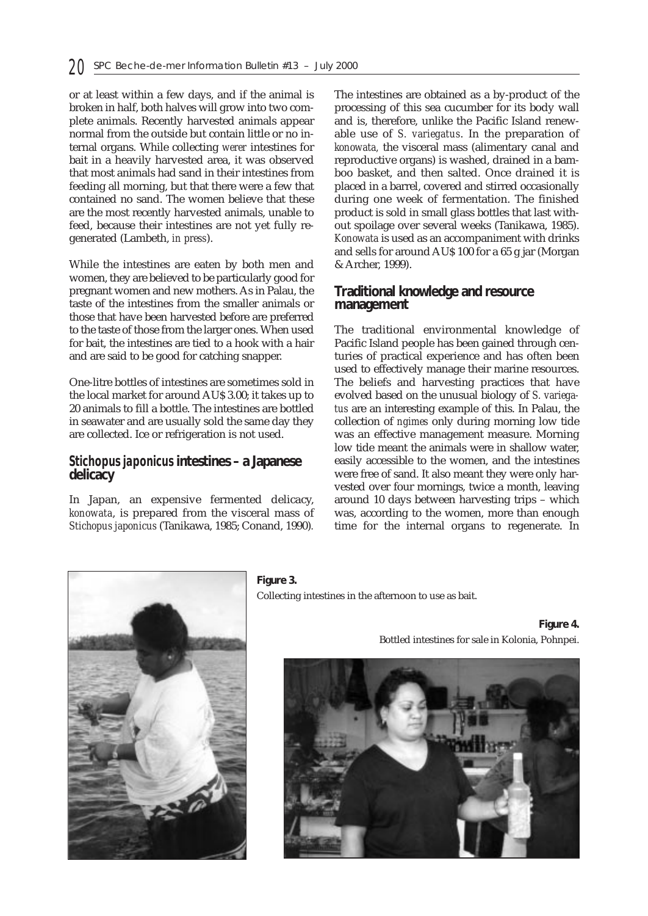or at least within a few days, and if the animal is broken in half, both halves will grow into two complete animals. Recently harvested animals appear normal from the outside but contain little or no internal organs. While collecting *werer* intestines for bait in a heavily harvested area, it was observed that most animals had sand in their intestines from feeding all morning, but that there were a few that contained no sand. The women believe that these are the most recently harvested animals, unable to feed, because their intestines are not yet fully regenerated (Lambeth, *in press*).

While the intestines are eaten by both men and women, they are believed to be particularly good for pregnant women and new mothers. As in Palau, the taste of the intestines from the smaller animals or those that have been harvested before are preferred to the taste of those from the larger ones. When used for bait, the intestines are tied to a hook with a hair and are said to be good for catching snapper.

One-litre bottles of intestines are sometimes sold in the local market for around AU\$ 3.00; it takes up to 20 animals to fill a bottle. The intestines are bottled in seawater and are usually sold the same day they are collected. Ice or refrigeration is not used.

#### *Stichopus japonicus* **intestines – a Japanese delicacy**

In Japan, an expensive fermented delicacy, *konowata*, is prepared from the visceral mass of *Stichopus japonicus* (Tanikawa, 1985; Conand, 1990)*.*

The intestines are obtained as a by-product of the processing of this sea cucumber for its body wall and is, therefore, unlike the Pacific Island renewable use of *S. variegatus*. In the preparation of *konowata,* the visceral mass (alimentary canal and reproductive organs) is washed, drained in a bamboo basket, and then salted. Once drained it is placed in a barrel, covered and stirred occasionally during one week of fermentation. The finished product is sold in small glass bottles that last without spoilage over several weeks (Tanikawa, 1985). *Konowata* is used as an accompaniment with drinks and sells for around AU\$ 100 for a 65 g jar (Morgan & Archer, 1999).

### **Traditional knowledge and resource management**

The traditional environmental knowledge of Pacific Island people has been gained through centuries of practical experience and has often been used to effectively manage their marine resources. The beliefs and harvesting practices that have evolved based on the unusual biology of *S. variegatus* are an interesting example of this. In Palau, the collection of *ngimes* only during morning low tide was an effective management measure. Morning low tide meant the animals were in shallow water, easily accessible to the women, and the intestines were free of sand. It also meant they were only harvested over four mornings, twice a month, leaving around 10 days between harvesting trips – which was, according to the women, more than enough time for the internal organs to regenerate. In



**Figure 3.** Collecting intestines in the afternoon to use as bait.

**Figure 4.**  Bottled intestines for sale in Kolonia, Pohnpei.

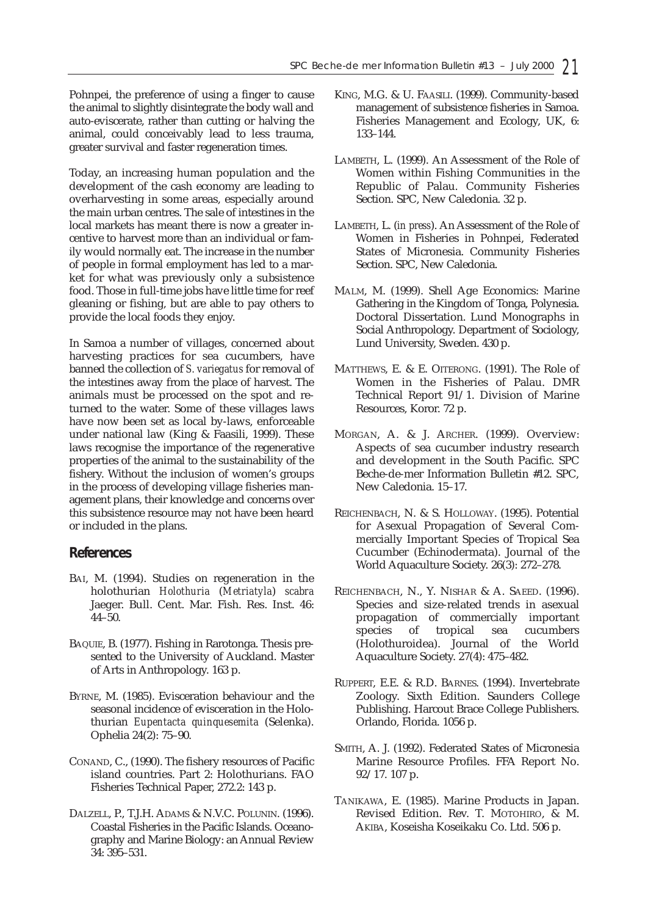Pohnpei, the preference of using a finger to cause the animal to slightly disintegrate the body wall and auto-eviscerate, rather than cutting or halving the animal, could conceivably lead to less trauma, greater survival and faster regeneration times.

Today, an increasing human population and the development of the cash economy are leading to overharvesting in some areas, especially around the main urban centres. The sale of intestines in the local markets has meant there is now a greater incentive to harvest more than an individual or family would normally eat. The increase in the number of people in formal employment has led to a market for what was previously only a subsistence food. Those in full-time jobs have little time for reef gleaning or fishing, but are able to pay others to provide the local foods they enjoy.

In Samoa a number of villages, concerned about harvesting practices for sea cucumbers, have banned the collection of *S. variegatus* for removal of the intestines away from the place of harvest. The animals must be processed on the spot and returned to the water. Some of these villages laws have now been set as local by-laws, enforceable under national law (King & Faasili, 1999). These laws recognise the importance of the regenerative properties of the animal to the sustainability of the fishery. Without the inclusion of women's groups in the process of developing village fisheries management plans, their knowledge and concerns over this subsistence resource may not have been heard or included in the plans.

#### **References**

- BAI, M. (1994). Studies on regeneration in the holothurian *Holothuria* (*Metriatyla*) *scabra* Jaeger. Bull. Cent. Mar. Fish. Res. Inst. 46:  $44 - 50$ .
- BAQUIE, B. (1977). Fishing in Rarotonga. Thesis presented to the University of Auckland. Master of Arts in Anthropology. 163 p.
- BYRNE, M. (1985). Evisceration behaviour and the seasonal incidence of evisceration in the Holothurian *Eupentacta quinquesemita* (Selenka). Ophelia 24(2): 75–90.
- CONAND, C., (1990). The fishery resources of Pacific island countries. Part 2: Holothurians. FAO Fisheries Technical Paper, 272.2: 143 p.
- DALZELL, P., T.J.H. ADAMS & N.V.C. POLUNIN. (1996). Coastal Fisheries in the Pacific Islands. Oceanography and Marine Biology: an Annual Review 34: 395–531.
- KING, M.G. & U. FAASILI. (1999). Community-based management of subsistence fisheries in Samoa. Fisheries Management and Ecology, UK, 6: 133–144.
- LAMBETH, L. (1999). An Assessment of the Role of Women within Fishing Communities in the Republic of Palau. Community Fisheries Section. SPC, New Caledonia. 32 p.
- LAMBETH, L. (*in press*). An Assessment of the Role of Women in Fisheries in Pohnpei, Federated States of Micronesia. Community Fisheries Section. SPC, New Caledonia.
- MALM, M. (1999). Shell Age Economics: Marine Gathering in the Kingdom of Tonga, Polynesia. Doctoral Dissertation. Lund Monographs in Social Anthropology. Department of Sociology, Lund University, Sweden. 430 p.
- MATTHEWS, E. & E. OITERONG. (1991). The Role of Women in the Fisheries of Palau. DMR Technical Report 91/1. Division of Marine Resources, Koror. 72 p.
- MORGAN, A. & J. ARCHER. (1999). Overview: Aspects of sea cucumber industry research and development in the South Pacific. SPC Beche-de-mer Information Bulletin #12. SPC, New Caledonia. 15–17.
- REICHENBACH, N. & S. HOLLOWAY. (1995). Potential for Asexual Propagation of Several Commercially Important Species of Tropical Sea Cucumber (Echinodermata). Journal of the World Aquaculture Society. 26(3): 272–278.
- REICHENBACH, N., Y. NISHAR & A. SAEED. (1996). Species and size-related trends in asexual propagation of commercially important species of tropical sea cucumbers (Holothuroidea). Journal of the World Aquaculture Society. 27(4): 475–482.
- RUPPERT, E.E. & R.D. BARNES. (1994). Invertebrate Zoology. Sixth Edition. Saunders College Publishing. Harcout Brace College Publishers. Orlando, Florida. 1056 p.
- SMITH, A. J. (1992). Federated States of Micronesia Marine Resource Profiles. FFA Report No. 92/17. 107 p.
- TANIKAWA, E. (1985). Marine Products in Japan. Revised Edition. Rev. T. MOTOHIRO, & M. AKIBA, Koseisha Koseikaku Co. Ltd. 506 p.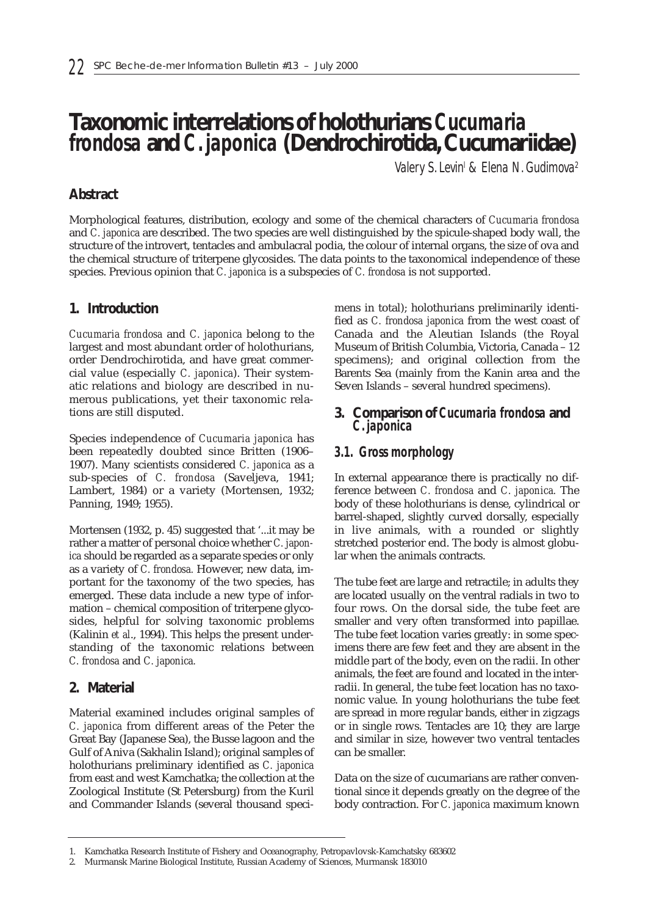# **Taxonomic interrelations of holothurians** *Cucumaria frondosa* **and** *C. japonica* **(Dendrochirotida, Cucumariidae)**

*Valery S. Levinl & Elena N. Gudimova2*

# **Abstract**

Morphological features, distribution, ecology and some of the chemical characters of *Cucumaria frondosa* and *C. japonica* are described. The two species are well distinguished by the spicule-shaped body wall, the structure of the introvert, tentacles and ambulacral podia, the colour of internal organs, the size of ova and the chemical structure of triterpene glycosides. The data points to the taxonomical independence of these species. Previous opinion that *C. japonica* is a subspecies of *C. frondosa* is not supported.

# **1. Introduction**

*Cucumaria frondosa* and *C. japonica* belong to the largest and most abundant order of holothurians, order Dendrochirotida, and have great commercial value (especially *C. japonica*). Their systematic relations and biology are described in numerous publications, yet their taxonomic relations are still disputed.

Species independence of *Cucumaria japonica* has been repeatedly doubted since Britten (1906– 1907). Many scientists considered *C. japonica* as a sub-species of *C. frondosa* (Saveljeva, 1941; Lambert, 1984) or a variety (Mortensen, 1932; Panning, 1949; 1955).

Mortensen (1932, p. 45) suggested that '...it may be rather a matter of personal choice whether *C. japonica* should be regarded as a separate species or only as a variety of *C. frondosa.* However, new data, important for the taxonomy of the two species, has emerged. These data include a new type of information – chemical composition of triterpene glycosides, helpful for solving taxonomic problems (Kalinin *et al*., 1994). This helps the present understanding of the taxonomic relations between *C. frondosa* and *C. japonica.*

## **2. Material**

Material examined includes original samples of *C. japonica* from different areas of the Peter the Great Bay (Japanese Sea), the Busse lagoon and the Gulf of Aniva (Sakhalin Island); original samples of holothurians preliminary identified as *C. japonica* from east and west Kamchatka; the collection at the Zoological Institute (St Petersburg) from the Kuril and Commander Islands (several thousand specimens in total); holothurians preliminarily identified as *C. frondosa japonica* from the west coast of Canada and the Aleutian Islands (the Royal Museum of British Columbia, Victoria, Canada – 12 specimens); and original collection from the Barents Sea (mainly from the Kanin area and the Seven Islands – several hundred specimens).

### **3. Comparison of** *Cucumaria frondosa* **and** *C. japonica*

# *3.1. Gross morphology*

In external appearance there is practically no difference between *C. frondosa* and *C. japonica.* The body of these holothurians is dense, cylindrical or barrel-shaped, slightly curved dorsally, especially in live animals, with a rounded or slightly stretched posterior end. The body is almost globular when the animals contracts.

The tube feet are large and retractile; in adults they are located usually on the ventral radials in two to four rows. On the dorsal side, the tube feet are smaller and very often transformed into papillae. The tube feet location varies greatly: in some specimens there are few feet and they are absent in the middle part of the body, even on the radii. In other animals, the feet are found and located in the interradii. In general, the tube feet location has no taxonomic value. In young holothurians the tube feet are spread in more regular bands, either in zigzags or in single rows. Tentacles are 10; they are large and similar in size, however two ventral tentacles can be smaller.

Data on the size of cucumarians are rather conventional since it depends greatly on the degree of the body contraction. For *C. japonica* maximum known

<sup>1.</sup> Kamchatka Research Institute of Fishery and Oceanography, Petropavlovsk-Kamchatsky 683602

<sup>2.</sup> Murmansk Marine Biological Institute, Russian Academy of Sciences, Murmansk 183010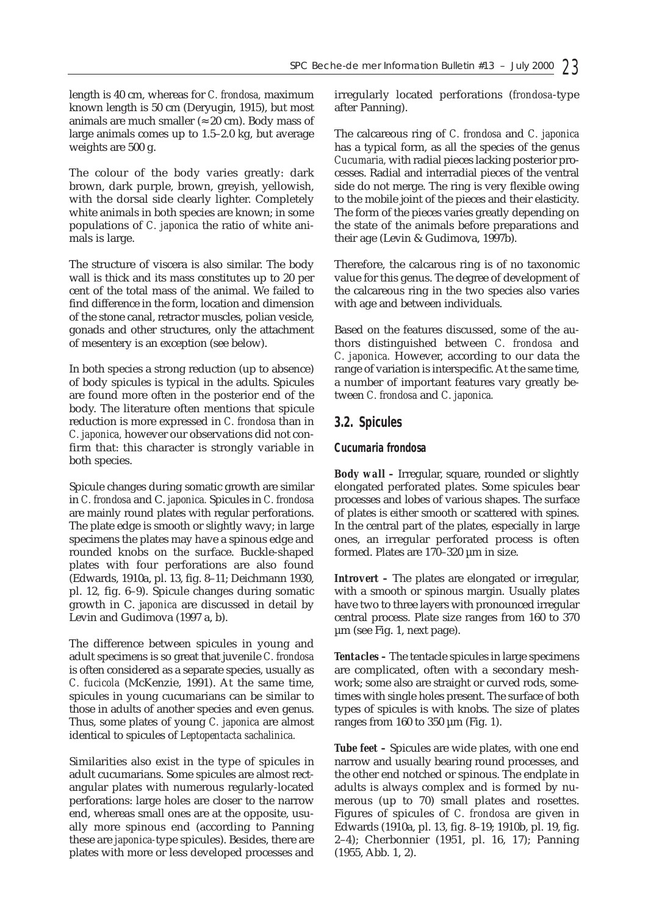length is 40 cm, whereas for *C. frondosa,* maximum known length is 50 cm (Deryugin, 1915), but most animals are much smaller ( $\approx 20$  cm). Body mass of large animals comes up to 1.5–2.0 kg, but average weights are 500 g.

The colour of the body varies greatly: dark brown, dark purple, brown, greyish, yellowish, with the dorsal side clearly lighter. Completely white animals in both species are known; in some populations of *C. japonica* the ratio of white animals is large.

The structure of viscera is also similar. The body wall is thick and its mass constitutes up to 20 per cent of the total mass of the animal. We failed to find difference in the form, location and dimension of the stone canal, retractor muscles, polian vesicle, gonads and other structures, only the attachment of mesentery is an exception (see below).

In both species a strong reduction (up to absence) of body spicules is typical in the adults. Spicules are found more often in the posterior end of the body. The literature often mentions that spicule reduction is more expressed in *C. frondosa* than in *C. japonica,* however our observations did not confirm that: this character is strongly variable in both species.

Spicule changes during somatic growth are similar in *C. frondosa* and C. *japonica.* Spicules in *C. frondosa* are mainly round plates with regular perforations. The plate edge is smooth or slightly wavy; in large specimens the plates may have a spinous edge and rounded knobs on the surface. Buckle-shaped plates with four perforations are also found (Edwards, 1910a, pl. 13, fig. 8–11; Deichmann 1930, pl. 12*,* fig. 6–9). Spicule changes during somatic growth in C. j*aponica* are discussed in detail by Levin and Gudimova (1997 a, b).

The difference between spicules in young and adult specimens is so great that juvenile *C. frondosa* is often considered as a separate species, usually as *C. fucicola* (McKenzie, 1991). At the same time, spicules in young cucumarians can be similar to those in adults of another species and even genus. Thus, some plates of young *C. japonica* are almost identical to spicules of *Leptopentacta sachalinica.*

Similarities also exist in the type of spicules in adult cucumarians. Some spicules are almost rectangular plates with numerous regularly-located perforations: large holes are closer to the narrow end, whereas small ones are at the opposite, usually more spinous end (according to Panning these are *japonica-*type spicules). Besides, there are plates with more or less developed processes and irregularly located perforations (*frondosa*-type after Panning).

The calcareous ring of *C. frondosa* and *C. japonica* has a typical form, as all the species of the genus *Cucumaria,* with radial pieces lacking posterior processes. Radial and interradial pieces of the ventral side do not merge. The ring is very flexible owing to the mobile joint of the pieces and their elasticity. The form of the pieces varies greatly depending on the state of the animals before preparations and their age (Levin & Gudimova, 1997b).

Therefore, the calcarous ring is of no taxonomic value for this genus. The degree of development of the calcareous ring in the two species also varies with age and between individuals.

Based on the features discussed, some of the authors distinguished between *C. frondosa* and *C. japonica.* However, according to our data the range of variation is interspecific. At the same time, a number of important features vary greatly between *C. frondosa* and *C. japonica.*

#### *3.2. Spicules*

#### *Cucumaria frondosa*

*Body wall –* Irregular, square, rounded or slightly elongated perforated plates. Some spicules bear processes and lobes of various shapes. The surface of plates is either smooth or scattered with spines. In the central part of the plates, especially in large ones, an irregular perforated process is often formed. Plates are 170–320 µm in size.

*Introvert –* The plates are elongated or irregular, with a smooth or spinous margin. Usually plates have two to three layers with pronounced irregular central process. Plate size ranges from 160 to 370 µm (see Fig. 1, next page).

*Tentacles –* The tentacle spicules in large specimens are complicated, often with a secondary meshwork; some also are straight or curved rods, sometimes with single holes present. The surface of both types of spicules is with knobs. The size of plates ranges from 160 to 350  $\mu$ m (Fig. 1).

*Tube feet –* Spicules are wide plates, with one end narrow and usually bearing round processes, and the other end notched or spinous. The endplate in adults is always complex and is formed by numerous (up to 70) small plates and rosettes. Figures of spicules of *C. frondosa* are given in Edwards (1910a, pl. 13, fig. 8–19; 1910b, pl. 19, fig. 2–4); Cherbonnier (1951, pl. 16, 17); Panning (1955, Abb. 1, 2).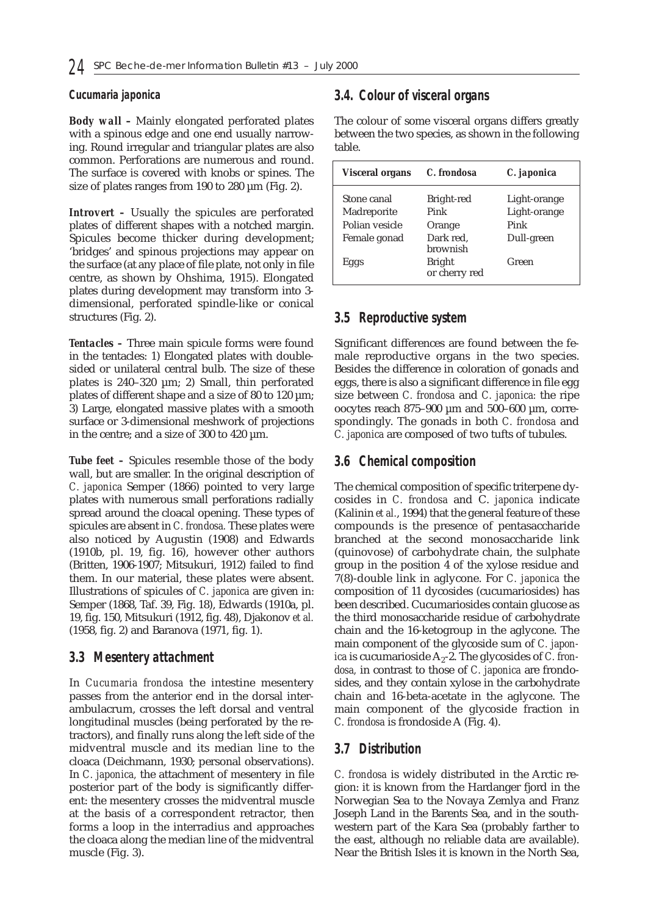#### *Cucumaria japonica*

*Body wall* **–** Mainly elongated perforated plates with a spinous edge and one end usually narrowing. Round irregular and triangular plates are also common. Perforations are numerous and round. The surface is covered with knobs or spines. The size of plates ranges from 190 to 280  $\mu$ m (Fig. 2).

*Introvert –* Usually the spicules are perforated plates of different shapes with a notched margin. Spicules become thicker during development; 'bridges' and spinous projections may appear on the surface (at any place of file plate, not only in file centre, as shown by Ohshima, 1915). Elongated plates during development may transform into 3 dimensional, perforated spindle-like or conical structures (Fig. 2).

*Tentacles –* Three main spicule forms were found in the tentacles: 1) Elongated plates with doublesided or unilateral central bulb. The size of these plates is  $240-320 \mu m$ ; 2) Small, thin perforated plates of different shape and a size of 80 to 120  $\mu$ m; 3) Large, elongated massive plates with a smooth surface or 3-dimensional meshwork of projections in the centre; and a size of 300 to 420 µm.

*Tube feet –* Spicules resemble those of the body wall, but are smaller. In the original description of *C. japonica* Semper (1866) pointed to very large plates with numerous small perforations radially spread around the cloacal opening. These types of spicules are absent in *C. frondosa.* These plates were also noticed by Augustin (1908) and Edwards (1910b, pl. 19, fig. 16), however other authors (Britten, 1906-1907; Mitsukuri, 1912) failed to find them. In our material, these plates were absent. Illustrations of spicules of *C. japonica* are given in: Semper (1868, Taf. 39, Fig. 18), Edwards (1910a, pl. 19, fig. 150, Mitsukuri (1912, fig. 48), Djakonov *et al.* (1958, fig. 2) and Baranova (1971, fig. 1).

#### *3.3 Mesentery attachment*

In *Cucumaria frondosa* the intestine mesentery passes from the anterior end in the dorsal interambulacrum, crosses the left dorsal and ventral longitudinal muscles (being perforated by the retractors), and finally runs along the left side of the midventral muscle and its median line to the cloaca (Deichmann, 1930; personal observations). In *C. japonica,* the attachment of mesentery in file posterior part of the body is significantly different: the mesentery crosses the midventral muscle at the basis of a correspondent retractor, then forms a loop in the interradius and approaches the cloaca along the median line of the midventral muscle (Fig. 3).

# *3.4. Colour of visceral organs*

The colour of some visceral organs differs greatly between the two species, as shown in the following table.

| <b>Visceral organs</b> | C. frondosa                    | C. japonica  |
|------------------------|--------------------------------|--------------|
| Stone canal            | Bright-red                     | Light-orange |
| Madreporite            | Pink                           | Light-orange |
| Polian vesicle         | Orange                         | Pink         |
| Female gonad           | Dark red,<br>brownish          | Dull-green   |
| Eggs                   | <b>Bright</b><br>or cherry red | Green        |

# *3.5 Reproductive system*

Significant differences are found between the female reproductive organs in the two species. Besides the difference in coloration of gonads and eggs, there is also a significant difference in file egg size between *C. frondosa* and *C. japonica:* the ripe oocytes reach 875–900 µm and 500–600 µm, correspondingly. The gonads in both *C. frondosa* and *C. japonica* are composed of two tufts of tubules.

## *3.6 Chemical composition*

The chemical composition of specific triterpene dycosides in *C. frondosa* and C. *japonica* indicate (Kalinin *et al.*, 1994) that the general feature of these compounds is the presence of pentasaccharide branched at the second monosaccharide link (quinovose) of carbohydrate chain, the sulphate group in the position 4 of the xylose residue and 7(8)-double link in aglycone. For *C. japonica* the composition of 11 dycosides (cucumariosides) has been described. Cucumariosides contain glucose as the third monosaccharide residue of carbohydrate chain and the 16-ketogroup in the aglycone. The main component of the glycoside sum of *C. japonica* is cucumarioside  $A_2$ -2. The glycosides of *C. frondosa,* in contrast to those of *C. japonica* are frondosides, and they contain xylose in the carbohydrate chain and 16-beta-acetate in the aglycone. The main component of the glycoside fraction in *C. frondosa* is frondoside A (Fig. 4).

## *3.7 Distribution*

*C. frondosa* is widely distributed in the Arctic region: it is known from the Hardanger fjord in the Norwegian Sea to the Novaya Zemlya and Franz Joseph Land in the Barents Sea, and in the southwestern part of the Kara Sea (probably farther to the east, although no reliable data are available). Near the British Isles it is known in the North Sea,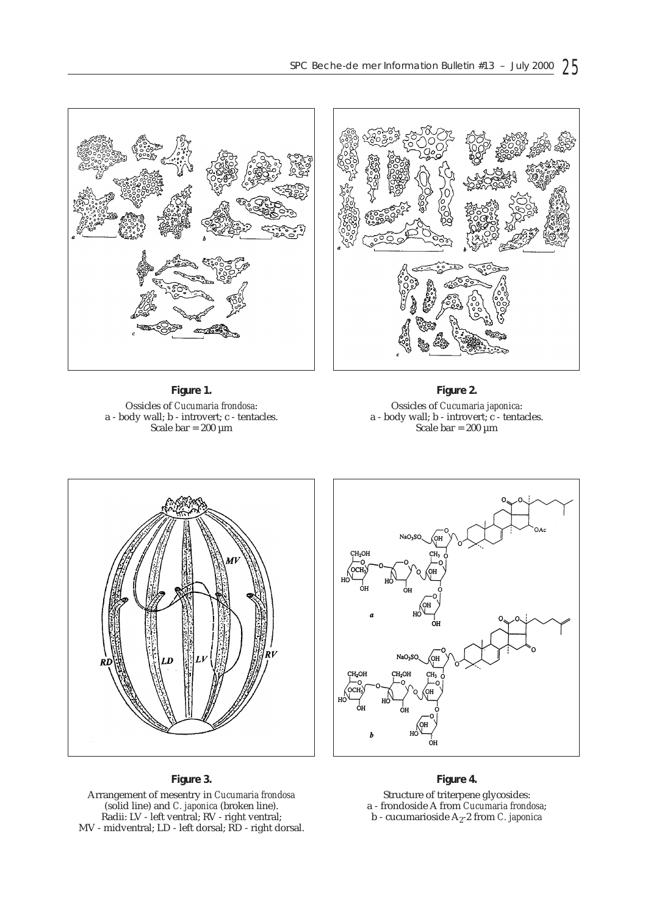

**Figure 1.** Ossicles of *Cucumaria frondosa*: a - body wall; b - introvert; c - tentacles. Scale bar =  $200 \mu m$ 

**Figure 2.** Ossicles of *Cucumaria japonica*: a - body wall; b - introvert; c - tentacles. Scale bar =  $200 \mu m$ 





#### **Figure 3.**

Arrangement of mesentry in *Cucumaria frondosa* (solid line) and *C. japonica* (broken line). Radii: LV - left ventral; RV - right ventral; MV - midventral; LD - left dorsal; RD - right dorsal.

#### **Figure 4.**

Structure of triterpene glycosides: a - frondoside A from *Cucumaria frondosa*;  $b$  - cucumarioside  $A_2$ -2 from *C. japonica*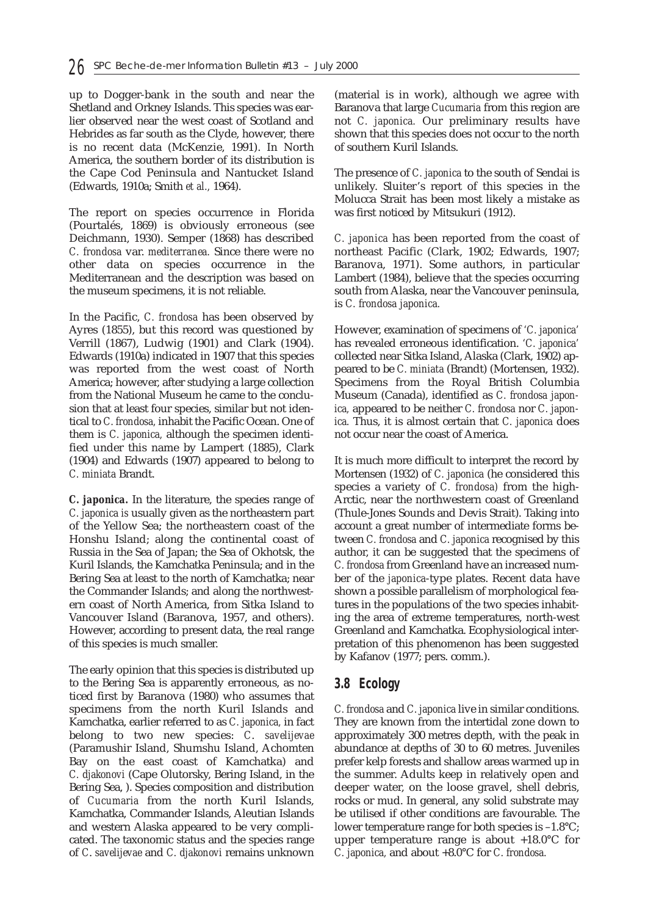up to Dogger-bank in the south and near the Shetland and Orkney Islands. This species was earlier observed near the west coast of Scotland and Hebrides as far south as the Clyde, however, there is no recent data (McKenzie, 1991). In North America, the southern border of its distribution is the Cape Cod Peninsula and Nantucket Island (Edwards, 1910a; Smith *et al.,* 1964).

The report on species occurrence in Florida (Pourtalés, 1869) is obviously erroneous (see Deichmann, 1930). Semper (1868) has described *C. frondosa* var. *mediterranea.* Since there were no other data on species occurrence in the Mediterranean and the description was based on the museum specimens, it is not reliable.

In the Pacific, *C. frondosa* has been observed by Ayres (1855), but this record was questioned by Verrill (1867), Ludwig (1901) and Clark (1904). Edwards (1910a) indicated in 1907 that this species was reported from the west coast of North America; however, after studying a large collection from the National Museum he came to the conclusion that at least four species, similar but not identical to *C. frondosa,* inhabit the Pacific Ocean. One of them is *C. japonica,* although the specimen identified under this name by Lampert (1885), Clark (1904) and Edwards (1907) appeared to belong to *C. miniata* Brandt.

*C. japonica.* In the literature, the species range of *C. japonica is* usually given as the northeastern part of the Yellow Sea; the northeastern coast of the Honshu Island; along the continental coast of Russia in the Sea of Japan; the Sea of Okhotsk, the Kuril Islands, the Kamchatka Peninsula; and in the Bering Sea at least to the north of Kamchatka; near the Commander Islands; and along the northwestern coast of North America, from Sitka Island to Vancouver Island (Baranova, 1957, and others). However, according to present data, the real range of this species is much smaller.

The early opinion that this species is distributed up to the Bering Sea is apparently erroneous, as noticed first by Baranova (1980) who assumes that specimens from the north Kuril Islands and Kamchatka, earlier referred to as *C. japonica,* in fact belong to two new species: *C*. *savelijevae* (Paramushir Island, Shumshu Island, Achomten Bay on the east coast of Kamchatka) and *C. djakonovi* (Cape Olutorsky, Bering Island, in the Bering Sea, ). Species composition and distribution of *Cucumaria* from the north Kuril Islands, Kamchatka, Commander Islands, Aleutian Islands and western Alaska appeared to be very complicated. The taxonomic status and the species range of *C*. *savelijevae* and *C. djakonovi* remains unknown

(material is in work), although we agree with Baranova that large *Cucumaria* from this region are not *C. japonica.* Our preliminary results have shown that this species does not occur to the north of southern Kuril Islands.

The presence of *C. japonica* to the south of Sendai is unlikely. Sluiter's report of this species in the Molucca Strait has been most likely a mistake as was first noticed by Mitsukuri (1912).

*C. japonica* has been reported from the coast of northeast Pacific (Clark, 1902; Edwards, 1907; Baranova, 1971). Some authors, in particular Lambert (1984), believe that the species occurring south from Alaska, near the Vancouver peninsula, is *C. frondosa japonica.*

However, examination of specimens of *'C. japonica'* has revealed erroneous identification. *'C. japonica'* collected near Sitka Island, Alaska (Clark, 1902) appeared to be *C. miniata* (Brandt) (Mortensen, 1932). Specimens from the Royal British Columbia Museum (Canada), identified as *C. frondosa japonica,* appeared to be neither *C. frondosa* nor *C. japonica.* Thus, it is almost certain that *C. japonica* does not occur near the coast of America.

It is much more difficult to interpret the record by Mortensen (1932) of *C. japonica* (he considered this species a variety of *C. frondosa)* from the high-Arctic, near the northwestern coast of Greenland (Thule-Jones Sounds and Devis Strait). Taking into account a great number of intermediate forms between *C. frondosa* and *C. japonica* recognised by this author, it can be suggested that the specimens of *C. frondosa* from Greenland have an increased number of the *japonica*-type plates. Recent data have shown a possible parallelism of morphological features in the populations of the two species inhabiting the area of extreme temperatures, north-west Greenland and Kamchatka. Ecophysiological interpretation of this phenomenon has been suggested by Kafanov (1977; pers. comm.).

#### *3.8 Ecology*

*C. frondosa* and *C. japonica* live in similar conditions. They are known from the intertidal zone down to approximately 300 metres depth, with the peak in abundance at depths of 30 to 60 metres. Juveniles prefer kelp forests and shallow areas warmed up in the summer. Adults keep in relatively open and deeper water, on the loose gravel, shell debris, rocks or mud. In general, any solid substrate may be utilised if other conditions are favourable. The lower temperature range for both species is –1.8°C; upper temperature range is about +18.0°C for *C. japonica,* and about +8.0°C for *C. frondosa.*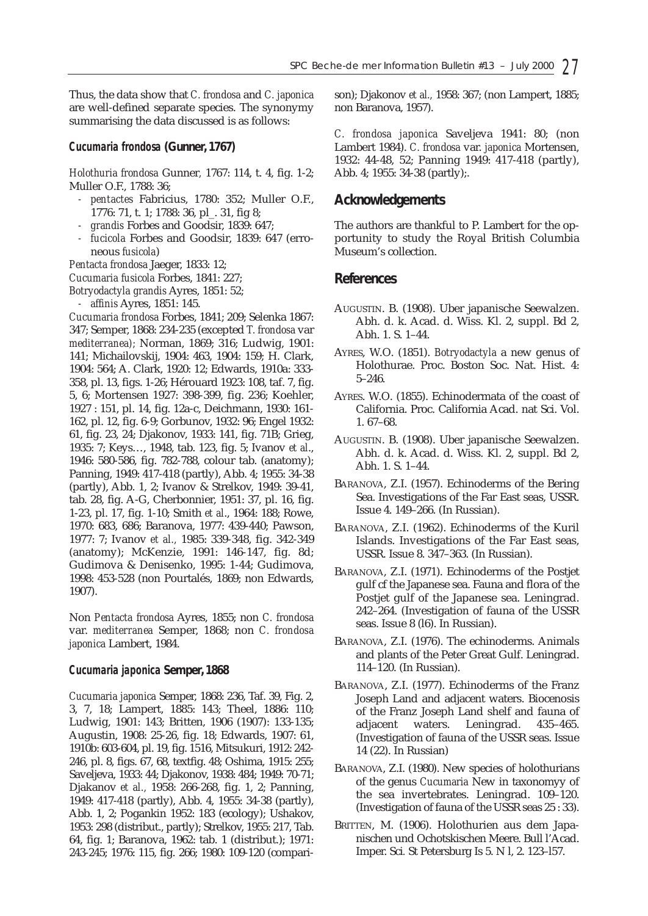Thus, the data show that *C. frondosa* and *C. japonica* are well-defined separate species. The synonymy summarising the data discussed is as follows:

#### *Cucumaria frondosa* **(Gunner, 1767)**

*Holothuria frondosa* Gunner*,* 1767: 114, t. 4, fig. 1-2; Muller O.F., 1788: 36;

- *pentactes* Fabricius, 1780: 352; Muller O.F., 1776: 71, t. 1; 1788: 36, pl\_. 31, fig 8;
- *grandis* Forbes and Goodsir, 1839: 647;
- *fucicola* Forbes and Goodsir, 1839: 647 (erroneous *fusicola*)

*Pentacta frondosa* Jaeger, 1833: 12;

*Cucumaria fusicola* Forbes, 1841: 227;

*Botryodactyla grandis* Ayres, 1851: 52;

*- affinis* Ayres, 1851: 145.

*Cucumaria frondosa* Forbes, 1841; 209; Selenka 1867: 347; Semper, 1868: 234-235 (excepted *T. frondosa* var *mediterranea);* Norman, 1869; 316; Ludwig, 1901: 141; Michailovskij, 1904: 463, 1904: 159; H. Clark, 1904: 564; A. Clark, 1920: 12; Edwards, 1910a: 333- 358, pl. 13, figs. 1-26; Hérouard 1923: 108, taf. 7, fig. 5, 6; Mortensen 1927: 398-399, fig. 236; Koehler, 1927 : 151, pl. 14, fig. 12a-c, Deichmann, 1930: 161- 162, pl. 12, fig. 6-9; Gorbunov, 1932: 96; Engel 1932: 61, fig. 23, 24; Djakonov, 1933: 141, fig. 71B; Grieg, 1935: 7; Keys…, 1948, tab. 123, fig. 5; Ivanov *et al*., 1946: 580-586, fig. 782-788, colour tab. (anatomy); Panning, 1949: 417-418 (partly), Abb. 4; 1955: 34-38 (partly), Abb. 1, 2; Ivanov & Strelkov, 1949: 39-41, tab. 28, fig. A-G, Cherbonnier, 1951: 37, pl. 16, fig. 1-23, pl. 17, fig. 1-10; Smith *et al*., 1964: 188; Rowe, 1970: 683, 686; Baranova, 1977: 439-440; Pawson, 1977: 7; Ivanov *et al.,* 1985: 339-348, fig. 342-349 (anatomy); McKenzie, 1991: 146-147, fig. 8d; Gudimova & Denisenko, 1995: 1-44; Gudimova, 1998: 453-528 (non Pourtalés, 1869; non Edwards, 1907).

Non *Pentacta frondosa* Ayres, 1855; non *C. frondosa* var. *mediterranea* Semper, 1868; non *C. frondosa japonica* Lambert, 1984.

#### *Cucumaria japonica* **Semper, 1868**

*Cucumaria japonica* Semper, 1868: 236, Taf. 39, Fig. 2, 3, 7, 18; Lampert, 1885: 143; Theel, 1886: 110; Ludwig, 1901: 143; Britten, 1906 (1907): 133-135; Augustin, 1908: 25-26, fig. 18; Edwards, 1907: 61, 1910b: 603-604, pl. 19, fig. 1516, Mitsukuri, 1912: 242- 246, pl. 8, figs. 67, 68, textfig. 48; Oshima, 1915: 255; Saveljeva, 1933: 44; Djakonov, 1938: 484; 1949: 70-71; Djakanov *et al.,* 1958: 266-268, fig. 1, 2; Panning, 1949: 417-418 (partly), Abb. 4, 1955: 34-38 (partly), Abb. 1, 2; Pogankin 1952: 183 (ecology); Ushakov, 1953: 298 (distribut., partly); Strelkov, 1955: 217, Tab. 64, fig. 1; Baranova, 1962: tab. 1 (distribut.); 1971: 243-245; 1976: 115, fig. 266; 1980: 109-120 (comparison); Djakonov *et al.,* 1958: 367; (non Lampert, 1885; non Baranova, 1957).

*C. frondosa japonica* Saveljeva 1941: 80; (non Lambert 1984). *C. frondosa* var. *japonica* Mortensen, 1932: 44-48, 52; Panning 1949: 417-418 (partly), Abb. 4; 1955: 34-38 (partly);.

#### **Acknowledgements**

The authors are thankful to P. Lambert for the opportunity to study the Royal British Columbia Museum's collection.

#### **References**

- AUGUSTIN. B. (1908). Uber japanische Seewalzen. Abh. d. k. Acad. d. Wiss. Kl. 2, suppl. Bd 2, Abh. 1. S. 1–44.
- AYRES, W.O. (1851). *Botryodactyla* a new genus of Holothurae. Proc. Boston Soc. Nat. Hist. 4: 5–246.
- AYRES. W.O. (1855). Echinodermata of the coast of California. Proc. California Acad. nat Sci. Vol. 1. 67–68.
- AUGUSTIN. B. (1908). Uber japanische Seewalzen. Abh. d. k. Acad. d. Wiss. Kl. 2, suppl. Bd 2, Abh. 1. S. 1–44.
- BARANOVA, Z.I. (1957). Echinoderms of the Bering Sea. Investigations of the Far East seas, USSR. Issue 4. 149–266. (In Russian).
- BARANOVA, Z.I. (1962). Echinoderms of the Kuril Islands. Investigations of the Far East seas, USSR. Issue 8. 347–363. (In Russian).
- BARANOVA, Z.I. (1971). Echinoderms of the Postjet gulf cf the Japanese sea. Fauna and flora of the Postjet gulf of the Japanese sea. Leningrad. 242–264. (Investigation of fauna of the USSR seas. Issue 8 (l6). In Russian).
- BARANOVA, Z.I. (1976). The echinoderms. Animals and plants of the Peter Great Gulf. Leningrad. 114–120. (In Russian).
- BARANOVA, Z.I. (1977). Echinoderms of the Franz Joseph Land and adjacent waters. Biocenosis of the Franz Joseph Land shelf and fauna of adjacent waters. Leningrad. 435–465. (Investigation of fauna of the USSR seas. Issue 14 (22). In Russian)
- BARANOVA, Z.I. (1980). New species of holothurians of the genus *Cucumaria* New in taxonomyy of the sea invertebrates. Leningrad. 109–120. (Investigation of fauna of the USSR seas 25 : 33).
- BRITTEN, M. (1906). Holothurien aus dem Japanischen und Ochotskischen Meere. Bull l'Acad. Imper. Sci*.* St Petersburg Is 5. N l, 2. 123–l57.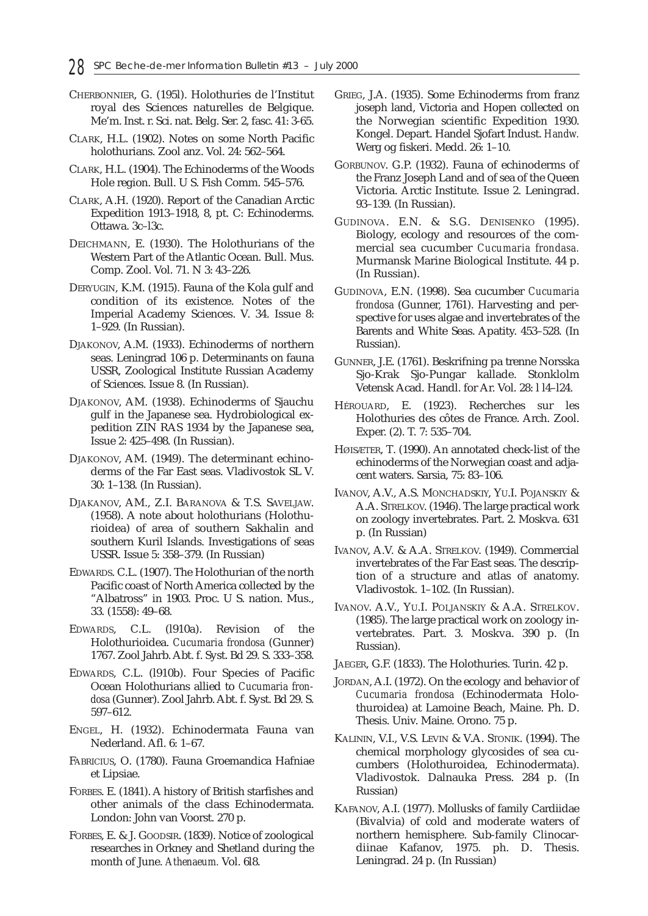- CHERBONNIER, G. (195l). Holothuries de l'Institut royal des Sciences naturelles de Belgique. Me'm. Inst. r. Sci. nat. Belg. Ser. 2, fasc. 41: 3-65.
- CLARK, H.L. (1902). Notes on some North Pacific holothurians. Zool anz. Vol. 24: 562–564.
- CLARK, H.L. (1904). The Echinoderms of the Woods Hole region. Bull. U S. Fish Comm. 545–576.
- CLARK, A.H. (1920). Report of the Canadian Arctic Expedition 1913–1918, 8, pt. C: Echinoderms. Ottawa. 3c–l3c.
- DEICHMANN, E. (1930). The Holothurians of the Western Part of the Atlantic Ocean. Bull. Mus. Comp. Zool. Vol. 71. N 3: 43–226.
- DERYUGIN, K.M. (1915). Fauna of the Kola gulf and condition of its existence. Notes of the Imperial Academy Sciences. V. 34. Issue 8: 1–929. (In Russian).
- DJAKONOV, A.M. (1933). Echinoderms of northern seas. Leningrad 106 p. Determinants on fauna USSR, Zoological Institute Russian Academy of Sciences. Issue 8. (In Russian).
- DJAKONOV, AM. (1938). Echinoderms of Sjauchu gulf in the Japanese sea. Hydrobiological expedition ZIN RAS 1934 by the Japanese sea, Issue 2: 425–498. (In Russian).
- DJAKONOV, AM. (1949). The determinant echinoderms of the Far East seas. Vladivostok SL V. 30: 1–138. (In Russian).
- DJAKANOV, AM., Z.I. BARANOVA & T.S. SAVELJAW. (1958). A note about holothurians (Holothurioidea) of area of southern Sakhalin and southern Kuril Islands. Investigations of seas USSR. Issue 5: 358–379. (In Russian)
- EDWARDS. C.L. (1907). The Holothurian of the north Pacific coast of North America collected by the "Albatross" in 1903. Proc. U S. nation. Mus., 33. (1558): 49–68.
- EDWARDS, C.L. (l910a). Revision of the Holothurioidea. *Cucumaria frondosa* (Gunner) 1767. Zool Jahrb. Abt. f. Syst. Bd 29. S. 333–358.
- EDWARDS, C.L. (l910b). Four Species of Pacific Ocean Holothurians allied to *Cucumaria frondosa* (Gunner). Zool Jahrb. Abt. f. Syst. Bd 29. S. 597–612.
- ENGEL, H. (1932). Echinodermata Fauna van Nederland. Afl. 6: 1–67.
- FABRICIUS, O. (1780). Fauna Groemandica Hafniae et Lipsiae.
- FORBES. E. (1841). A history of British starfishes and other animals of the class Echinodermata. London: John van Voorst. 270 p.
- FORBES, E. & J. GOODSIR. (1839). Notice of zoological researches in Orkney and Shetland during the month of June. *Athenaeum.* Vol. 6l8.
- GRIEG, J.A. (1935). Some Echinoderms from franz joseph land, Victoria and Hopen collected on the Norwegian scientific Expedition 1930. Kongel. Depart. Handel Sjofart Indust. *Handw.* Werg og fiskeri. Medd. 26: 1–10.
- GORBUNOV. G.P. (1932). Fauna of echinoderms of the Franz Joseph Land and of sea of the Queen Victoria. Arctic Institute. Issue 2. Leningrad. 93–139. (In Russian).
- GUDINOVA. E.N. & S.G. DENISENKO (1995). Biology, ecology and resources of the commercial sea cucumber *Cucumaria frondasa.* Murmansk Marine Biological Institute. 44 p. (In Russian).
- GUDINOVA, E.N. (1998). Sea cucumber *Cucumaria frondosa* (Gunner, 1761). Harvesting and perspective for uses algae and invertebrates of the Barents and White Seas. Apatity. 453–528. (In Russian).
- GUNNER, J.E. (1761). Beskrifning pa trenne Norsska Sjo-Krak Sjo-Pungar kallade. Stonklolm Vetensk Acad. Handl. for Ar. Vol. 28: l l4–l24.
- HÉROUARD, E. (1923). Recherches sur les Holothuries des côtes de France. Arch. Zool. Exper. (2). T. 7: 535–704.
- HØISÆTER, T. (1990). An annotated check-list of the echinoderms of the Norwegian coast and adjacent waters. Sarsia, 75: 83–106.
- IVANOV, A.V., A.S. MONCHADSKIY, YU.I. POJANSKIY & A.A. STRELKOV. (1946). The large practical work on zoology invertebrates. Part. 2. Moskva. 631 p. (In Russian)
- IVANOV, A.V. & A.A. STRELKOV. (1949). Commercial invertebrates of the Far East seas. The description of a structure and atlas of anatomy. Vladivostok. 1–102. (In Russian).
- IVANOV. A.V., YU.I. POLJANSKIY & A.A. STRELKOV. (1985). The large practical work on zoology invertebrates. Part. 3. Moskva. 390 p. (In Russian).
- JAEGER, G.F. (1833). The Holothuries. Turin. 42 p.
- JORDAN, A.I. (1972). On the ecology and behavior of *Cucumaria frondosa* (Echinodermata Holothuroidea) at Lamoine Beach, Maine. Ph. D. Thesis. Univ. Maine. Orono. 75 p.
- KALININ, V.I., V.S. LEVIN & V.A. STONIK. (1994). The chemical morphology glycosides of sea cucumbers (Holothuroidea, Echinodermata). Vladivostok. Dalnauka Press. 284 p. (In Russian)
- KAFANOV, A.I. (1977). Mollusks of family Cardiidae (Bivalvia) of cold and moderate waters of northern hemisphere. Sub-family Clinocardiinae Kafanov, 1975. ph. D. Thesis. Leningrad. 24 p. (In Russian)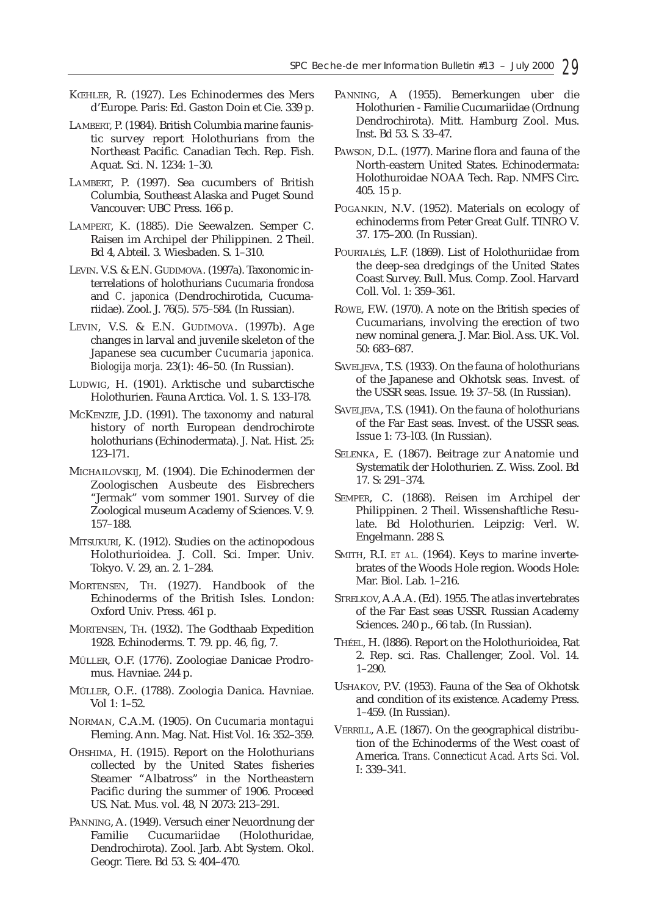- KŒHLER, R. (1927). Les Echinodermes des Mers d'Europe. Paris: Ed. Gaston Doin et Cie. 339 p.
- LAMBERT, P. (1984). British Columbia marine faunistic survey report Holothurians from the Northeast Pacific. Canadian Tech. Rep. Fish. Aquat. Sci. N. 1234: 1–30.
- LAMBERT, P. (1997). Sea cucumbers of British Columbia, Southeast Alaska and Puget Sound Vancouver: UBC Press. 166 p.
- LAMPERT, K. (1885). Die Seewalzen. Semper C. Raisen im Archipel der Philippinen. 2 Theil. Bd 4, Abteil. 3. Wiesbaden. S. 1–310.
- LEVIN. V.S. & E.N. GUDIMOVA. (1997a). Taxonomic interrelations of holothurians *Cucumaria frondosa* and *C. japonica* (Dendrochirotida, Cucumariidae). Zool. J. 76(5). 575–584. (In Russian).
- LEVIN, V.S. & E.N. GUDIMOVA. (1997b). Age changes in larval and juvenile skeleton of the Japanese sea cucumber *Cucumaria japonica. Biologija morja.* 23(1): 46–50. (In Russian).
- LUDWIG, H. (1901). Arktische und subarctische Holothurien. Fauna Arctica. Vol. 1. S. 133–l78.
- MCKENZIE, J.D. (1991). The taxonomy and natural history of north European dendrochirote holothurians (Echinodermata). J. Nat. Hist. 25: 123–l71.
- MICHAILOVSKIJ, M. (1904). Die Echinodermen der Zoologischen Ausbeute des Eisbrechers "Jermak" vom sommer 1901. Survey of die Zoological museum Academy of Sciences. V. 9. 157–188.
- MITSUKURI, K. (1912). Studies on the actinopodous Holothurioidea. J. Coll. Sci. Imper. Univ. Tokyo. V. 29, an. 2. 1–284.
- MORTENSEN, TH. (1927). Handbook of the Echinoderms of the British Isles. London: Oxford Univ. Press. 461 p.
- MORTENSEN, TH. (1932). The Godthaab Expedition 1928. Echinoderms. T. 79. pp. 46, fig, 7.
- MÜLLER, O.F. (1776). Zoologiae Danicae Prodromus. Havniae. 244 p.
- MÜLLER, O.F.. (1788). Zoologia Danica. Havniae. Vol 1: 1–52.
- NORMAN, C.A.M. (1905). On *Cucumaria montagui* Fleming. Ann. Mag. Nat. Hist Vol. 16: 352–359.
- OHSHIMA, H. (1915). Report on the Holothurians collected by the United States fisheries Steamer "Albatross" in the Northeastern Pacific during the summer of 1906. Proceed US. Nat. Mus. vol. 48, N 2073: 213–291.
- PANNING, A. (1949). Versuch einer Neuordnung der Familie Cucumariidae (Holothuridae, Dendrochirota). Zool. Jarb. Abt System. Okol. Geogr. Tiere. Bd 53. S: 404–470.
- PANNING, A (1955). Bemerkungen uber die Holothurien - Familie Cucumariidae (Ordnung Dendrochirota). Mitt. Hamburg Zool. Mus. Inst. Bd 53. S. 33–47.
- PAWSON, D.L. (1977). Marine flora and fauna of the North-eastern United States. Echinodermata: Holothuroidae NOAA Tech. Rap. NMFS Circ. 405. 15 p.
- POGANKIN, N.V. (1952). Materials on ecology of echinoderms from Peter Great Gulf. TINRO V. 37. 175–200. (In Russian).
- POURTALÉS, L.F. (1869). List of Holothuriidae from the deep-sea dredgings of the United States Coast Survey. Bull. Mus. Comp. Zool. Harvard Coll. Vol. 1: 359–361.
- ROWE, F.W. (1970). A note on the British species of Cucumarians, involving the erection of two new nominal genera. J. Mar. Biol. Ass. UK. Vol. 50: 683–687.
- SAVELJEVA, T.S. (1933). On the fauna of holothurians of the Japanese and Okhotsk seas. Invest. of the USSR seas. Issue. 19: 37–58. (In Russian).
- SAVELJEVA, T.S. (1941). On the fauna of holothurians of the Far East seas. Invest. of the USSR seas. Issue 1: 73–l03. (In Russian).
- SELENKA, E. (1867). Beitrage zur Anatomie und Systematik der Holothurien. Z. Wiss. Zool. Bd 17. S: 291–374.
- SEMPER, C. (1868). Reisen im Archipel der Philippinen. 2 Theil. Wissenshaftliche Resulate. Bd Holothurien. Leipzig: Verl. W. Engelmann. 288 S.
- SMITH, R.I. *ET AL.* (1964). Keys to marine invertebrates of the Woods Hole region. Woods Hole: Mar. Biol. Lab. 1–216.
- STRELKOV, A.A.A. (Ed). 1955. The atlas invertebrates of the Far East seas USSR. Russian Academy Sciences. 240 p., 66 tab. (In Russian).
- THÉEL, H. (l886). Report on the Holothurioidea, Rat 2. Rep. sci. Ras. Challenger, Zool. Vol. 14. 1–290.
- USHAKOV, P.V. (1953). Fauna of the Sea of Okhotsk and condition of its existence. Academy Press. 1–459. (In Russian).
- VERRILL, A.E. (1867). On the geographical distribution of the Echinoderms of the West coast of America. *Trans. Connecticut Acad. Arts Sci.* Vol. I: 339–341.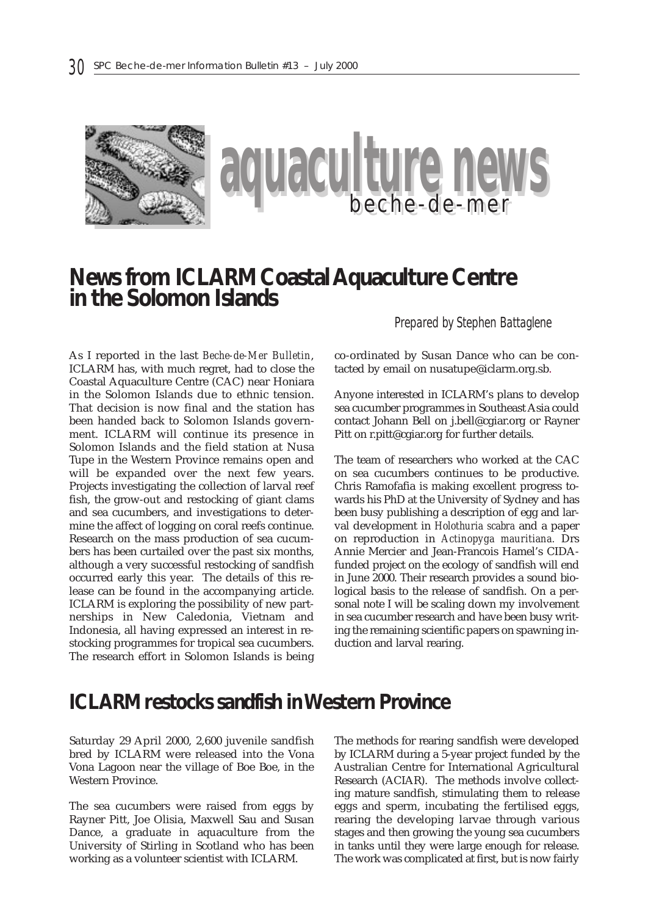

# **News from ICLARM Coastal Aquaculture Centre in the Solomon Islands**

As I reported in the last *Beche-de-Mer Bulletin*, ICLARM has, with much regret, had to close the Coastal Aquaculture Centre (CAC) near Honiara in the Solomon Islands due to ethnic tension. That decision is now final and the station has been handed back to Solomon Islands government. ICLARM will continue its presence in Solomon Islands and the field station at Nusa Tupe in the Western Province remains open and will be expanded over the next few years. Projects investigating the collection of larval reef fish, the grow-out and restocking of giant clams and sea cucumbers, and investigations to determine the affect of logging on coral reefs continue. Research on the mass production of sea cucumbers has been curtailed over the past six months, although a very successful restocking of sandfish occurred early this year. The details of this release can be found in the accompanying article. ICLARM is exploring the possibility of new partnerships in New Caledonia, Vietnam and Indonesia, all having expressed an interest in restocking programmes for tropical sea cucumbers. The research effort in Solomon Islands is being

*Prepared by Stephen Battaglene*

co-ordinated by Susan Dance who can be contacted by email on nusatupe@iclarm.org.sb.

Anyone interested in ICLARM's plans to develop sea cucumber programmes in Southeast Asia could contact Johann Bell on j.bell@cgiar.org or Rayner Pitt on r.pitt@cgiar.org for further details.

The team of researchers who worked at the CAC on sea cucumbers continues to be productive. Chris Ramofafia is making excellent progress towards his PhD at the University of Sydney and has been busy publishing a description of egg and larval development in *Holothuria scabra* and a paper on reproduction in *Actinopyga mauritiana.* Drs Annie Mercier and Jean-Francois Hamel's CIDAfunded project on the ecology of sandfish will end in June 2000. Their research provides a sound biological basis to the release of sandfish. On a personal note I will be scaling down my involvement in sea cucumber research and have been busy writing the remaining scientific papers on spawning induction and larval rearing.

# **ICLARM restocks sandfish in Western Province**

Saturday 29 April 2000, 2,600 juvenile sandfish bred by ICLARM were released into the Vona Vona Lagoon near the village of Boe Boe, in the Western Province.

The sea cucumbers were raised from eggs by Rayner Pitt, Joe Olisia, Maxwell Sau and Susan Dance, a graduate in aquaculture from the University of Stirling in Scotland who has been working as a volunteer scientist with ICLARM.

The methods for rearing sandfish were developed by ICLARM during a 5-year project funded by the Australian Centre for International Agricultural Research (ACIAR). The methods involve collecting mature sandfish, stimulating them to release eggs and sperm, incubating the fertilised eggs, rearing the developing larvae through various stages and then growing the young sea cucumbers in tanks until they were large enough for release. The work was complicated at first, but is now fairly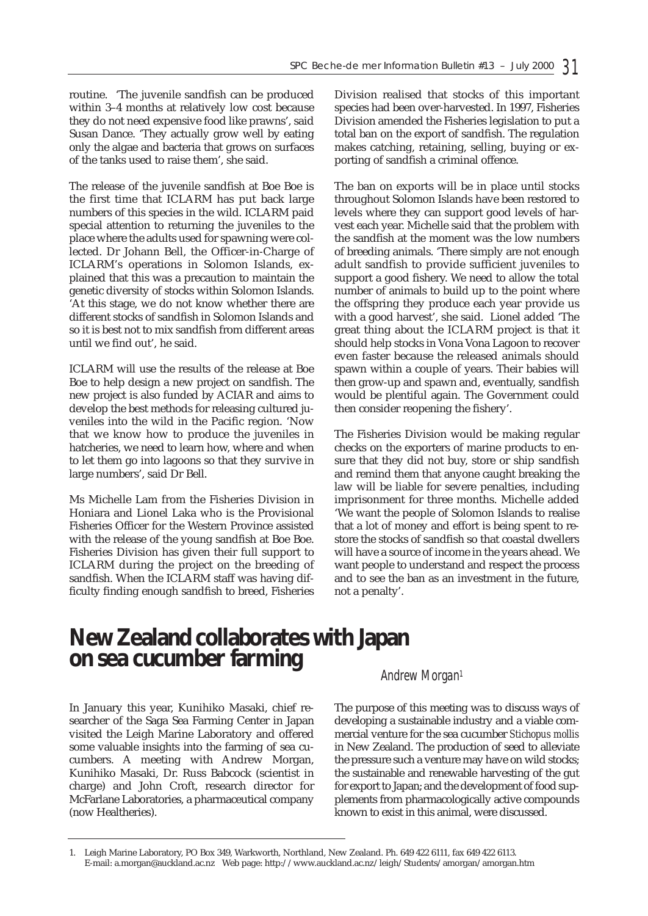routine. 'The juvenile sandfish can be produced within 3–4 months at relatively low cost because they do not need expensive food like prawns', said Susan Dance. 'They actually grow well by eating only the algae and bacteria that grows on surfaces of the tanks used to raise them', she said.

The release of the juvenile sandfish at Boe Boe is the first time that ICLARM has put back large numbers of this species in the wild. ICLARM paid special attention to returning the juveniles to the place where the adults used for spawning were collected. Dr Johann Bell, the Officer-in-Charge of ICLARM's operations in Solomon Islands, explained that this was a precaution to maintain the genetic diversity of stocks within Solomon Islands. 'At this stage, we do not know whether there are different stocks of sandfish in Solomon Islands and so it is best not to mix sandfish from different areas until we find out', he said.

ICLARM will use the results of the release at Boe Boe to help design a new project on sandfish. The new project is also funded by ACIAR and aims to develop the best methods for releasing cultured juveniles into the wild in the Pacific region. 'Now that we know how to produce the juveniles in hatcheries, we need to learn how, where and when to let them go into lagoons so that they survive in large numbers', said Dr Bell.

Ms Michelle Lam from the Fisheries Division in Honiara and Lionel Laka who is the Provisional Fisheries Officer for the Western Province assisted with the release of the young sandfish at Boe Boe. Fisheries Division has given their full support to ICLARM during the project on the breeding of sandfish. When the ICLARM staff was having difficulty finding enough sandfish to breed, Fisheries

Division realised that stocks of this important species had been over-harvested. In 1997, Fisheries Division amended the Fisheries legislation to put a total ban on the export of sandfish. The regulation makes catching, retaining, selling, buying or exporting of sandfish a criminal offence.

The ban on exports will be in place until stocks throughout Solomon Islands have been restored to levels where they can support good levels of harvest each year. Michelle said that the problem with the sandfish at the moment was the low numbers of breeding animals. 'There simply are not enough adult sandfish to provide sufficient juveniles to support a good fishery. We need to allow the total number of animals to build up to the point where the offspring they produce each year provide us with a good harvest', she said. Lionel added 'The great thing about the ICLARM project is that it should help stocks in Vona Vona Lagoon to recover even faster because the released animals should spawn within a couple of years. Their babies will then grow-up and spawn and, eventually, sandfish would be plentiful again. The Government could then consider reopening the fishery'.

The Fisheries Division would be making regular checks on the exporters of marine products to ensure that they did not buy, store or ship sandfish and remind them that anyone caught breaking the law will be liable for severe penalties, including imprisonment for three months. Michelle added 'We want the people of Solomon Islands to realise that a lot of money and effort is being spent to restore the stocks of sandfish so that coastal dwellers will have a source of income in the years ahead. We want people to understand and respect the process and to see the ban as an investment in the future, not a penalty'.

# **New Zealand collaborates with Japan on sea cucumber farming** *Andrew Morgan<sup>1</sup>*

In January this year, Kunihiko Masaki, chief researcher of the Saga Sea Farming Center in Japan visited the Leigh Marine Laboratory and offered some valuable insights into the farming of sea cucumbers. A meeting with Andrew Morgan, Kunihiko Masaki, Dr. Russ Babcock (scientist in charge) and John Croft, research director for McFarlane Laboratories, a pharmaceutical company (now Healtheries).

The purpose of this meeting was to discuss ways of developing a sustainable industry and a viable commercial venture for the sea cucumber *Stichopus mollis* in New Zealand. The production of seed to alleviate the pressure such a venture may have on wild stocks; the sustainable and renewable harvesting of the gut for export to Japan; and the development of food supplements from pharmacologically active compounds known to exist in this animal, were discussed.

<sup>1.</sup> Leigh Marine Laboratory, PO Box 349, Warkworth, Northland, New Zealand. Ph. 649 422 6111, fax 649 422 6113. E-mail: a.morgan@auckland.ac.nz Web page: http://www.auckland.ac.nz/leigh/Students/amorgan/amorgan.htm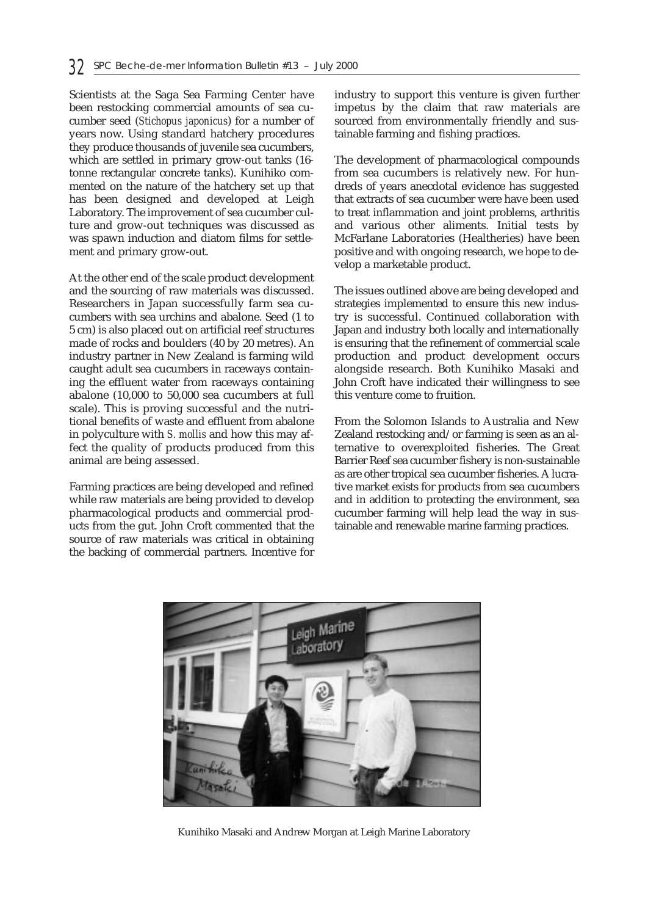Scientists at the Saga Sea Farming Center have been restocking commercial amounts of sea cucumber seed (*Stichopus japonicus*) for a number of years now. Using standard hatchery procedures they produce thousands of juvenile sea cucumbers, which are settled in primary grow-out tanks (16 tonne rectangular concrete tanks). Kunihiko commented on the nature of the hatchery set up that has been designed and developed at Leigh Laboratory. The improvement of sea cucumber culture and grow-out techniques was discussed as was spawn induction and diatom films for settlement and primary grow-out.

At the other end of the scale product development and the sourcing of raw materials was discussed. Researchers in Japan successfully farm sea cucumbers with sea urchins and abalone. Seed (1 to 5 cm) is also placed out on artificial reef structures made of rocks and boulders (40 by 20 metres). An industry partner in New Zealand is farming wild caught adult sea cucumbers in raceways containing the effluent water from raceways containing abalone (10,000 to 50,000 sea cucumbers at full scale). This is proving successful and the nutritional benefits of waste and effluent from abalone in polyculture with *S. mollis* and how this may affect the quality of products produced from this animal are being assessed.

Farming practices are being developed and refined while raw materials are being provided to develop pharmacological products and commercial products from the gut. John Croft commented that the source of raw materials was critical in obtaining the backing of commercial partners. Incentive for

industry to support this venture is given further impetus by the claim that raw materials are sourced from environmentally friendly and sustainable farming and fishing practices.

The development of pharmacological compounds from sea cucumbers is relatively new. For hundreds of years anecdotal evidence has suggested that extracts of sea cucumber were have been used to treat inflammation and joint problems, arthritis and various other aliments. Initial tests by McFarlane Laboratories (Healtheries) have been positive and with ongoing research, we hope to develop a marketable product.

The issues outlined above are being developed and strategies implemented to ensure this new industry is successful. Continued collaboration with Japan and industry both locally and internationally is ensuring that the refinement of commercial scale production and product development occurs alongside research. Both Kunihiko Masaki and John Croft have indicated their willingness to see this venture come to fruition.

From the Solomon Islands to Australia and New Zealand restocking and/or farming is seen as an alternative to overexploited fisheries. The Great Barrier Reef sea cucumber fishery is non-sustainable as are other tropical sea cucumber fisheries. A lucrative market exists for products from sea cucumbers and in addition to protecting the environment, sea cucumber farming will help lead the way in sustainable and renewable marine farming practices.



Kunihiko Masaki and Andrew Morgan at Leigh Marine Laboratory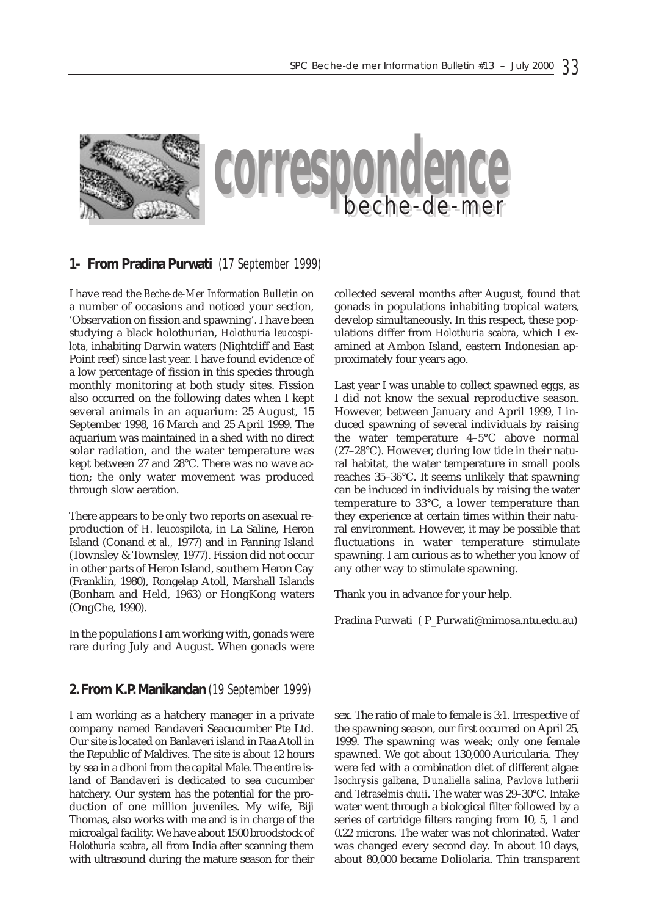

### **1- From Pradina Purwati** (17 September 1999)

I have read the *Beche-de-Mer Information Bulletin* on a number of occasions and noticed your section, 'Observation on fission and spawning'. I have been studying a black holothurian, *Holothuria leucospilota*, inhabiting Darwin waters (Nightcliff and East Point reef) since last year. I have found evidence of a low percentage of fission in this species through monthly monitoring at both study sites. Fission also occurred on the following dates when I kept several animals in an aquarium: 25 August, 15 September 1998, 16 March and 25 April 1999. The aquarium was maintained in a shed with no direct solar radiation, and the water temperature was kept between 27 and 28°C. There was no wave action; the only water movement was produced through slow aeration.

There appears to be only two reports on asexual reproduction of *H. leucospilota*, in La Saline, Heron Island (Conand *et al.,* 1977) and in Fanning Island (Townsley & Townsley, 1977). Fission did not occur in other parts of Heron Island, southern Heron Cay (Franklin, 1980), Rongelap Atoll, Marshall Islands (Bonham and Held, 1963) or HongKong waters (OngChe, 1990).

In the populations I am working with, gonads were rare during July and August. When gonads were

#### **2. From K.P. Manikandan** (19 September 1999)

I am working as a hatchery manager in a private company named Bandaveri Seacucumber Pte Ltd. Our site is located on Banlaveri island in Raa Atoll in the Republic of Maldives. The site is about 12 hours by sea in a dhoni from the capital Male. The entire island of Bandaveri is dedicated to sea cucumber hatchery. Our system has the potential for the production of one million juveniles. My wife, Biji Thomas, also works with me and is in charge of the microalgal facility. We have about 1500 broodstock of *Holothuria scabra*, all from India after scanning them with ultrasound during the mature season for their collected several months after August, found that gonads in populations inhabiting tropical waters, develop simultaneously. In this respect, these populations differ from *Holothuria scabra*, which I examined at Ambon Island, eastern Indonesian approximately four years ago.

Last year I was unable to collect spawned eggs, as I did not know the sexual reproductive season. However, between January and April 1999, I induced spawning of several individuals by raising the water temperature 4–5°C above normal (27–28°C). However, during low tide in their natural habitat, the water temperature in small pools reaches 35–36°C. It seems unlikely that spawning can be induced in individuals by raising the water temperature to 33°C, a lower temperature than they experience at certain times within their natural environment. However, it may be possible that fluctuations in water temperature stimulate spawning. I am curious as to whether you know of any other way to stimulate spawning.

Thank you in advance for your help.

Pradina Purwati ( P\_Purwati@mimosa.ntu.edu.au)

sex. The ratio of male to female is 3:1. Irrespective of the spawning season, our first occurred on April 25, 1999. The spawning was weak; only one female spawned. We got about 130,000 Auricularia. They were fed with a combination diet of different algae: *Isochrysis galbana, Dunaliella salina, Pavlova lutherii* and *Tetraselmis chuii*. The water was 29–30°C. Intake water went through a biological filter followed by a series of cartridge filters ranging from 10, 5, 1 and 0.22 microns. The water was not chlorinated. Water was changed every second day. In about 10 days, about 80,000 became Doliolaria. Thin transparent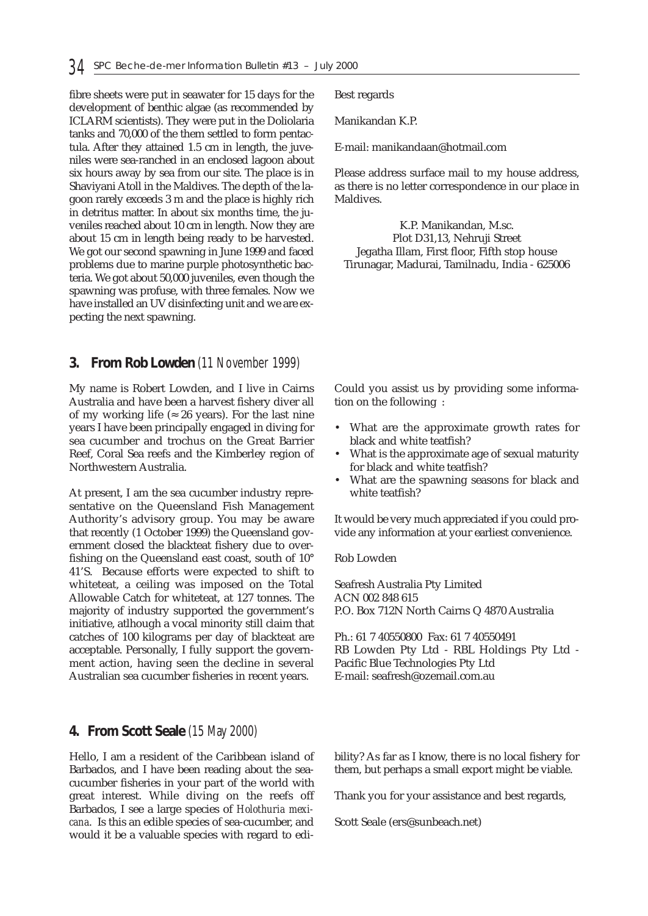fibre sheets were put in seawater for 15 days for the development of benthic algae (as recommended by ICLARM scientists). They were put in the Doliolaria tanks and 70,000 of the them settled to form pentactula. After they attained 1.5 cm in length, the juveniles were sea-ranched in an enclosed lagoon about six hours away by sea from our site. The place is in Shaviyani Atoll in the Maldives. The depth of the lagoon rarely exceeds 3 m and the place is highly rich in detritus matter. In about six months time, the juveniles reached about 10 cm in length. Now they are about 15 cm in length being ready to be harvested. We got our second spawning in June 1999 and faced problems due to marine purple photosynthetic bacteria. We got about 50,000 juveniles, even though the spawning was profuse, with three females. Now we have installed an UV disinfecting unit and we are expecting the next spawning.

## **3. From Rob Lowden** (11 November 1999)

My name is Robert Lowden, and I live in Cairns Australia and have been a harvest fishery diver all of my working life ( $\approx 26$  years). For the last nine years I have been principally engaged in diving for sea cucumber and trochus on the Great Barrier Reef, Coral Sea reefs and the Kimberley region of Northwestern Australia.

At present, I am the sea cucumber industry representative on the Queensland Fish Management Authority's advisory group. You may be aware that recently (1 October 1999) the Queensland government closed the blackteat fishery due to overfishing on the Queensland east coast, south of 10° 41'S. Because efforts were expected to shift to whiteteat, a ceiling was imposed on the Total Allowable Catch for whiteteat, at 127 tonnes. The majority of industry supported the government's initiative, atlhough a vocal minority still claim that catches of 100 kilograms per day of blackteat are acceptable. Personally, I fully support the government action, having seen the decline in several Australian sea cucumber fisheries in recent years.

#### **4. From Scott Seale** (15 May 2000)

Hello, I am a resident of the Caribbean island of Barbados, and I have been reading about the seacucumber fisheries in your part of the world with great interest. While diving on the reefs off Barbados, I see a large species of *Holothuria mexicana*. Is this an edible species of sea-cucumber, and would it be a valuable species with regard to ediBest regards

Manikandan K.P.

E-mail: manikandaan@hotmail.com

Please address surface mail to my house address, as there is no letter correspondence in our place in Maldives.

K.P. Manikandan, M.sc. Plot D31,13, Nehruji Street Jegatha Illam, First floor, Fifth stop house Tirunagar, Madurai, Tamilnadu, India - 625006

Could you assist us by providing some information on the following :

- What are the approximate growth rates for black and white teatfish?
- What is the approximate age of sexual maturity for black and white teatfish?
- What are the spawning seasons for black and white teatfish?

It would be very much appreciated if you could provide any information at your earliest convenience.

Rob Lowden

Seafresh Australia Pty Limited ACN 002 848 615 P.O. Box 712N North Cairns Q 4870 Australia

Ph.: 61 7 40550800 Fax: 61 7 40550491 RB Lowden Pty Ltd - RBL Holdings Pty Ltd - Pacific Blue Technologies Pty Ltd E-mail: seafresh@ozemail.com.au

bility? As far as I know, there is no local fishery for them, but perhaps a small export might be viable.

Thank you for your assistance and best regards,

Scott Seale (ers@sunbeach.net)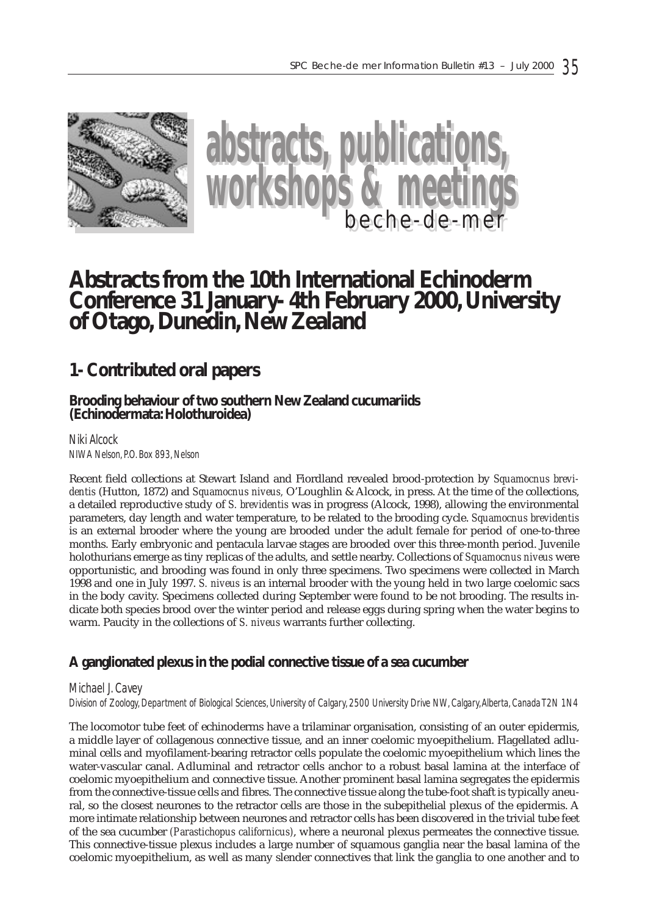



# **Abstracts from the 10th International Echinoderm Conference 31 January- 4th February 2000, University of Otago, Dunedin, New Zealand**

# **1- Contributed oral papers**

# **Brooding behaviour of two southern New Zealand cucumariids (Echinodermata: Holothuroidea)**

*Niki Alcock NIWA Nelson, P.O. Box 893, Nelson*

Recent field collections at Stewart Island and Fiordland revealed brood-protection by *Squamocnus brevidentis* (Hutton, 1872) and *Squamocnus niveus,* O'Loughlin & Alcock, in press. At the time of the collections, a detailed reproductive study of *S. brevidentis* was in progress (Alcock, 1998), allowing the environmental parameters, day length and water temperature, to be related to the brooding cycle. *Squamocnus brevidentis* is an external brooder where the young are brooded under the adult female for period of one-to-three months. Early embryonic and pentacula larvae stages are brooded over this three-month period. Juvenile holothurians emerge as tiny replicas of the adults, and settle nearby. Collections of *Squamocnus niveus* were opportunistic, and brooding was found in only three specimens. Two specimens were collected in March 1998 and one in July 1997. *S. niveus* is an internal brooder with the young held in two large coelomic sacs in the body cavity. Specimens collected during September were found to be not brooding. The results indicate both species brood over the winter period and release eggs during spring when the water begins to warm. Paucity in the collections of *S. niveus* warrants further collecting.

# **A ganglionated plexus in the podial connective tissue of a sea cucumber**

#### *Michael J. Cavey*

*Division of Zoology, Department of Biological Sciences, University of Calgary, 2500 University Drive NW, Calgary,Alberta, Canada T2N 1N4*

The locomotor tube feet of echinoderms have a trilaminar organisation, consisting of an outer epidermis, a middle layer of collagenous connective tissue, and an inner coelomic myoepithelium. Flagellated adluminal cells and myofilament-bearing retractor cells populate the coelomic myoepithelium which lines the water-vascular canal. Adluminal and retractor cells anchor to a robust basal lamina at the interface of coelomic myoepithelium and connective tissue. Another prominent basal lamina segregates the epidermis from the connective-tissue cells and fibres. The connective tissue along the tube-foot shaft is typically aneural, so the closest neurones to the retractor cells are those in the subepithelial plexus of the epidermis. A more intimate relationship between neurones and retractor cells has been discovered in the trivial tube feet of the sea cucumber *(Parastichopus californicus)*, where a neuronal plexus permeates the connective tissue. This connective-tissue plexus includes a large number of squamous ganglia near the basal lamina of the coelomic myoepithelium, as well as many slender connectives that link the ganglia to one another and to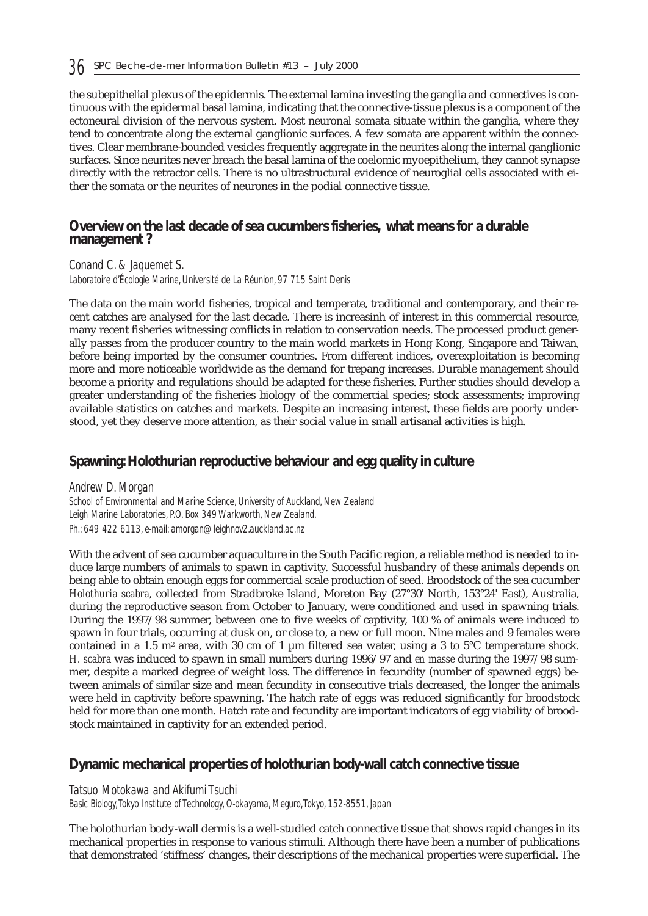the subepithelial plexus of the epidermis. The external lamina investing the ganglia and connectives is continuous with the epidermal basal lamina, indicating that the connective-tissue plexus is a component of the ectoneural division of the nervous system. Most neuronal somata situate within the ganglia, where they tend to concentrate along the external ganglionic surfaces. A few somata are apparent within the connectives. Clear membrane-bounded vesicles frequently aggregate in the neurites along the internal ganglionic surfaces. Since neurites never breach the basal lamina of the coelomic myoepithelium, they cannot synapse directly with the retractor cells. There is no ultrastructural evidence of neuroglial cells associated with either the somata or the neurites of neurones in the podial connective tissue.

### **Overview on the last decade of sea cucumbers fisheries, what means for a durable management ?**

*Conand C. & Jaquemet S.*

*Laboratoire d'Écologie Marine, Université de La Réunion, 97 715 Saint Denis*

The data on the main world fisheries, tropical and temperate, traditional and contemporary, and their recent catches are analysed for the last decade. There is increasinh of interest in this commercial resource, many recent fisheries witnessing conflicts in relation to conservation needs. The processed product generally passes from the producer country to the main world markets in Hong Kong, Singapore and Taiwan, before being imported by the consumer countries. From different indices, overexploitation is becoming more and more noticeable worldwide as the demand for trepang increases. Durable management should become a priority and regulations should be adapted for these fisheries. Further studies should develop a greater understanding of the fisheries biology of the commercial species; stock assessments; improving available statistics on catches and markets. Despite an increasing interest, these fields are poorly understood, yet they deserve more attention, as their social value in small artisanal activities is high.

# **Spawning: Holothurian reproductive behaviour and egg quality in culture**

*Andrew D. Morgan School of Environmental and Marine Science, University of Auckland, New Zealand Leigh Marine Laboratories, P.O. Box 349 Warkworth, New Zealand. Ph.: 649 422 6113, e-mail: amorgan@leighnov2.auckland.ac.nz*

With the advent of sea cucumber aquaculture in the South Pacific region, a reliable method is needed to induce large numbers of animals to spawn in captivity. Successful husbandry of these animals depends on being able to obtain enough eggs for commercial scale production of seed. Broodstock of the sea cucumber *Holothuria scabra*, collected from Stradbroke Island, Moreton Bay (27°30' North, 153°24' East), Australia, during the reproductive season from October to January, were conditioned and used in spawning trials. During the 1997/98 summer, between one to five weeks of captivity, 100 % of animals were induced to spawn in four trials, occurring at dusk on, or close to, a new or full moon. Nine males and 9 females were contained in a 1.5 m<sup>2</sup> area, with 30 cm of 1  $\mu$ m filtered sea water, using a 3 to 5°C temperature shock. *H. scabra* was induced to spawn in small numbers during 1996/97 and *en masse* during the 1997/98 summer, despite a marked degree of weight loss. The difference in fecundity (number of spawned eggs) between animals of similar size and mean fecundity in consecutive trials decreased, the longer the animals were held in captivity before spawning. The hatch rate of eggs was reduced significantly for broodstock held for more than one month. Hatch rate and fecundity are important indicators of egg viability of broodstock maintained in captivity for an extended period.

# **Dynamic mechanical properties of holothurian body-wall catch connective tissue**

#### *Tatsuo Motokawa and Akifumi Tsuchi*

*Basic Biology,Tokyo Institute of Technology, O-okayama, Meguro,Tokyo, 152-8551, Japan*

The holothurian body-wall dermis is a well-studied catch connective tissue that shows rapid changes in its mechanical properties in response to various stimuli. Although there have been a number of publications that demonstrated 'stiffness' changes, their descriptions of the mechanical properties were superficial. The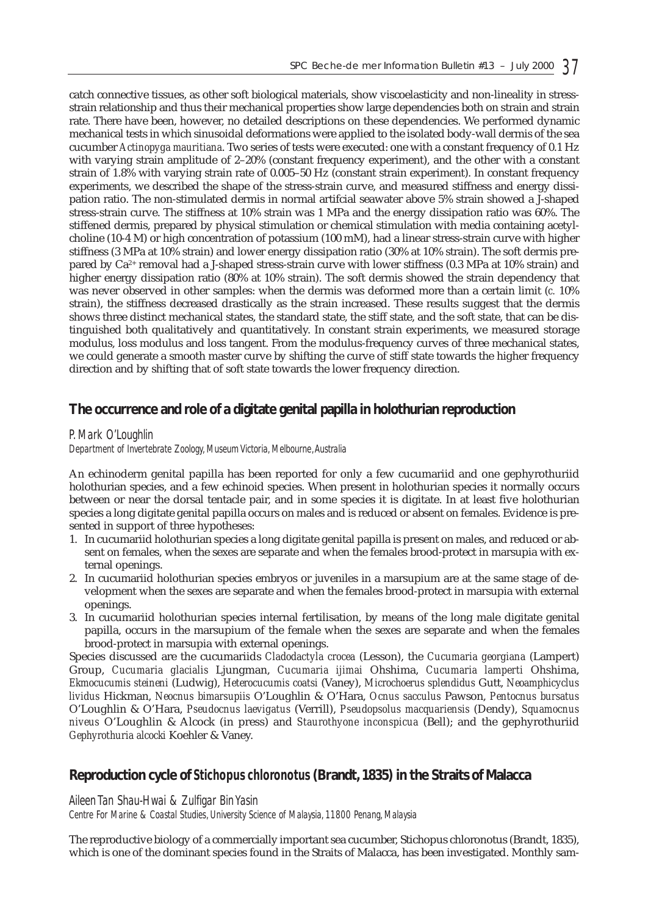catch connective tissues, as other soft biological materials, show viscoelasticity and non-lineality in stressstrain relationship and thus their mechanical properties show large dependencies both on strain and strain rate. There have been, however, no detailed descriptions on these dependencies. We performed dynamic mechanical tests in which sinusoidal deformations were applied to the isolated body-wall dermis of the sea cucumber *Actinopyga mauritiana*. Two series of tests were executed: one with a constant frequency of 0.1 Hz with varying strain amplitude of 2–20% (constant frequency experiment), and the other with a constant strain of 1.8% with varying strain rate of 0.005–50 Hz (constant strain experiment). In constant frequency experiments, we described the shape of the stress-strain curve, and measured stiffness and energy dissipation ratio. The non-stimulated dermis in normal artifcial seawater above 5% strain showed a J-shaped stress-strain curve. The stiffness at 10% strain was 1 MPa and the energy dissipation ratio was 60%. The stiffened dermis, prepared by physical stimulation or chemical stimulation with media containing acetylcholine (10-4 M) or high concentration of potassium (100 mM), had a linear stress-strain curve with higher stiffness (3 MPa at 10% strain) and lower energy dissipation ratio (30% at 10% strain). The soft dermis prepared by Ca2+ removal had a J-shaped stress-strain curve with lower stiffness (0.3 MPa at 10% strain) and higher energy dissipation ratio (80% at 10% strain). The soft dermis showed the strain dependency that was never observed in other samples: when the dermis was deformed more than a certain limit (*c.* 10% strain), the stiffness decreased drastically as the strain increased. These results suggest that the dermis shows three distinct mechanical states, the standard state, the stiff state, and the soft state, that can be distinguished both qualitatively and quantitatively. In constant strain experiments, we measured storage modulus, loss modulus and loss tangent. From the modulus-frequency curves of three mechanical states, we could generate a smooth master curve by shifting the curve of stiff state towards the higher frequency direction and by shifting that of soft state towards the lower frequency direction.

# **The occurrence and role of a digitate genital papilla in holothurian reproduction**

#### *P. Mark O'Loughlin*

*Department of Invertebrate Zoology, Museum Victoria, Melbourne,Australia*

An echinoderm genital papilla has been reported for only a few cucumariid and one gephyrothuriid holothurian species, and a few echinoid species. When present in holothurian species it normally occurs between or near the dorsal tentacle pair, and in some species it is digitate. In at least five holothurian species a long digitate genital papilla occurs on males and is reduced or absent on females. Evidence is presented in support of three hypotheses:

- 1. In cucumariid holothurian species a long digitate genital papilla is present on males, and reduced or absent on females, when the sexes are separate and when the females brood-protect in marsupia with external openings.
- 2. In cucumariid holothurian species embryos or juveniles in a marsupium are at the same stage of development when the sexes are separate and when the females brood-protect in marsupia with external openings.
- 3. In cucumariid holothurian species internal fertilisation, by means of the long male digitate genital papilla, occurs in the marsupium of the female when the sexes are separate and when the females brood-protect in marsupia with external openings.

Species discussed are the cucumariids *Cladodactyla crocea* (Lesson), the *Cucumaria georgiana* (Lampert) Group, *Cucumaria glacialis* Ljungman, *Cucumaria ijimai* Ohshima, *Cucumaria lamperti* Ohshima, *Ekmocucumis steineni* (Ludwig), *Heterocucumis coatsi* (Vaney), *Microchoerus splendidus* Gutt, *Neoamphicyclus lividus* Hickman, *Neocnus bimarsupiis* O'Loughlin & O'Hara, *Ocnus sacculus* Pawson, *Pentocnus bursatus* O'Loughlin & O'Hara, *Pseudocnus laevigatus* (Verrill), *Pseudopsolus macquariensis* (Dendy), *Squamocnus niveus* O'Loughlin & Alcock (in press) and *Staurothyone inconspicua* (Bell); and the gephyrothuriid *Gephyrothuria alcocki* Koehler & Vaney.

# **Reproduction cycle of** *Stichopus chloronotus* **(Brandt, 1835) in the Straits of Malacca**

#### *Aileen Tan Shau-Hwai & Zulfigar Bin Yasin*

*Centre For Marine & Coastal Studies, University Science of Malaysia, 11800 Penang, Malaysia*

The reproductive biology of a commercially important sea cucumber, Stichopus chloronotus (Brandt, 1835), which is one of the dominant species found in the Straits of Malacca, has been investigated. Monthly sam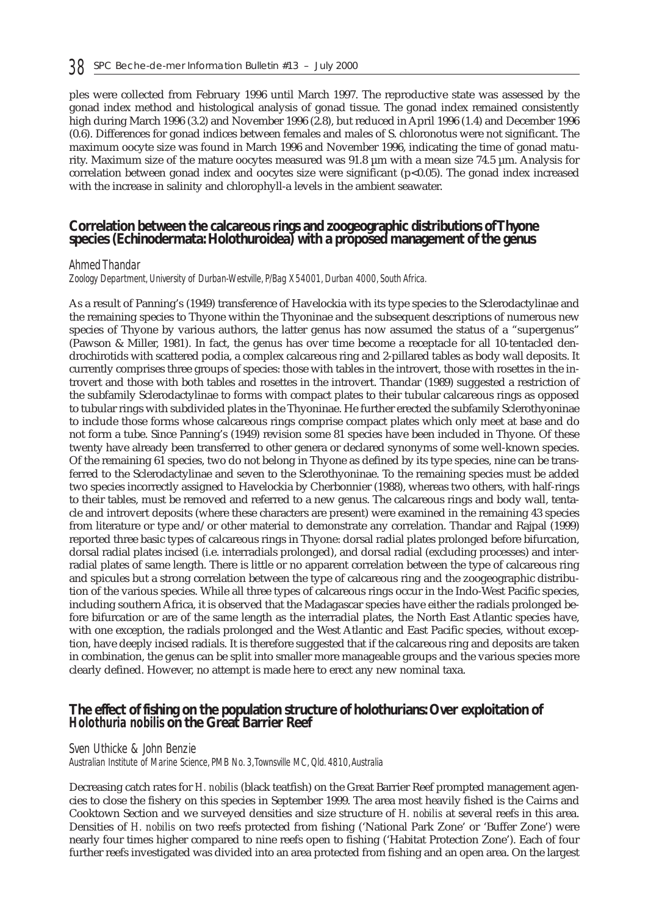ples were collected from February 1996 until March 1997. The reproductive state was assessed by the gonad index method and histological analysis of gonad tissue. The gonad index remained consistently high during March 1996 (3.2) and November 1996 (2.8), but reduced in April 1996 (1.4) and December 1996 (0.6). Differences for gonad indices between females and males of S. chloronotus were not significant. The maximum oocyte size was found in March 1996 and November 1996, indicating the time of gonad maturity. Maximum size of the mature oocytes measured was 91.8 µm with a mean size 74.5 µm. Analysis for correlation between gonad index and oocytes size were significant (p<0.05). The gonad index increased with the increase in salinity and chlorophyll-a levels in the ambient seawater.

#### **Correlation between the calcareous rings and zoogeographic distributions of Thyone species (Echinodermata: Holothuroidea) with a proposed management of the genus**

#### *Ahmed Thandar*

*Zoology Department, University of Durban-Westville, P/Bag X54001, Durban 4000, South Africa.*

As a result of Panning's (1949) transference of Havelockia with its type species to the Sclerodactylinae and the remaining species to Thyone within the Thyoninae and the subsequent descriptions of numerous new species of Thyone by various authors, the latter genus has now assumed the status of a "supergenus" (Pawson & Miller, 1981). In fact, the genus has over time become a receptacle for all 10-tentacled dendrochirotids with scattered podia, a complex calcareous ring and 2-pillared tables as body wall deposits. It currently comprises three groups of species: those with tables in the introvert, those with rosettes in the introvert and those with both tables and rosettes in the introvert. Thandar (1989) suggested a restriction of the subfamily Sclerodactylinae to forms with compact plates to their tubular calcareous rings as opposed to tubular rings with subdivided plates in the Thyoninae. He further erected the subfamily Sclerothyoninae to include those forms whose calcareous rings comprise compact plates which only meet at base and do not form a tube. Since Panning's (1949) revision some 81 species have been included in Thyone. Of these twenty have already been transferred to other genera or declared synonyms of some well-known species. Of the remaining 61 species, two do not belong in Thyone as defined by its type species, nine can be transferred to the Sclerodactylinae and seven to the Sclerothyoninae. To the remaining species must be added two species incorrectly assigned to Havelockia by Cherbonnier (1988), whereas two others, with half-rings to their tables, must be removed and referred to a new genus. The calcareous rings and body wall, tentacle and introvert deposits (where these characters are present) were examined in the remaining 43 species from literature or type and/or other material to demonstrate any correlation. Thandar and Rajpal (1999) reported three basic types of calcareous rings in Thyone: dorsal radial plates prolonged before bifurcation, dorsal radial plates incised (i.e. interradials prolonged), and dorsal radial (excluding processes) and interradial plates of same length. There is little or no apparent correlation between the type of calcareous ring and spicules but a strong correlation between the type of calcareous ring and the zoogeographic distribution of the various species. While all three types of calcareous rings occur in the Indo-West Pacific species, including southern Africa, it is observed that the Madagascar species have either the radials prolonged before bifurcation or are of the same length as the interradial plates, the North East Atlantic species have, with one exception, the radials prolonged and the West Atlantic and East Pacific species, without exception, have deeply incised radials. It is therefore suggested that if the calcareous ring and deposits are taken in combination, the genus can be split into smaller more manageable groups and the various species more clearly defined. However, no attempt is made here to erect any new nominal taxa.

### **The effect of fishing on the population structure of holothurians: Over exploitation of** *Holothuria nobilis* **on the Great Barrier Reef**

#### *Sven Uthicke & John Benzie*

*Australian Institute of Marine Science, PMB No. 3,Townsville MC, Qld. 4810,Australia* 

Decreasing catch rates for *H. nobilis* (black teatfish) on the Great Barrier Reef prompted management agencies to close the fishery on this species in September 1999. The area most heavily fished is the Cairns and Cooktown Section and we surveyed densities and size structure of *H. nobilis* at several reefs in this area. Densities of *H. nobilis* on two reefs protected from fishing ('National Park Zone' or 'Buffer Zone') were nearly four times higher compared to nine reefs open to fishing ('Habitat Protection Zone'). Each of four further reefs investigated was divided into an area protected from fishing and an open area. On the largest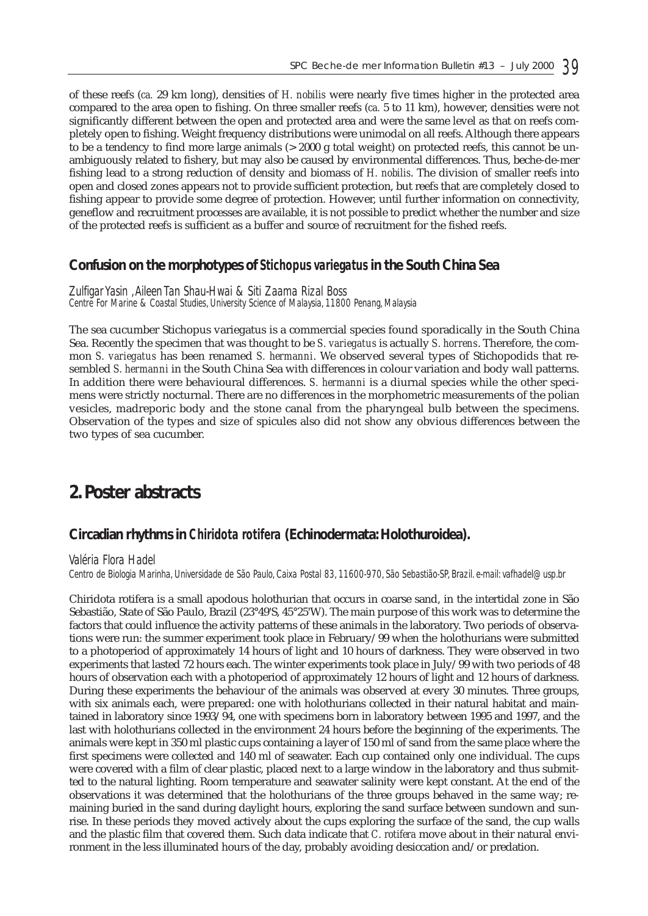of these reefs (*ca.* 29 km long), densities of *H. nobilis* were nearly five times higher in the protected area compared to the area open to fishing. On three smaller reefs (*ca.* 5 to 11 km), however, densities were not significantly different between the open and protected area and were the same level as that on reefs completely open to fishing. Weight frequency distributions were unimodal on all reefs. Although there appears to be a tendency to find more large animals (> 2000 g total weight) on protected reefs, this cannot be unambiguously related to fishery, but may also be caused by environmental differences. Thus, beche-de-mer fishing lead to a strong reduction of density and biomass of *H. nobilis*. The division of smaller reefs into open and closed zones appears not to provide sufficient protection, but reefs that are completely closed to fishing appear to provide some degree of protection. However, until further information on connectivity, geneflow and recruitment processes are available, it is not possible to predict whether the number and size of the protected reefs is sufficient as a buffer and source of recruitment for the fished reefs.

### **Confusion on the morphotypes of** *Stichopus variegatus* **in the South China Sea**

*Zulfigar Yasin ,Aileen Tan Shau-Hwai & Siti Zaama Rizal Boss Centre For Marine & Coastal Studies, University Science of Malaysia, 11800 Penang, Malaysia*

The sea cucumber Stichopus variegatus is a commercial species found sporadically in the South China Sea. Recently the specimen that was thought to be *S. variegatus* is actually *S. horrens*. Therefore, the common *S. variegatus* has been renamed *S. hermanni*. We observed several types of Stichopodids that resembled *S. hermanni* in the South China Sea with differences in colour variation and body wall patterns. In addition there were behavioural differences. *S. hermanni* is a diurnal species while the other specimens were strictly nocturnal. There are no differences in the morphometric measurements of the polian vesicles, madreporic body and the stone canal from the pharyngeal bulb between the specimens. Observation of the types and size of spicules also did not show any obvious differences between the two types of sea cucumber.

# **2. Poster abstracts**

#### **Circadian rhythms in** *Chiridota rotifera* **(Echinodermata: Holothuroidea).**

#### *Valéria Flora Hadel*

*Centro de Biologia Marinha, Universidade de São Paulo, Caixa Postal 83, 11600-970, São Sebastião-SP, Brazil. e-mail: vafhadel@usp.br*

Chiridota rotifera is a small apodous holothurian that occurs in coarse sand, in the intertidal zone in São Sebastião, State of São Paulo, Brazil (23°49'S, 45°25'W). The main purpose of this work was to determine the factors that could influence the activity patterns of these animals in the laboratory. Two periods of observations were run: the summer experiment took place in February/99 when the holothurians were submitted to a photoperiod of approximately 14 hours of light and 10 hours of darkness. They were observed in two experiments that lasted 72 hours each. The winter experiments took place in July/99 with two periods of 48 hours of observation each with a photoperiod of approximately 12 hours of light and 12 hours of darkness. During these experiments the behaviour of the animals was observed at every 30 minutes. Three groups, with six animals each, were prepared: one with holothurians collected in their natural habitat and maintained in laboratory since 1993/94, one with specimens born in laboratory between 1995 and 1997, and the last with holothurians collected in the environment 24 hours before the beginning of the experiments. The animals were kept in 350 ml plastic cups containing a layer of 150 ml of sand from the same place where the first specimens were collected and 140 ml of seawater. Each cup contained only one individual. The cups were covered with a film of clear plastic, placed next to a large window in the laboratory and thus submitted to the natural lighting. Room temperature and seawater salinity were kept constant. At the end of the observations it was determined that the holothurians of the three groups behaved in the same way; remaining buried in the sand during daylight hours, exploring the sand surface between sundown and sunrise. In these periods they moved actively about the cups exploring the surface of the sand, the cup walls and the plastic film that covered them. Such data indicate that *C. rotifera* move about in their natural environment in the less illuminated hours of the day, probably avoiding desiccation and/or predation.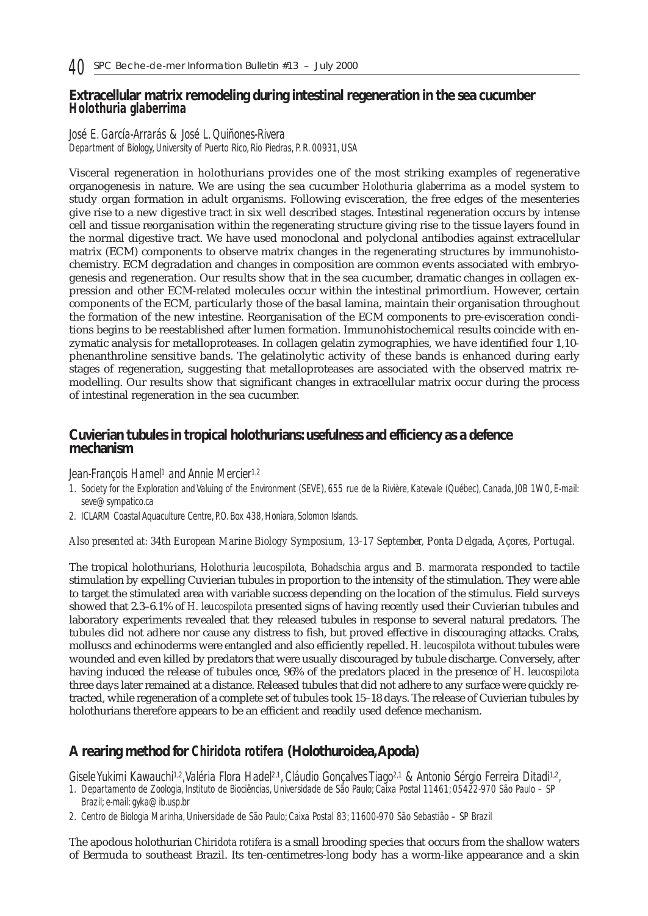## **Extracellular matrix remodeling during intestinal regeneration in the sea cucumber** *Holothuria glaberrima*

*José E. García-Arrarás & José L. Quiñones-Rivera Department of Biology, University of Puerto Rico, Rio Piedras, P. R. 00931, USA*

Visceral regeneration in holothurians provides one of the most striking examples of regenerative organogenesis in nature. We are using the sea cucumber *Holothuria glaberrima* as a model system to study organ formation in adult organisms. Following evisceration, the free edges of the mesenteries give rise to a new digestive tract in six well described stages. Intestinal regeneration occurs by intense cell and tissue reorganisation within the regenerating structure giving rise to the tissue layers found in the normal digestive tract. We have used monoclonal and polyclonal antibodies against extracellular matrix (ECM) components to observe matrix changes in the regenerating structures by immunohistochemistry. ECM degradation and changes in composition are common events associated with embryogenesis and regeneration. Our results show that in the sea cucumber, dramatic changes in collagen expression and other ECM-related molecules occur within the intestinal primordium. However, certain components of the ECM, particularly those of the basal lamina, maintain their organisation throughout the formation of the new intestine. Reorganisation of the ECM components to pre-evisceration conditions begins to be reestablished after lumen formation. Immunohistochemical results coincide with enzymatic analysis for metalloproteases. In collagen gelatin zymographies, we have identified four 1,10 phenanthroline sensitive bands. The gelatinolytic activity of these bands is enhanced during early stages of regeneration, suggesting that metalloproteases are associated with the observed matrix remodelling. Our results show that significant changes in extracellular matrix occur during the process of intestinal regeneration in the sea cucumber.

# **Cuvierian tubules in tropical holothurians: usefulness and efficiency as a defence mechanism**

#### *Jean-François Hamel1 and Annie Mercier1,2*

- *1. Society for the Exploration and Valuing of the Environment (SEVE), 655 rue de la Rivière, Katevale (Québec), Canada, J0B 1W0, E-mail: seve@sympatico.ca*
- *2. ICLARM Coastal Aquaculture Centre, P.O. Box 438, Honiara, Solomon Islands.*

#### *Also presented at: 34th European Marine Biology Symposium, 13-17 September, Ponta Delgada, Açores, Portugal.*

The tropical holothurians, *Holothuria leucospilota, Bohadschia argus* and *B. marmorata* responded to tactile stimulation by expelling Cuvierian tubules in proportion to the intensity of the stimulation. They were able to target the stimulated area with variable success depending on the location of the stimulus. Field surveys showed that 2.3–6.1% of *H. leucospilota* presented signs of having recently used their Cuvierian tubules and laboratory experiments revealed that they released tubules in response to several natural predators. The tubules did not adhere nor cause any distress to fish, but proved effective in discouraging attacks. Crabs, molluscs and echinoderms were entangled and also efficiently repelled. *H. leucospilota* without tubules were wounded and even killed by predators that were usually discouraged by tubule discharge. Conversely, after having induced the release of tubules once, 96% of the predators placed in the presence of *H. leucospilota* three days later remained at a distance. Released tubules that did not adhere to any surface were quickly retracted, while regeneration of a complete set of tubules took 15–18 days. The release of Cuvierian tubules by holothurians therefore appears to be an efficient and readily used defence mechanism.

# **A rearing method for** *Chiridota rotifera* **(Holothuroidea,Apoda)**

*Gisele Yukimi Kawauchi1,2,Valéria Flora Hadel2,1, Cláudio Gonçalves Tiago2,1 & Antonio Sérgio Ferreira Ditadi1,2,*

- *1. Departamento de Zoologia, Instituto de Biociências, Universidade de São Paulo; Caixa Postal 11461; 05422-970 São Paulo SP Brazil; e-mail: gyka@ib.usp.br*
- *2. Centro de Biologia Marinha, Universidade de São Paulo; Caixa Postal 83; 11600-970 São Sebastião SP Brazil*

The apodous holothurian *Chiridota rotifera* is a small brooding species that occurs from the shallow waters of Bermuda to southeast Brazil. Its ten-centimetres-long body has a worm-like appearance and a skin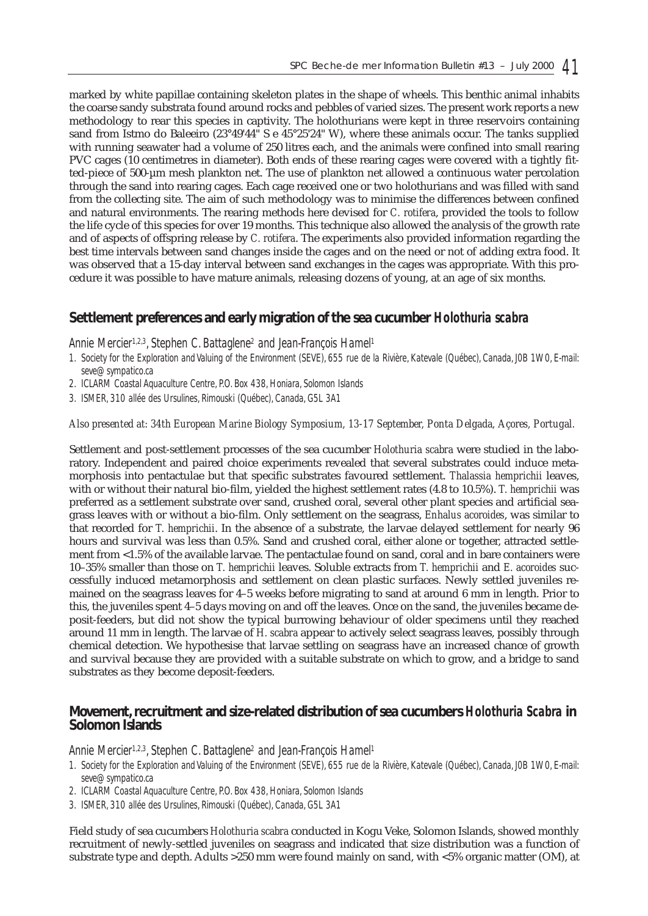marked by white papillae containing skeleton plates in the shape of wheels. This benthic animal inhabits the coarse sandy substrata found around rocks and pebbles of varied sizes. The present work reports a new methodology to rear this species in captivity. The holothurians were kept in three reservoirs containing sand from Istmo do Baleeiro (23°49'44" S e 45°25'24" W), where these animals occur. The tanks supplied with running seawater had a volume of 250 litres each, and the animals were confined into small rearing PVC cages (10 centimetres in diameter). Both ends of these rearing cages were covered with a tightly fitted-piece of 500-µm mesh plankton net. The use of plankton net allowed a continuous water percolation through the sand into rearing cages. Each cage received one or two holothurians and was filled with sand from the collecting site. The aim of such methodology was to minimise the differences between confined and natural environments. The rearing methods here devised for *C. rotifera*, provided the tools to follow the life cycle of this species for over 19 months. This technique also allowed the analysis of the growth rate and of aspects of offspring release by *C. rotifera*. The experiments also provided information regarding the best time intervals between sand changes inside the cages and on the need or not of adding extra food. It was observed that a 15-day interval between sand exchanges in the cages was appropriate. With this procedure it was possible to have mature animals, releasing dozens of young, at an age of six months.

# **Settlement preferences and early migration of the sea cucumber** *Holothuria scabra*

*Annie Mercier1,2,3, Stephen C. Battaglene2 and Jean-François Hamel1*

- *1. Society for the Exploration and Valuing of the Environment (SEVE), 655 rue de la Rivière, Katevale (Québec), Canada, J0B 1W0, E-mail: seve@sympatico.ca*
- *2. ICLARM Coastal Aquaculture Centre, P.O. Box 438, Honiara, Solomon Islands*
- *3. ISMER, 310 allée des Ursulines, Rimouski (Québec), Canada, G5L 3A1*

*Also presented at: 34th European Marine Biology Symposium, 13-17 September, Ponta Delgada, Açores, Portugal.*

Settlement and post-settlement processes of the sea cucumber *Holothuria scabra* were studied in the laboratory. Independent and paired choice experiments revealed that several substrates could induce metamorphosis into pentactulae but that specific substrates favoured settlement. *Thalassia hemprichii* leaves, with or without their natural bio-film, yielded the highest settlement rates (4.8 to 10.5%). *T. hemprichii* was preferred as a settlement substrate over sand, crushed coral, several other plant species and artificial seagrass leaves with or without a bio-film. Only settlement on the seagrass, *Enhalus acoroides*, was similar to that recorded for *T. hemprichii*. In the absence of a substrate, the larvae delayed settlement for nearly 96 hours and survival was less than 0.5%. Sand and crushed coral, either alone or together, attracted settlement from <1.5% of the available larvae. The pentactulae found on sand, coral and in bare containers were 10–35% smaller than those on *T. hemprichii* leaves. Soluble extracts from *T. hemprichii* and *E. acoroides* successfully induced metamorphosis and settlement on clean plastic surfaces. Newly settled juveniles remained on the seagrass leaves for 4–5 weeks before migrating to sand at around 6 mm in length. Prior to this, the juveniles spent 4–5 days moving on and off the leaves. Once on the sand, the juveniles became deposit-feeders, but did not show the typical burrowing behaviour of older specimens until they reached around 11 mm in length. The larvae of *H. scabra* appear to actively select seagrass leaves, possibly through chemical detection. We hypothesise that larvae settling on seagrass have an increased chance of growth and survival because they are provided with a suitable substrate on which to grow, and a bridge to sand substrates as they become deposit-feeders.

## **Movement, recruitment and size-related distribution of sea cucumbers** *Holothuria Scabra* **in Solomon Islands**

*Annie Mercier1,2,3, Stephen C. Battaglene2 and Jean-François Hamel1*

- *1. Society for the Exploration and Valuing of the Environment (SEVE), 655 rue de la Rivière, Katevale (Québec), Canada, J0B 1W0, E-mail: seve@sympatico.ca*
- *2. ICLARM Coastal Aquaculture Centre, P.O. Box 438, Honiara, Solomon Islands*
- *3. ISMER, 310 allée des Ursulines, Rimouski (Québec), Canada, G5L 3A1*

Field study of sea cucumbers *Holothuria scabra* conducted in Kogu Veke, Solomon Islands, showed monthly recruitment of newly-settled juveniles on seagrass and indicated that size distribution was a function of substrate type and depth. Adults >250 mm were found mainly on sand, with <5% organic matter (OM), at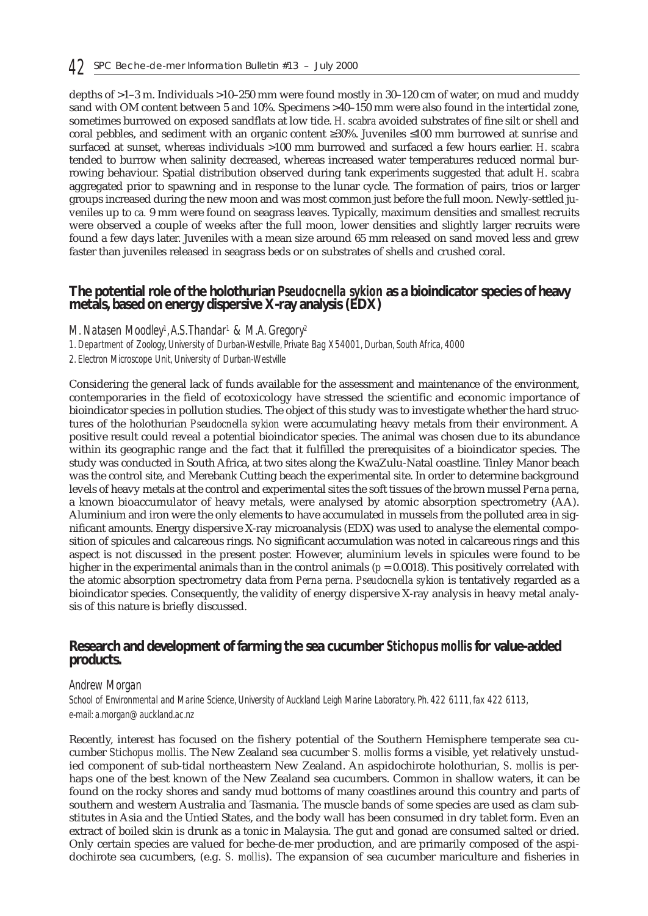depths of >1–3 m. Individuals >10–250 mm were found mostly in 30–120 cm of water, on mud and muddy sand with OM content between 5 and 10%. Specimens >40–150 mm were also found in the intertidal zone, sometimes burrowed on exposed sandflats at low tide. *H. scabra* avoided substrates of fine silt or shell and coral pebbles, and sediment with an organic content ≥30%. Juveniles ≤100 mm burrowed at sunrise and surfaced at sunset, whereas individuals >100 mm burrowed and surfaced a few hours earlier. *H. scabra* tended to burrow when salinity decreased, whereas increased water temperatures reduced normal burrowing behaviour. Spatial distribution observed during tank experiments suggested that adult *H. scabra* aggregated prior to spawning and in response to the lunar cycle. The formation of pairs, trios or larger groups increased during the new moon and was most common just before the full moon. Newly-settled juveniles up to *ca.* 9 mm were found on seagrass leaves. Typically, maximum densities and smallest recruits were observed a couple of weeks after the full moon, lower densities and slightly larger recruits were found a few days later. Juveniles with a mean size around 65 mm released on sand moved less and grew faster than juveniles released in seagrass beds or on substrates of shells and crushed coral.

#### **The potential role of the holothurian** *Pseudocnella sykion* **as a bioindicator species of heavy metals, based on energy dispersive X-ray analysis (EDX)**

*M. Natasen Moodley1,A.S.Thandar1 & M.A. Gregory2*

*1. Department of Zoology, University of Durban-Westville, Private Bag X54001, Durban, South Africa, 4000* 

*2. Electron Microscope Unit, University of Durban-Westville*

Considering the general lack of funds available for the assessment and maintenance of the environment, contemporaries in the field of ecotoxicology have stressed the scientific and economic importance of bioindicator species in pollution studies. The object of this study was to investigate whether the hard structures of the holothurian *Pseudocnella sykion* were accumulating heavy metals from their environment. A positive result could reveal a potential bioindicator species. The animal was chosen due to its abundance within its geographic range and the fact that it fulfilled the prerequisites of a bioindicator species. The study was conducted in South Africa, at two sites along the KwaZulu-Natal coastline. Tinley Manor beach was the control site, and Merebank Cutting beach the experimental site. In order to determine background levels of heavy metals at the control and experimental sites the soft tissues of the brown mussel *Perna perna*, a known bioaccumulator of heavy metals, were analysed by atomic absorption spectrometry (AA). Aluminium and iron were the only elements to have accumulated in mussels from the polluted area in significant amounts. Energy dispersive X-ray microanalysis (EDX) was used to analyse the elemental composition of spicules and calcareous rings. No significant accumulation was noted in calcareous rings and this aspect is not discussed in the present poster. However, aluminium levels in spicules were found to be higher in the experimental animals than in the control animals (*p* = 0.0018). This positively correlated with the atomic absorption spectrometry data from *Perna perna*. *Pseudocnella sykion* is tentatively regarded as a bioindicator species. Consequently, the validity of energy dispersive X-ray analysis in heavy metal analysis of this nature is briefly discussed.

#### **Research and development of farming the sea cucumber** *Stichopus mollis* **for value-added products.**

#### *Andrew Morgan*

*School of Environmental and Marine Science, University of Auckland Leigh Marine Laboratory. Ph. 422 6111, fax 422 6113, e-mail: a.morgan@auckland.ac.nz*

Recently, interest has focused on the fishery potential of the Southern Hemisphere temperate sea cucumber *Stichopus mollis*. The New Zealand sea cucumber *S. mollis* forms a visible, yet relatively unstudied component of sub-tidal northeastern New Zealand. An aspidochirote holothurian, *S. mollis* is perhaps one of the best known of the New Zealand sea cucumbers. Common in shallow waters, it can be found on the rocky shores and sandy mud bottoms of many coastlines around this country and parts of southern and western Australia and Tasmania. The muscle bands of some species are used as clam substitutes in Asia and the Untied States, and the body wall has been consumed in dry tablet form. Even an extract of boiled skin is drunk as a tonic in Malaysia. The gut and gonad are consumed salted or dried. Only certain species are valued for beche-de-mer production, and are primarily composed of the aspidochirote sea cucumbers, (e.g. *S. mollis*). The expansion of sea cucumber mariculture and fisheries in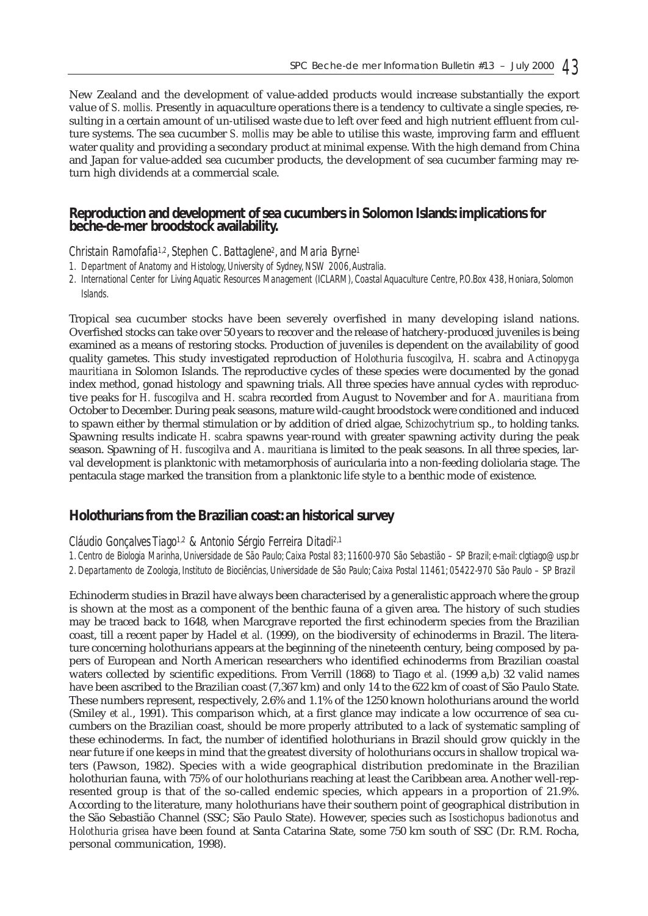New Zealand and the development of value-added products would increase substantially the export value of *S. mollis.* Presently in aquaculture operations there is a tendency to cultivate a single species, resulting in a certain amount of un-utilised waste due to left over feed and high nutrient effluent from culture systems. The sea cucumber *S. mollis* may be able to utilise this waste, improving farm and effluent water quality and providing a secondary product at minimal expense. With the high demand from China and Japan for value-added sea cucumber products, the development of sea cucumber farming may return high dividends at a commercial scale.

### **Reproduction and development of sea cucumbers in Solomon Islands: implications for beche-de-mer broodstock availability.**

*Christain Ramofafia1,2, Stephen C. Battaglene2, and Maria Byrne1*

- *1. Department of Anatomy and Histology, University of Sydney, NSW 2006,Australia.*
- *2. International Center for Living Aquatic Resources Management (ICLARM), Coastal Aquaculture Centre, P.O.Box 438, Honiara, Solomon Islands.*

Tropical sea cucumber stocks have been severely overfished in many developing island nations. Overfished stocks can take over 50 years to recover and the release of hatchery-produced juveniles is being examined as a means of restoring stocks. Production of juveniles is dependent on the availability of good quality gametes. This study investigated reproduction of *Holothuria fuscogilva, H. scabra* and *Actinopyga mauritiana* in Solomon Islands. The reproductive cycles of these species were documented by the gonad index method, gonad histology and spawning trials. All three species have annual cycles with reproductive peaks for *H. fuscogilva* and *H. scabra* recorded from August to November and for *A. mauritiana* from October to December. During peak seasons, mature wild-caught broodstock were conditioned and induced to spawn either by thermal stimulation or by addition of dried algae, *Schizochytrium* sp., to holding tanks. Spawning results indicate *H. scabra* spawns year-round with greater spawning activity during the peak season. Spawning of *H. fuscogilva* and *A. mauritiana* is limited to the peak seasons. In all three species, larval development is planktonic with metamorphosis of auricularia into a non-feeding doliolaria stage. The pentacula stage marked the transition from a planktonic life style to a benthic mode of existence.

## **Holothurians from the Brazilian coast: an historical survey**

#### *Cláudio Gonçalves Tiago1,2 & Antonio Sérgio Ferreira Ditadi2,1*

*1. Centro de Biologia Marinha, Universidade de São Paulo; Caixa Postal 83; 11600-970 São Sebastião – SP Brazil; e-mail: clgtiago@usp.br 2. Departamento de Zoologia, Instituto de Biociências, Universidade de São Paulo; Caixa Postal 11461; 05422-970 São Paulo – SP Brazil*

Echinoderm studies in Brazil have always been characterised by a generalistic approach where the group is shown at the most as a component of the benthic fauna of a given area. The history of such studies may be traced back to 1648, when Marcgrave reported the first echinoderm species from the Brazilian coast, till a recent paper by Hadel *et al.* (1999), on the biodiversity of echinoderms in Brazil. The literature concerning holothurians appears at the beginning of the nineteenth century, being composed by papers of European and North American researchers who identified echinoderms from Brazilian coastal waters collected by scientific expeditions. From Verrill (1868) to Tiago *et al.* (1999 a,b) 32 valid names have been ascribed to the Brazilian coast (7,367 km) and only 14 to the 622 km of coast of São Paulo State. These numbers represent, respectively, 2.6% and 1.1% of the 1250 known holothurians around the world (Smiley *et al.*, 1991). This comparison which, at a first glance may indicate a low occurrence of sea cucumbers on the Brazilian coast, should be more properly attributed to a lack of systematic sampling of these echinoderms. In fact, the number of identified holothurians in Brazil should grow quickly in the near future if one keeps in mind that the greatest diversity of holothurians occurs in shallow tropical waters (Pawson, 1982). Species with a wide geographical distribution predominate in the Brazilian holothurian fauna, with 75% of our holothurians reaching at least the Caribbean area. Another well-represented group is that of the so-called endemic species, which appears in a proportion of 21.9%. According to the literature, many holothurians have their southern point of geographical distribution in the São Sebastião Channel (SSC; São Paulo State). However, species such as *Isostichopus badionotus* and *Holothuria grisea* have been found at Santa Catarina State, some 750 km south of SSC (Dr. R.M. Rocha, personal communication, 1998).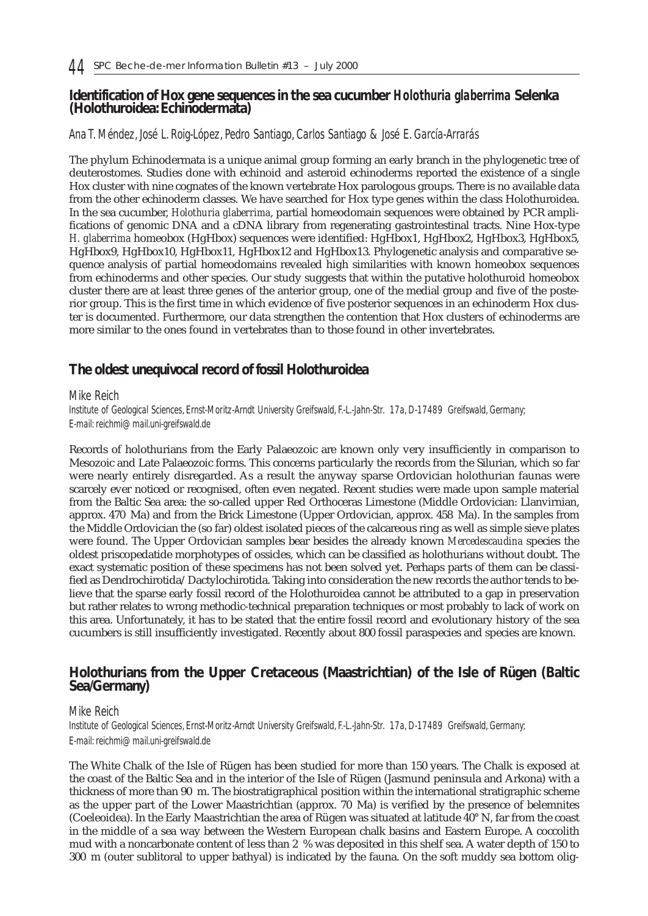## **Identification of Hox gene sequences in the sea cucumber** *Holothuria glaberrima* **Selenka (Holothuroidea: Echinodermata)**

#### *Ana T. Méndez, José L. Roig-López, Pedro Santiago, Carlos Santiago & José E. García-Arrarás*

The phylum Echinodermata is a unique animal group forming an early branch in the phylogenetic tree of deuterostomes. Studies done with echinoid and asteroid echinoderms reported the existence of a single Hox cluster with nine cognates of the known vertebrate Hox parologous groups. There is no available data from the other echinoderm classes. We have searched for Hox type genes within the class Holothuroidea. In the sea cucumber, *Holothuria glaberrima*, partial homeodomain sequences were obtained by PCR amplifications of genomic DNA and a cDNA library from regenerating gastrointestinal tracts. Nine Hox-type *H. glaberrima* homeobox (HgHbox) sequences were identified: HgHbox1, HgHbox2, HgHbox3, HgHbox5, HgHbox9, HgHbox10, HgHbox11, HgHbox12 and HgHbox13. Phylogenetic analysis and comparative sequence analysis of partial homeodomains revealed high similarities with known homeobox sequences from echinoderms and other species. Our study suggests that within the putative holothuroid homeobox cluster there are at least three genes of the anterior group, one of the medial group and five of the posterior group. This is the first time in which evidence of five posterior sequences in an echinoderm Hox cluster is documented. Furthermore, our data strengthen the contention that Hox clusters of echinoderms are more similar to the ones found in vertebrates than to those found in other invertebrates.

# **The oldest unequivocal record of fossil Holothuroidea**

#### *Mike Reich*

*Institute of Geological Sciences, Ernst-Moritz-Arndt University Greifswald, F.-L.-Jahn-Str. 17a, D-17489 Greifswald, Germany; E-mail: reichmi@mail.uni-greifswald.de*

Records of holothurians from the Early Palaeozoic are known only very insufficiently in comparison to Mesozoic and Late Palaeozoic forms. This concerns particularly the records from the Silurian, which so far were nearly entirely disregarded. As a result the anyway sparse Ordovician holothurian faunas were scarcely ever noticed or recognised, often even negated. Recent studies were made upon sample material from the Baltic Sea area: the so-called upper Red Orthoceras Limestone (Middle Ordovician: Llanvirnian, approx. 470 Ma) and from the Brick Limestone (Upper Ordovician, approx. 458 Ma). In the samples from the Middle Ordovician the (so far) oldest isolated pieces of the calcareous ring as well as simple sieve plates were found. The Upper Ordovician samples bear besides the already known *Mercedescaudina* species the oldest priscopedatide morphotypes of ossicles, which can be classified as holothurians without doubt. The exact systematic position of these specimens has not been solved yet. Perhaps parts of them can be classified as Dendrochirotida/Dactylochirotida. Taking into consideration the new records the author tends to believe that the sparse early fossil record of the Holothuroidea cannot be attributed to a gap in preservation but rather relates to wrong methodic-technical preparation techniques or most probably to lack of work on this area. Unfortunately, it has to be stated that the entire fossil record and evolutionary history of the sea cucumbers is still insufficiently investigated. Recently about 800 fossil paraspecies and species are known.

# **Holothurians from the Upper Cretaceous (Maastrichtian) of the Isle of Rügen (Baltic Sea/Germany)**

#### *Mike Reich*

*Institute of Geological Sciences, Ernst-Moritz-Arndt University Greifswald, F.-L.-Jahn-Str. 17a, D-17489 Greifswald, Germany; E-mail: reichmi@mail.uni-greifswald.de*

The White Chalk of the Isle of Rügen has been studied for more than 150 years. The Chalk is exposed at the coast of the Baltic Sea and in the interior of the Isle of Rügen (Jasmund peninsula and Arkona) with a thickness of more than 90 m. The biostratigraphical position within the international stratigraphic scheme as the upper part of the Lower Maastrichtian (approx. 70 Ma) is verified by the presence of belemnites (Coeleoidea). In the Early Maastrichtian the area of Rügen was situated at latitude 40° N, far from the coast in the middle of a sea way between the Western European chalk basins and Eastern Europe. A coccolith mud with a noncarbonate content of less than 2 % was deposited in this shelf sea. A water depth of 150 to 300 m (outer sublitoral to upper bathyal) is indicated by the fauna. On the soft muddy sea bottom olig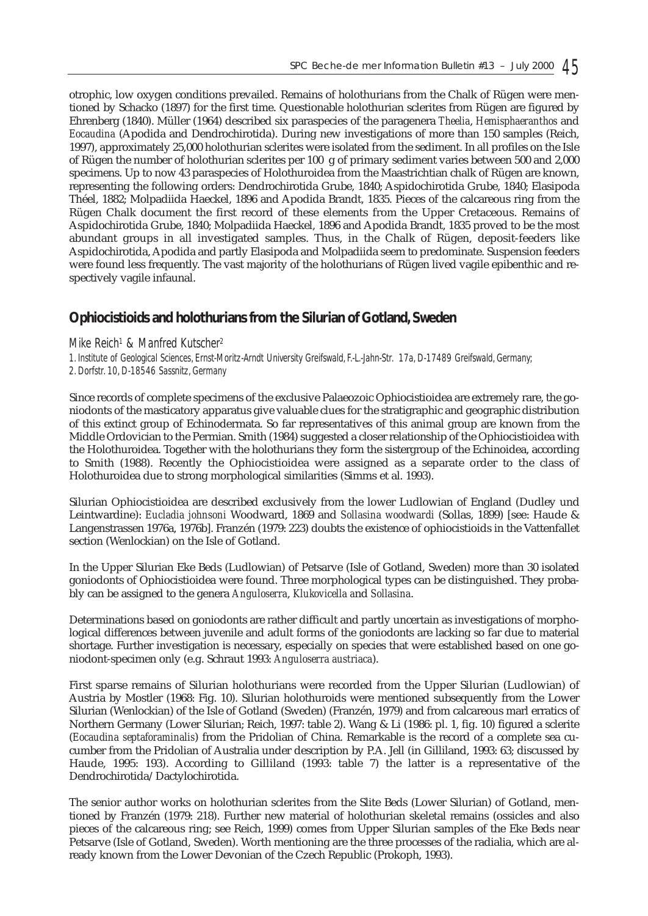otrophic, low oxygen conditions prevailed. Remains of holothurians from the Chalk of Rügen were mentioned by Schacko (1897) for the first time. Questionable holothurian sclerites from Rügen are figured by Ehrenberg (1840). Müller (1964) described six paraspecies of the paragenera *Theelia*, *Hemisphaeranthos* and *Eocaudina* (Apodida and Dendrochirotida). During new investigations of more than 150 samples (Reich, 1997), approximately 25,000 holothurian sclerites were isolated from the sediment. In all profiles on the Isle of Rügen the number of holothurian sclerites per 100 g of primary sediment varies between 500 and 2,000 specimens. Up to now 43 paraspecies of Holothuroidea from the Maastrichtian chalk of Rügen are known, representing the following orders: Dendrochirotida Grube, 1840; Aspidochirotida Grube, 1840; Elasipoda Théel, 1882; Molpadiida Haeckel, 1896 and Apodida Brandt, 1835. Pieces of the calcareous ring from the Rügen Chalk document the first record of these elements from the Upper Cretaceous. Remains of Aspidochirotida Grube, 1840; Molpadiida Haeckel, 1896 and Apodida Brandt, 1835 proved to be the most abundant groups in all investigated samples. Thus, in the Chalk of Rügen, deposit-feeders like Aspidochirotida, Apodida and partly Elasipoda and Molpadiida seem to predominate. Suspension feeders were found less frequently. The vast majority of the holothurians of Rügen lived vagile epibenthic and respectively vagile infaunal.

# **Ophiocistioids and holothurians from the Silurian of Gotland, Sweden**

#### *Mike Reich1 & Manfred Kutscher2*

*1. Institute of Geological Sciences, Ernst-Moritz-Arndt University Greifswald, F.-L.-Jahn-Str. 17a, D-17489 Greifswald, Germany; 2. Dorfstr. 10, D-18546 Sassnitz, Germany*

Since records of complete specimens of the exclusive Palaeozoic Ophiocistioidea are extremely rare, the goniodonts of the masticatory apparatus give valuable clues for the stratigraphic and geographic distribution of this extinct group of Echinodermata. So far representatives of this animal group are known from the Middle Ordovician to the Permian. Smith (1984) suggested a closer relationship of the Ophiocistioidea with the Holothuroidea. Together with the holothurians they form the sistergroup of the Echinoidea, according to Smith (1988). Recently the Ophiocistioidea were assigned as a separate order to the class of Holothuroidea due to strong morphological similarities (Simms et al. 1993).

Silurian Ophiocistioidea are described exclusively from the lower Ludlowian of England (Dudley und Leintwardine): *Eucladia johnsoni* Woodward, 1869 and *Sollasina woodwardi* (Sollas, 1899) [see: Haude & Langenstrassen 1976a, 1976b]. Franzén (1979: 223) doubts the existence of ophiocistioids in the Vattenfallet section (Wenlockian) on the Isle of Gotland.

In the Upper Silurian Eke Beds (Ludlowian) of Petsarve (Isle of Gotland, Sweden) more than 30 isolated goniodonts of Ophiocistioidea were found. Three morphological types can be distinguished. They probably can be assigned to the genera *Anguloserra*, *Klukovicella a*nd *Sollasina*.

Determinations based on goniodonts are rather difficult and partly uncertain as investigations of morphological differences between juvenile and adult forms of the goniodonts are lacking so far due to material shortage. Further investigation is necessary, especially on species that were established based on one goniodont-specimen only (e.g. Schraut 1993: *Anguloserra austriaca*).

First sparse remains of Silurian holothurians were recorded from the Upper Silurian (Ludlowian) of Austria by Mostler (1968: Fig. 10). Silurian holothuroids were mentioned subsequently from the Lower Silurian (Wenlockian) of the Isle of Gotland (Sweden) (Franzén, 1979) and from calcareous marl erratics of Northern Germany (Lower Silurian; Reich, 1997: table 2). Wang & Li (1986: pl. 1, fig. 10) figured a sclerite (*Eocaudina septaforaminalis*) from the Pridolian of China. Remarkable is the record of a complete sea cucumber from the Pridolian of Australia under description by P.A. Jell (in Gilliland, 1993: 63; discussed by Haude, 1995: 193). According to Gilliland (1993: table 7) the latter is a representative of the Dendrochirotida/Dactylochirotida.

The senior author works on holothurian sclerites from the Slite Beds (Lower Silurian) of Gotland, mentioned by Franzén (1979: 218). Further new material of holothurian skeletal remains (ossicles and also pieces of the calcareous ring; see Reich, 1999) comes from Upper Silurian samples of the Eke Beds near Petsarve (Isle of Gotland, Sweden). Worth mentioning are the three processes of the radialia, which are already known from the Lower Devonian of the Czech Republic (Prokoph, 1993).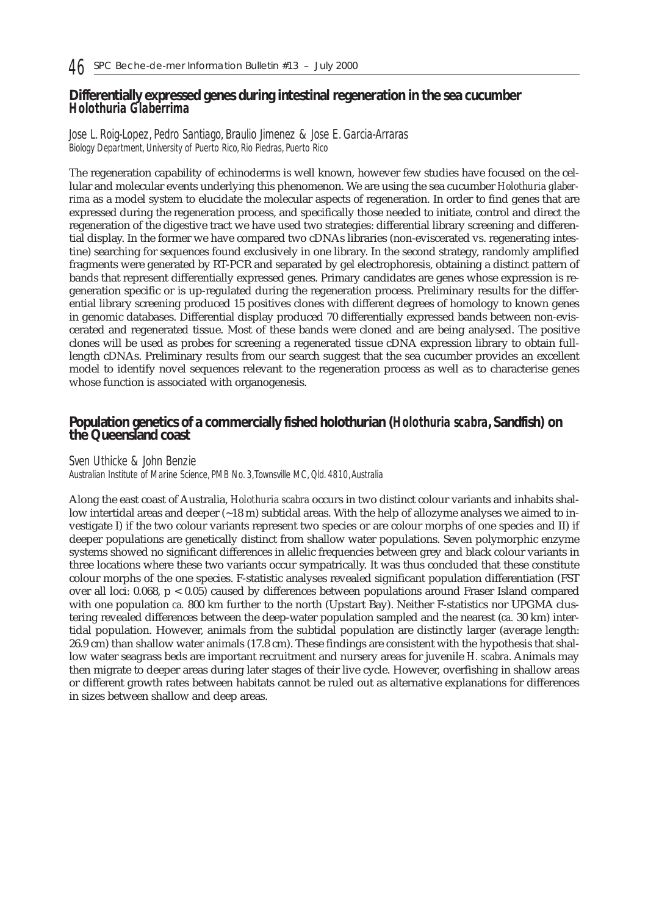## **Differentially expressed genes during intestinal regeneration in the sea cucumber** *Holothuria Glaberrima*

#### *Jose L. Roig-Lopez, Pedro Santiago, Braulio Jimenez & Jose E. Garcia-Arraras Biology Department, University of Puerto Rico, Rio Piedras, Puerto Rico*

The regeneration capability of echinoderms is well known, however few studies have focused on the cellular and molecular events underlying this phenomenon. We are using the sea cucumber *Holothuria glaberrima* as a model system to elucidate the molecular aspects of regeneration. In order to find genes that are expressed during the regeneration process, and specifically those needed to initiate, control and direct the regeneration of the digestive tract we have used two strategies: differential library screening and differential display. In the former we have compared two cDNAs libraries (non-eviscerated vs. regenerating intestine) searching for sequences found exclusively in one library. In the second strategy, randomly amplified fragments were generated by RT-PCR and separated by gel electrophoresis, obtaining a distinct pattern of bands that represent differentially expressed genes. Primary candidates are genes whose expression is regeneration specific or is up-regulated during the regeneration process. Preliminary results for the differential library screening produced 15 positives clones with different degrees of homology to known genes in genomic databases. Differential display produced 70 differentially expressed bands between non-eviscerated and regenerated tissue. Most of these bands were cloned and are being analysed. The positive clones will be used as probes for screening a regenerated tissue cDNA expression library to obtain fulllength cDNAs. Preliminary results from our search suggest that the sea cucumber provides an excellent model to identify novel sequences relevant to the regeneration process as well as to characterise genes whose function is associated with organogenesis.

## **Population genetics of a commercially fished holothurian (***Holothuria scabra***, Sandfish) on the Queensland coast**

#### *Sven Uthicke & John Benzie*

*Australian Institute of Marine Science, PMB No. 3,Townsville MC, Qld. 4810,Australia* 

Along the east coast of Australia, *Holothuria scabra* occurs in two distinct colour variants and inhabits shallow intertidal areas and deeper (~18 m) subtidal areas. With the help of allozyme analyses we aimed to investigate I) if the two colour variants represent two species or are colour morphs of one species and II) if deeper populations are genetically distinct from shallow water populations. Seven polymorphic enzyme systems showed no significant differences in allelic frequencies between grey and black colour variants in three locations where these two variants occur sympatrically. It was thus concluded that these constitute colour morphs of the one species. F-statistic analyses revealed significant population differentiation (FST over all loci: 0.068, p < 0.05) caused by differences between populations around Fraser Island compared with one population *ca.* 800 km further to the north (Upstart Bay). Neither F-statistics nor UPGMA clustering revealed differences between the deep-water population sampled and the nearest (*ca.* 30 km) intertidal population. However, animals from the subtidal population are distinctly larger (average length: 26.9 cm) than shallow water animals (17.8 cm). These findings are consistent with the hypothesis that shallow water seagrass beds are important recruitment and nursery areas for juvenile *H. scabra*. Animals may then migrate to deeper areas during later stages of their live cycle. However, overfishing in shallow areas or different growth rates between habitats cannot be ruled out as alternative explanations for differences in sizes between shallow and deep areas.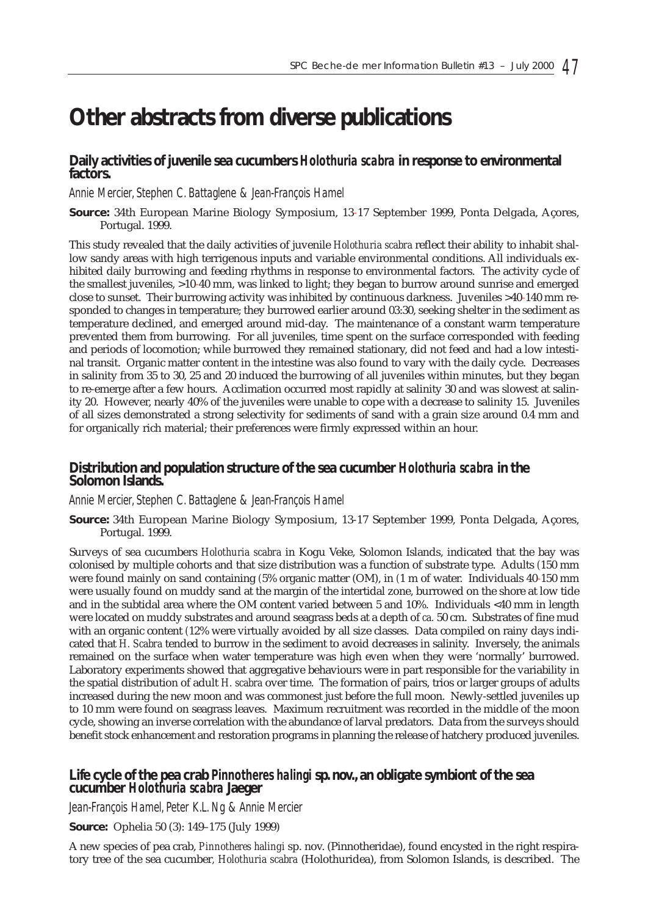# **Other abstracts from diverse publications**

# **Daily activities of juvenile sea cucumbers** *Holothuria scabra* **in response to environmental** fact**ors**.

### *Annie Mercier, Stephen C. Battaglene & Jean-François Hamel*

**Source:** 34th European Marine Biology Symposium, 13-17 September 1999, Ponta Delgada, Açores, Portugal. 1999.

This study revealed that the daily activities of juvenile *Holothuria scabra* reflect their ability to inhabit shallow sandy areas with high terrigenous inputs and variable environmental conditions. All individuals exhibited daily burrowing and feeding rhythms in response to environmental factors. The activity cycle of the smallest juveniles, >10-40 mm, was linked to light; they began to burrow around sunrise and emerged close to sunset. Their burrowing activity was inhibited by continuous darkness. Juveniles >40-140 mm responded to changes in temperature; they burrowed earlier around 03:30, seeking shelter in the sediment as temperature declined, and emerged around mid-day. The maintenance of a constant warm temperature prevented them from burrowing. For all juveniles, time spent on the surface corresponded with feeding and periods of locomotion; while burrowed they remained stationary, did not feed and had a low intestinal transit. Organic matter content in the intestine was also found to vary with the daily cycle. Decreases in salinity from 35 to 30, 25 and 20 induced the burrowing of all juveniles within minutes, but they began to re-emerge after a few hours. Acclimation occurred most rapidly at salinity 30 and was slowest at salinity 20. However, nearly 40% of the juveniles were unable to cope with a decrease to salinity 15. Juveniles of all sizes demonstrated a strong selectivity for sediments of sand with a grain size around 0.4 mm and for organically rich material; their preferences were firmly expressed within an hour.

# **Distribution and population structure of the sea cucumber** *Holothuria scabra* **in the Solomon Islands.**

#### *Annie Mercier, Stephen C. Battaglene & Jean-François Hamel*

**Source:** 34th European Marine Biology Symposium, 13-17 September 1999, Ponta Delgada, Açores, Portugal. 1999.

Surveys of sea cucumbers *Holothuria scabra* in Kogu Veke, Solomon Islands, indicated that the bay was colonised by multiple cohorts and that size distribution was a function of substrate type. Adults *(*150 mm were found mainly on sand containing *(*5% organic matter (OM), in *(*1 m of water. Individuals 40-150 mm were usually found on muddy sand at the margin of the intertidal zone, burrowed on the shore at low tide and in the subtidal area where the OM content varied between 5 and 10%. Individuals <40 mm in length were located on muddy substrates and around seagrass beds at a depth of *ca.* 50 cm. Substrates of fine mud with an organic content *(*12% were virtually avoided by all size classes. Data compiled on rainy days indicated that *H. Scabra* tended to burrow in the sediment to avoid decreases in salinity. Inversely, the animals remained on the surface when water temperature was high even when they were 'normally' burrowed. Laboratory experiments showed that aggregative behaviours were in part responsible for the variability in the spatial distribution of adult *H. scabra* over time. The formation of pairs, trios or larger groups of adults increased during the new moon and was commonest just before the full moon. Newly-settled juveniles up to 10 mm were found on seagrass leaves. Maximum recruitment was recorded in the middle of the moon cycle, showing an inverse correlation with the abundance of larval predators. Data from the surveys should benefit stock enhancement and restoration programs in planning the release of hatchery produced juveniles.

# **Life cycle of the pea crab** *Pinnotheres halingi* **sp. nov., an obligate symbiont of the sea cucumber** *Holothuria scabra* **Jaeger**

*Jean-François Hamel, Peter K.L. Ng & Annie Mercier*

**Source:** Ophelia 50 (3): 149–175 (July 1999)

A new species of pea crab, *Pinnotheres halingi* sp. nov. (Pinnotheridae), found encysted in the right respiratory tree of the sea cucumber*, Holothuria scabra* (Holothuridea), from Solomon Islands, is described. The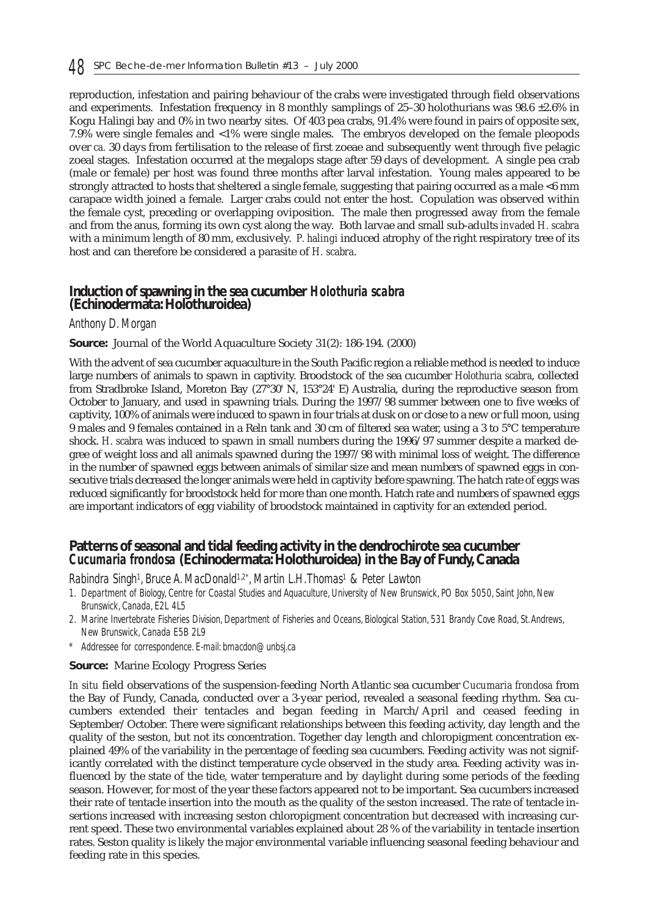reproduction, infestation and pairing behaviour of the crabs were investigated through field observations and experiments. Infestation frequency in 8 monthly samplings of 25–30 holothurians was 98.6  $\pm$ 2.6% in Kogu Halingi bay and 0% in two nearby sites. Of 403 pea crabs, 91.4% were found in pairs of opposite sex, 7.9% were single females and <1% were single males. The embryos developed on the female pleopods over *ca.* 30 days from fertilisation to the release of first zoeae and subsequently went through five pelagic zoeal stages. Infestation occurred at the megalops stage after 59 days of development. A single pea crab (male or female) per host was found three months after larval infestation. Young males appeared to be strongly attracted to hosts that sheltered a single female, suggesting that pairing occurred as a male <6 mm carapace width joined a female. Larger crabs could not enter the host. Copulation was observed within the female cyst, preceding or overlapping oviposition. The male then progressed away from the female and from the anus, forming its own cyst along the way. Both larvae and small sub-adults *invaded H. scabra* with a minimum length of 80 mm, exclusively. *P. halingi* induced atrophy of the right respiratory tree of its host and can therefore be considered a parasite of *H. scabra*.

### **Induction of spawning in the sea cucumber** *Holothuria scabra* **(Echinodermata: Holothuroidea)**

#### *Anthony D. Morgan*

**Source:** Journal of the World Aquaculture Society 31(2): 186-194. (2000)

With the advent of sea cucumber aquaculture in the South Pacific region a reliable method is needed to induce large numbers of animals to spawn in captivity. Broodstock of the sea cucumber *Holothuria scabra*, collected from Stradbroke Island, Moreton Bay (27°30' N, 153°24' E) Australia, during the reproductive season from October to January, and used in spawning trials. During the 1997/98 summer between one to five weeks of captivity, 100% of animals were induced to spawn in four trials at dusk on or close to a new or full moon, using 9 males and 9 females contained in a Reln tank and 30 cm of filtered sea water, using a 3 to 5°C temperature shock. *H. scabra* was induced to spawn in small numbers during the 1996/97 summer despite a marked degree of weight loss and all animals spawned during the 1997/98 with minimal loss of weight. The difference in the number of spawned eggs between animals of similar size and mean numbers of spawned eggs in consecutive trials decreased the longer animals were held in captivity before spawning. The hatch rate of eggs was reduced significantly for broodstock held for more than one month. Hatch rate and numbers of spawned eggs are important indicators of egg viability of broodstock maintained in captivity for an extended period.

## **Patterns of seasonal and tidal feeding activity in the dendrochirote sea cucumber** *Cucumaria frondosa* **(Echinodermata: Holothuroidea) in the Bay of Fundy, Canada**

#### *Rabindra Singh1, Bruce A. MacDonald1,2\*, Martin L.H.Thomas1 & Peter Lawton*

- *1. Department of Biology, Centre for Coastal Studies and Aquaculture, University of New Brunswick, PO Box 5050, Saint John, New Brunswick, Canada, E2L 4L5*
- *2. Marine Invertebrate Fisheries Division, Department of Fisheries and Oceans, Biological Station, 531 Brandy Cove Road, St.Andrews, New Brunswick, Canada E5B 2L9*
- *\* Addressee for correspondence. E-mail: bmacdon@unbsj.ca*

#### **Source:** Marine Ecology Progress Series

*In situ* field observations of the suspension-feeding North Atlantic sea cucumber *Cucumaria frondosa* from the Bay of Fundy, Canada, conducted over a 3-year period, revealed a seasonal feeding rhythm. Sea cucumbers extended their tentacles and began feeding in March/April and ceased feeding in September/October. There were significant relationships between this feeding activity, day length and the quality of the seston, but not its concentration. Together day length and chloropigment concentration explained 49% of the variability in the percentage of feeding sea cucumbers. Feeding activity was not significantly correlated with the distinct temperature cycle observed in the study area. Feeding activity was influenced by the state of the tide, water temperature and by daylight during some periods of the feeding season. However, for most of the year these factors appeared not to be important. Sea cucumbers increased their rate of tentacle insertion into the mouth as the quality of the seston increased. The rate of tentacle insertions increased with increasing seston chloropigment concentration but decreased with increasing current speed. These two environmental variables explained about 28 % of the variability in tentacle insertion rates. Seston quality is likely the major environmental variable influencing seasonal feeding behaviour and feeding rate in this species.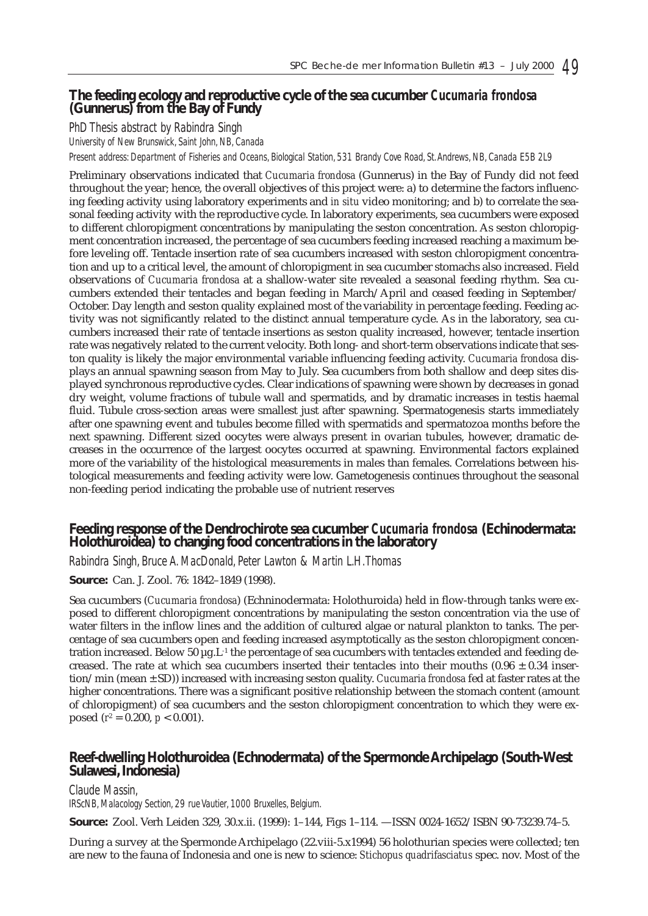# **The feeding ecology and reproductive cycle of the sea cucumber** *Cucumaria frondosa* **(Gunnerus) from the Bay of Fundy**

*PhD Thesis abstract by Rabindra Singh*

*University of New Brunswick, Saint John, NB, Canada*

*Present address: Department of Fisheries and Oceans, Biological Station, 531 Brandy Cove Road, St.Andrews, NB, Canada E5B 2L9*

Preliminary observations indicated that *Cucumaria frondosa* (Gunnerus) in the Bay of Fundy did not feed throughout the year; hence, the overall objectives of this project were: a) to determine the factors influencing feeding activity using laboratory experiments and *in situ* video monitoring; and b) to correlate the seasonal feeding activity with the reproductive cycle. In laboratory experiments, sea cucumbers were exposed to different chloropigment concentrations by manipulating the seston concentration. As seston chloropigment concentration increased, the percentage of sea cucumbers feeding increased reaching a maximum before leveling off. Tentacle insertion rate of sea cucumbers increased with seston chloropigment concentration and up to a critical level, the amount of chloropigment in sea cucumber stomachs also increased. Field observations of *Cucumaria frondosa* at a shallow-water site revealed a seasonal feeding rhythm. Sea cucumbers extended their tentacles and began feeding in March/April and ceased feeding in September/ October. Day length and seston quality explained most of the variability in percentage feeding. Feeding activity was not significantly related to the distinct annual temperature cycle. As in the laboratory, sea cucumbers increased their rate of tentacle insertions as seston quality increased, however, tentacle insertion rate was negatively related to the current velocity. Both long- and short-term observations indicate that seston quality is likely the major environmental variable influencing feeding activity. *Cucumaria frondosa* displays an annual spawning season from May to July. Sea cucumbers from both shallow and deep sites displayed synchronous reproductive cycles. Clear indications of spawning were shown by decreases in gonad dry weight, volume fractions of tubule wall and spermatids, and by dramatic increases in testis haemal fluid. Tubule cross-section areas were smallest just after spawning. Spermatogenesis starts immediately after one spawning event and tubules become filled with spermatids and spermatozoa months before the next spawning. Different sized oocytes were always present in ovarian tubules, however, dramatic decreases in the occurrence of the largest oocytes occurred at spawning. Environmental factors explained more of the variability of the histological measurements in males than females. Correlations between histological measurements and feeding activity were low. Gametogenesis continues throughout the seasonal non-feeding period indicating the probable use of nutrient reserves

# **Feeding response of the Dendrochirote sea cucumber** *Cucumaria frondosa* **(Echinodermata: Holothuroidea) to changing food concentrations in the laboratory**

*Rabindra Singh, Bruce A. MacDonald, Peter Lawton & Martin L.H.Thomas*

**Source:** Can. J. Zool. 76: 1842–1849 (1998).

Sea cucumbers (*Cucumaria frondosa*) (Echninodermata: Holothuroida) held in flow-through tanks were exposed to different chloropigment concentrations by manipulating the seston concentration via the use of water filters in the inflow lines and the addition of cultured algae or natural plankton to tanks. The percentage of sea cucumbers open and feeding increased asymptotically as the seston chloropigment concentration increased. Below 50  $\mu$ g.L<sup>-1</sup> the percentage of sea cucumbers with tentacles extended and feeding decreased. The rate at which sea cucumbers inserted their tentacles into their mouths  $(0.96 \pm 0.34$  insertion/min (mean ± SD)) increased with increasing seston quality. *Cucumaria frondosa* fed at faster rates at the higher concentrations. There was a significant positive relationship between the stomach content (amount of chloropigment) of sea cucumbers and the seston chloropigment concentration to which they were exposed  $(r^2 = 0.200, p < 0.001)$ .

# **Reef-dwelling Holothuroidea (Echnodermata) of the Spermonde Archipelago (South-West Sulawesi, Indonesia)**

*Claude Massin,*

*IRScNB, Malacology Section, 29 rue Vautier, 1000 Bruxelles, Belgium.*

**Source:** Zool. Verh Leiden 329, 30.x.ii. (1999): 1–144, Figs 1–114. —ISSN 0024-1652/ISBN 90-73239.74–5.

During a survey at the Spermonde Archipelago (22.viii-5.x1994) 56 holothurian species were collected; ten are new to the fauna of Indonesia and one is new to science: *Stichopus quadrifasciatus* spec. nov. Most of the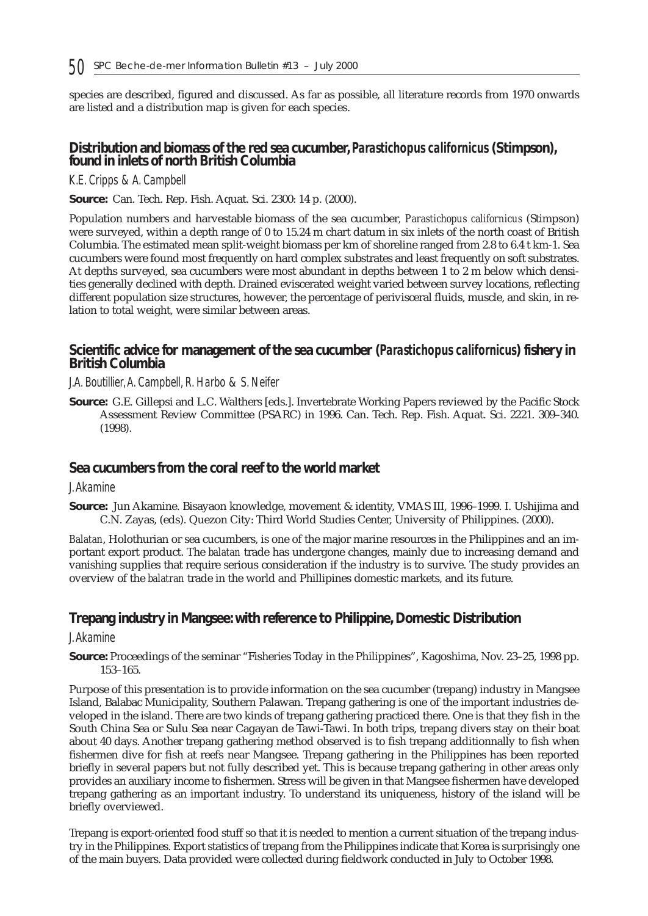species are described, figured and discussed. As far as possible, all literature records from 1970 onwards are listed and a distribution map is given for each species.

### **Distribution and biomass of the red sea cucumber,** *Parastichopus californicus* **(Stimpson), found in inlets of north British Columbia**

#### *K.E. Cripps & A. Campbell*

**Source:** Can. Tech. Rep. Fish. Aquat. Sci. 2300: 14 p. (2000).

Population numbers and harvestable biomass of the sea cucumber*, Parastichopus californicus* (Stimpson) were surveyed, within a depth range of 0 to 15.24 m chart datum in six inlets of the north coast of British Columbia. The estimated mean split-weight biomass per km of shoreline ranged from 2.8 to 6.4 t km-1. Sea cucumbers were found most frequently on hard complex substrates and least frequently on soft substrates. At depths surveyed, sea cucumbers were most abundant in depths between 1 to 2 m below which densities generally declined with depth. Drained eviscerated weight varied between survey locations, reflecting different population size structures, however, the percentage of perivisceral fluids, muscle, and skin, in relation to total weight, were similar between areas.

## **Scientific advice for management of the sea cucumber (***Parastichopus californicus***) fishery in British Columbia**

#### *J.A. Boutillier,A. Campbell, R. Harbo & S. Neifer*

**Source:** G.E. Gillepsi and L.C. Walthers [eds.]. Invertebrate Working Papers reviewed by the Pacific Stock Assessment Review Committee (PSARC) in 1996. Can. Tech. Rep. Fish. Aquat. Sci. 2221. 309–340. (1998).

#### **Sea cucumbers from the coral reef to the world market**

#### *J.Akamine*

**Source:** Jun Akamine. Bisayaon knowledge, movement & identity, VMAS III, 1996–1999. I. Ushijima and C.N. Zayas, (eds). Quezon City: Third World Studies Center, University of Philippines. (2000).

*Balatan*, Holothurian or sea cucumbers, is one of the major marine resources in the Philippines and an important export product. The *balatan* trade has undergone changes, mainly due to increasing demand and vanishing supplies that require serious consideration if the industry is to survive. The study provides an overview of the *balatran* trade in the world and Phillipines domestic markets, and its future.

## **Trepang industry in Mangsee: with reference to Philippine, Domestic Distribution**

#### *J.Akamine*

**Source:** Proceedings of the seminar "Fisheries Today in the Philippines", Kagoshima, Nov. 23–25, 1998 pp. 153–165.

Purpose of this presentation is to provide information on the sea cucumber (trepang) industry in Mangsee Island, Balabac Municipality, Southern Palawan. Trepang gathering is one of the important industries developed in the island. There are two kinds of trepang gathering practiced there. One is that they fish in the South China Sea or Sulu Sea near Cagayan de Tawi-Tawi. In both trips, trepang divers stay on their boat about 40 days. Another trepang gathering method observed is to fish trepang additionnally to fish when fishermen dive for fish at reefs near Mangsee. Trepang gathering in the Philippines has been reported briefly in several papers but not fully described yet. This is because trepang gathering in other areas only provides an auxiliary income to fishermen. Stress will be given in that Mangsee fishermen have developed trepang gathering as an important industry. To understand its uniqueness, history of the island will be briefly overviewed.

Trepang is export-oriented food stuff so that it is needed to mention a current situation of the trepang industry in the Philippines. Export statistics of trepang from the Philippines indicate that Korea is surprisingly one of the main buyers. Data provided were collected during fieldwork conducted in July to October 1998.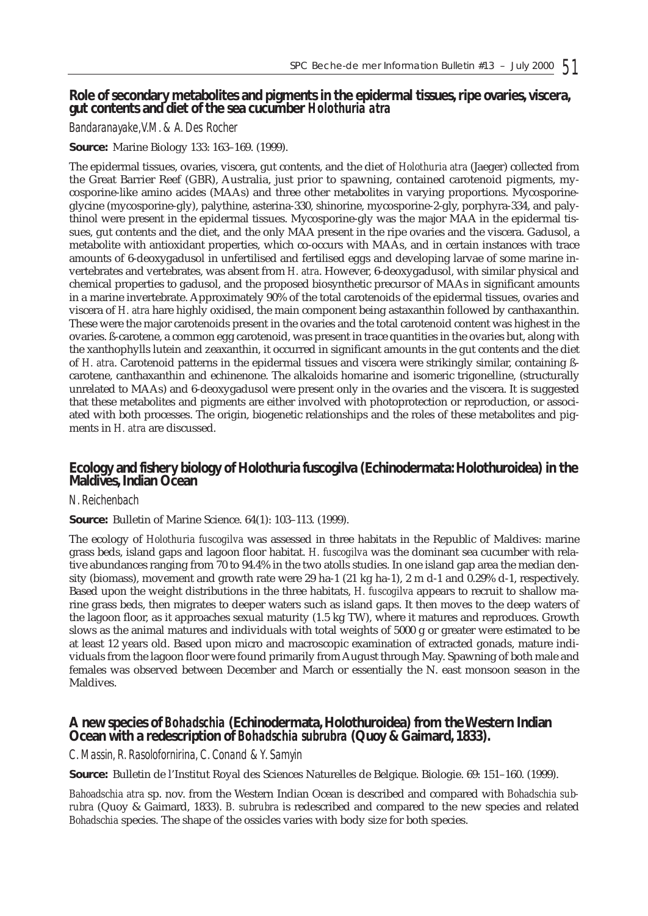### **Role of secondary metabolites and pigments in the epidermal tissues, ripe ovaries, viscera, gut contents and diet of the sea cucumber** *Holothuria atra*

#### *Bandaranayake,V.M. & A. Des Rocher*

#### **Source:** Marine Biology 133: 163–169. (1999).

The epidermal tissues, ovaries, viscera, gut contents, and the diet of *Holothuria atra* (Jaeger) collected from the Great Barrier Reef (GBR), Australia, just prior to spawning, contained carotenoid pigments, mycosporine-like amino acides (MAAs) and three other metabolites in varying proportions. Mycosporineglycine (mycosporine-gly), palythine, asterina-330, shinorine, mycosporine-2-gly, porphyra-334, and palythinol were present in the epidermal tissues. Mycosporine-gly was the major MAA in the epidermal tissues, gut contents and the diet, and the only MAA present in the ripe ovaries and the viscera. Gadusol, a metabolite with antioxidant properties, which co-occurs with MAAs, and in certain instances with trace amounts of 6-deoxygadusol in unfertilised and fertilised eggs and developing larvae of some marine invertebrates and vertebrates, was absent from *H. atra*. However, 6-deoxygadusol, with similar physical and chemical properties to gadusol, and the proposed biosynthetic precursor of MAAs in significant amounts in a marine invertebrate. Approximately 90% of the total carotenoids of the epidermal tissues, ovaries and viscera of *H. atra* hare highly oxidised, the main component being astaxanthin followed by canthaxanthin. These were the major carotenoids present in the ovaries and the total carotenoid content was highest in the ovaries. ß-carotene, a common egg carotenoid, was present in trace quantities in the ovaries but, along with the xanthophylls lutein and zeaxanthin, it occurred in significant amounts in the gut contents and the diet of *H. atra*. Carotenoid patterns in the epidermal tissues and viscera were strikingly similar, containing ßcarotene, canthaxanthin and echinenone. The alkaloids homarine and isomeric trigonelline, (structurally unrelated to MAAs) and 6-deoxygadusol were present only in the ovaries and the viscera. It is suggested that these metabolites and pigments are either involved with photoprotection or reproduction, or associated with both processes. The origin, biogenetic relationships and the roles of these metabolites and pigments in *H. atra* are discussed.

## **Ecology and fishery biology of Holothuria fuscogilva (Echinodermata: Holothuroidea) in the Maldives, Indian Ocean**

#### *N. Reichenbach*

#### **Source:** Bulletin of Marine Science. 64(1): 103–113. (1999).

The ecology of *Holothuria fuscogilva* was assessed in three habitats in the Republic of Maldives: marine grass beds, island gaps and lagoon floor habitat. *H. fuscogilva* was the dominant sea cucumber with relative abundances ranging from 70 to 94.4% in the two atolls studies. In one island gap area the median density (biomass), movement and growth rate were 29 ha-1 (21 kg ha-1), 2 m d-1 and 0.29% d-1, respectively. Based upon the weight distributions in the three habitats, *H. fuscogilva* appears to recruit to shallow marine grass beds, then migrates to deeper waters such as island gaps. It then moves to the deep waters of the lagoon floor, as it approaches sexual maturity (1.5 kg TW), where it matures and reproduces. Growth slows as the animal matures and individuals with total weights of 5000 g or greater were estimated to be at least 12 years old. Based upon micro and macroscopic examination of extracted gonads, mature individuals from the lagoon floor were found primarily from August through May. Spawning of both male and females was observed between December and March or essentially the N. east monsoon season in the Maldives.

#### **A new species of** *Bohadschia* **(Echinodermata, Holothuroidea) from the Western Indian Ocean with a redescription of** *Bohadschia subrubra* **(Quoy & Gaimard, 1833).**

#### *C. Massin, R. Rasolofornirina, C. Conand & Y. Samyin*

**Source:** Bulletin de l'Institut Royal des Sciences Naturelles de Belgique. Biologie. 69: 151–160. (1999).

*Bahoadschia atra* sp. nov. from the Western Indian Ocean is described and compared with *Bohadschia subrubra* (Quoy & Gaimard, 1833). *B. subrubra* is redescribed and compared to the new species and related *Bohadschia* species. The shape of the ossicles varies with body size for both species.